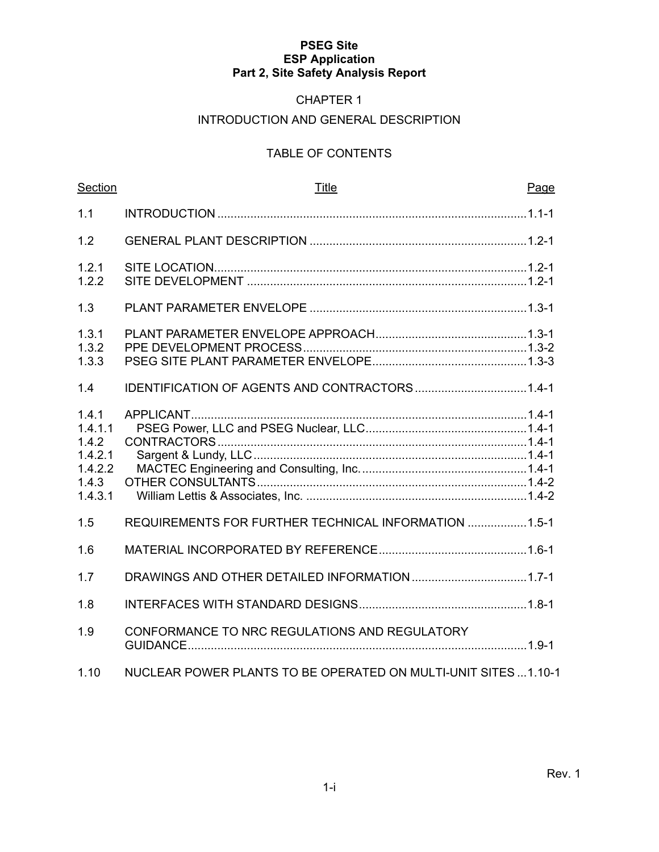#### CHAPTER 1

#### INTRODUCTION AND GENERAL DESCRIPTION

#### TABLE OF CONTENTS

| Section                                                             | <b>Title</b><br>Page                                            |
|---------------------------------------------------------------------|-----------------------------------------------------------------|
| 1.1                                                                 |                                                                 |
| 1.2                                                                 |                                                                 |
| 1.2.1<br>1.2.2                                                      |                                                                 |
| 1.3                                                                 |                                                                 |
| 1.3.1<br>1.3.2<br>1.3.3                                             |                                                                 |
| 1.4                                                                 |                                                                 |
| 1.4.1<br>1.4.1.1<br>1.4.2<br>1.4.2.1<br>1.4.2.2<br>1.4.3<br>1.4.3.1 |                                                                 |
| 1.5                                                                 | REQUIREMENTS FOR FURTHER TECHNICAL INFORMATION  1.5-1           |
| 1.6                                                                 |                                                                 |
| 1.7                                                                 |                                                                 |
| 1.8                                                                 |                                                                 |
| 1.9                                                                 | CONFORMANCE TO NRC REGULATIONS AND REGULATORY                   |
| 1.10                                                                | NUCLEAR POWER PLANTS TO BE OPERATED ON MULTI-UNIT SITES  1.10-1 |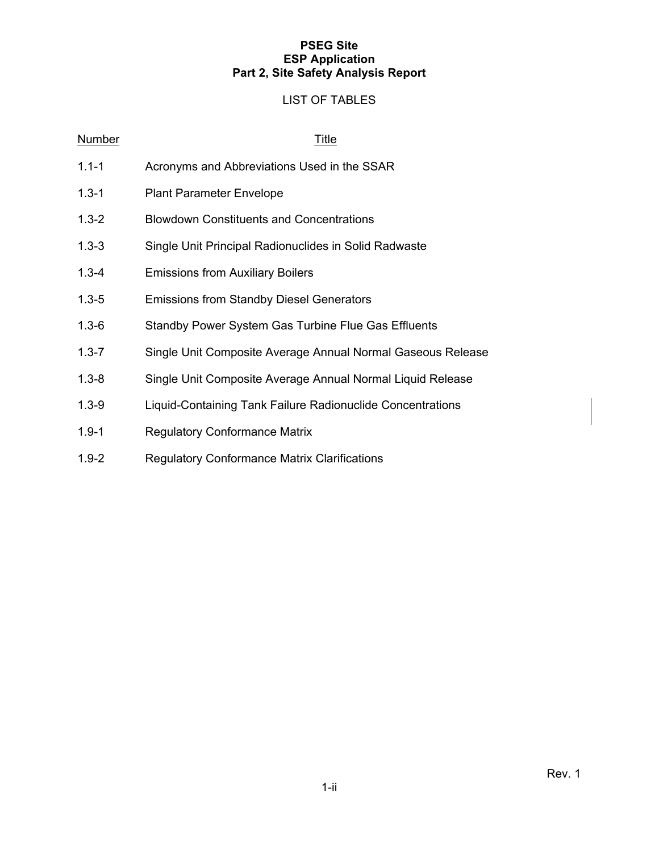#### LIST OF TABLES

| <b>Number</b> | <u>Title</u>                                                |
|---------------|-------------------------------------------------------------|
| $1.1 - 1$     | Acronyms and Abbreviations Used in the SSAR                 |
| $1.3 - 1$     | <b>Plant Parameter Envelope</b>                             |
| $1.3 - 2$     | <b>Blowdown Constituents and Concentrations</b>             |
| $1.3 - 3$     | Single Unit Principal Radionuclides in Solid Radwaste       |
| $1.3 - 4$     | <b>Emissions from Auxiliary Boilers</b>                     |
| $1.3 - 5$     | <b>Emissions from Standby Diesel Generators</b>             |
| $1.3 - 6$     | Standby Power System Gas Turbine Flue Gas Effluents         |
| $1.3 - 7$     | Single Unit Composite Average Annual Normal Gaseous Release |
| $1.3 - 8$     | Single Unit Composite Average Annual Normal Liquid Release  |
| $1.3 - 9$     | Liquid-Containing Tank Failure Radionuclide Concentrations  |
| $1.9 - 1$     | <b>Regulatory Conformance Matrix</b>                        |
| $1.9 - 2$     | <b>Regulatory Conformance Matrix Clarifications</b>         |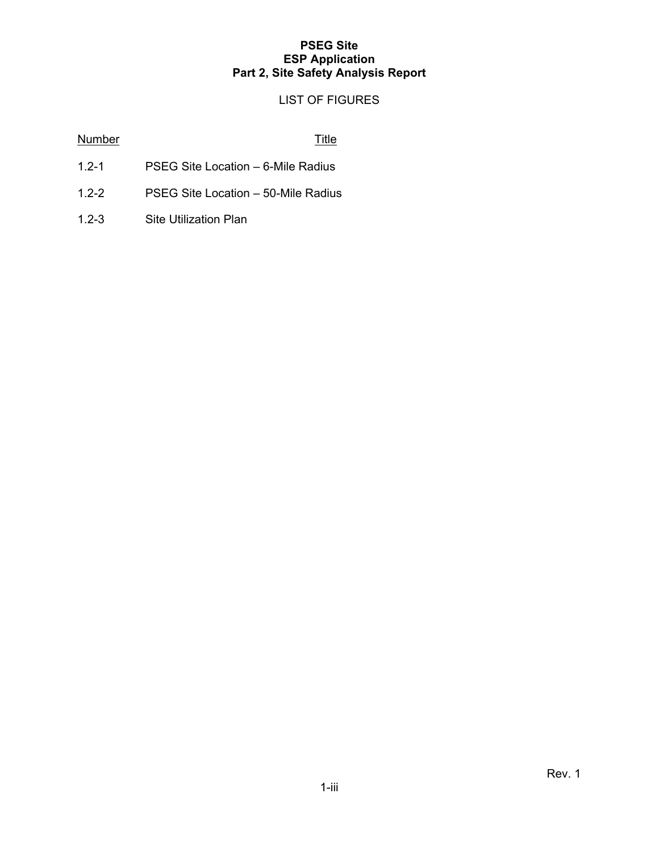#### LIST OF FIGURES

#### Number Title

- 1.2-1 PSEG Site Location 6-Mile Radius
- 1.2-2 PSEG Site Location 50-Mile Radius
- 1.2-3 Site Utilization Plan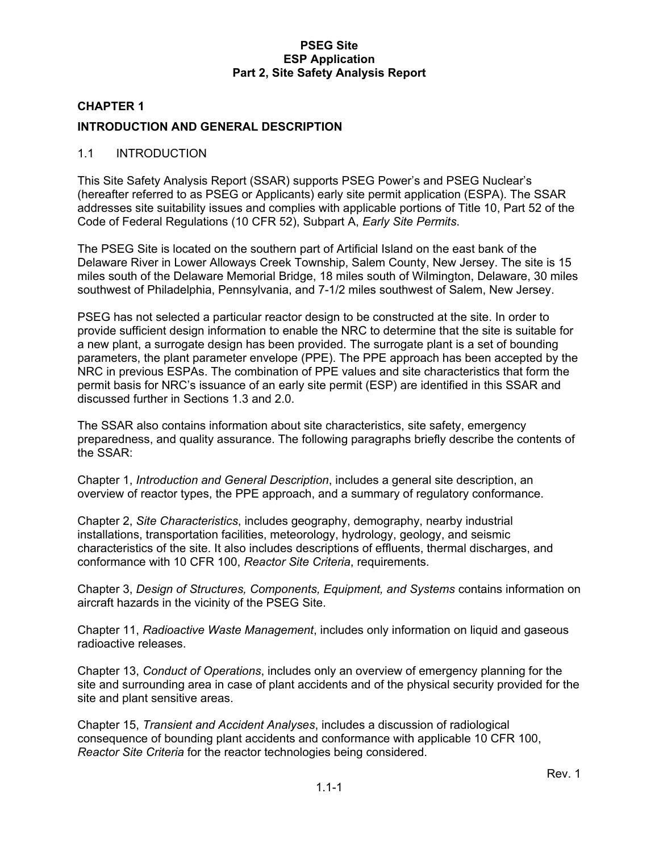## **CHAPTER 1 INTRODUCTION AND GENERAL DESCRIPTION**

#### 1.1 INTRODUCTION

This Site Safety Analysis Report (SSAR) supports PSEG Power's and PSEG Nuclear's (hereafter referred to as PSEG or Applicants) early site permit application (ESPA). The SSAR addresses site suitability issues and complies with applicable portions of Title 10, Part 52 of the Code of Federal Regulations (10 CFR 52), Subpart A, *Early Site Permits*.

The PSEG Site is located on the southern part of Artificial Island on the east bank of the Delaware River in Lower Alloways Creek Township, Salem County, New Jersey. The site is 15 miles south of the Delaware Memorial Bridge, 18 miles south of Wilmington, Delaware, 30 miles southwest of Philadelphia, Pennsylvania, and 7-1/2 miles southwest of Salem, New Jersey.

PSEG has not selected a particular reactor design to be constructed at the site. In order to provide sufficient design information to enable the NRC to determine that the site is suitable for a new plant, a surrogate design has been provided. The surrogate plant is a set of bounding parameters, the plant parameter envelope (PPE). The PPE approach has been accepted by the NRC in previous ESPAs. The combination of PPE values and site characteristics that form the permit basis for NRC's issuance of an early site permit (ESP) are identified in this SSAR and discussed further in Sections 1.3 and 2.0.

The SSAR also contains information about site characteristics, site safety, emergency preparedness, and quality assurance. The following paragraphs briefly describe the contents of the SSAR:

Chapter 1, *Introduction and General Description*, includes a general site description, an overview of reactor types, the PPE approach, and a summary of regulatory conformance.

Chapter 2, *Site Characteristics*, includes geography, demography, nearby industrial installations, transportation facilities, meteorology, hydrology, geology, and seismic characteristics of the site. It also includes descriptions of effluents, thermal discharges, and conformance with 10 CFR 100, *Reactor Site Criteria*, requirements.

Chapter 3, *Design of Structures, Components, Equipment, and Systems* contains information on aircraft hazards in the vicinity of the PSEG Site.

Chapter 11, *Radioactive Waste Management*, includes only information on liquid and gaseous radioactive releases.

Chapter 13, *Conduct of Operations*, includes only an overview of emergency planning for the site and surrounding area in case of plant accidents and of the physical security provided for the site and plant sensitive areas.

Chapter 15, *Transient and Accident Analyses*, includes a discussion of radiological consequence of bounding plant accidents and conformance with applicable 10 CFR 100, *Reactor Site Criteria* for the reactor technologies being considered.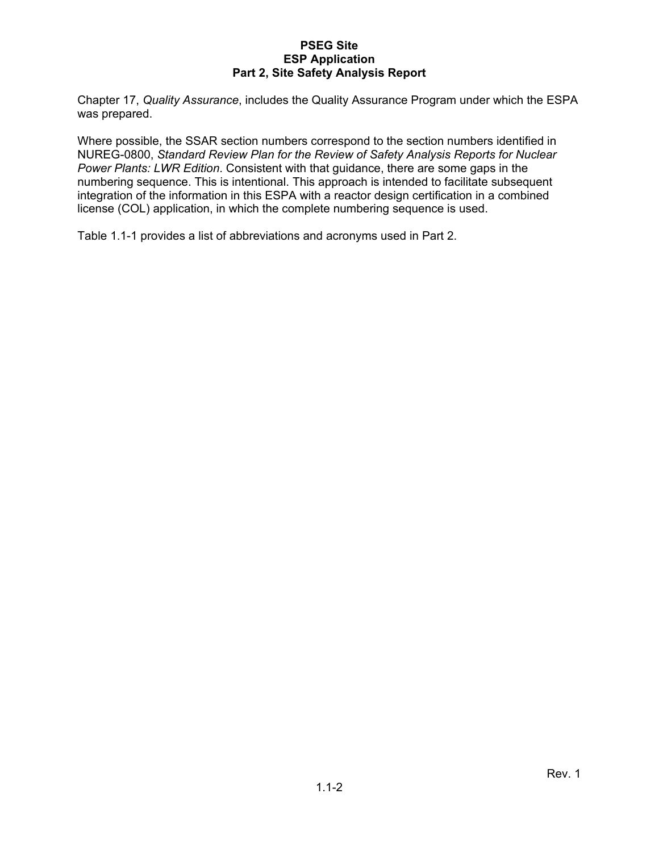Chapter 17, *Quality Assurance*, includes the Quality Assurance Program under which the ESPA was prepared.

Where possible, the SSAR section numbers correspond to the section numbers identified in NUREG-0800, *Standard Review Plan for the Review of Safety Analysis Reports for Nuclear Power Plants: LWR Edition*. Consistent with that guidance, there are some gaps in the numbering sequence. This is intentional. This approach is intended to facilitate subsequent integration of the information in this ESPA with a reactor design certification in a combined license (COL) application, in which the complete numbering sequence is used.

Table 1.1-1 provides a list of abbreviations and acronyms used in Part 2.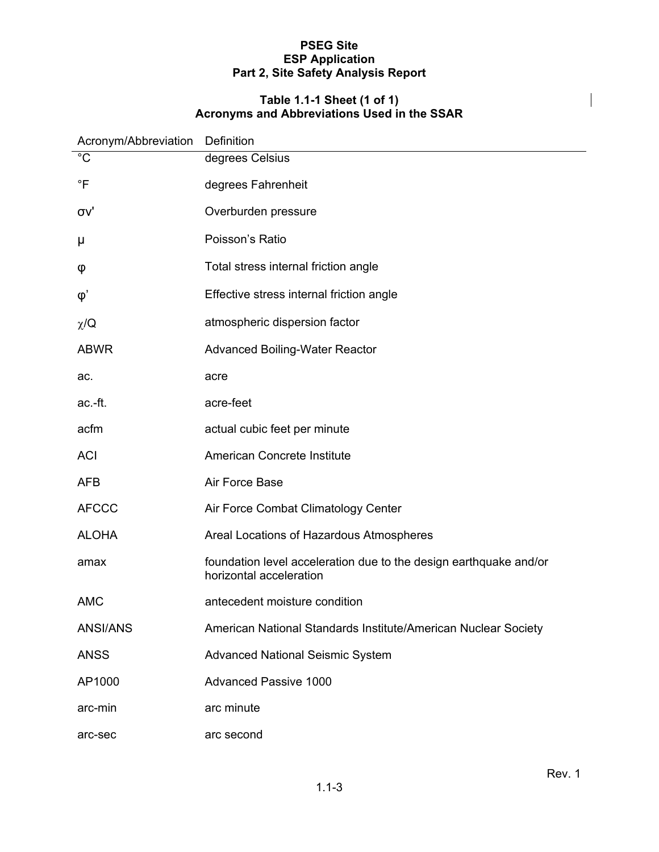#### **Table 1.1-1 Sheet (1 of 1) Acronyms and Abbreviations Used in the SSAR**

| Acronym/Abbreviation | Definition                                                                                   |
|----------------------|----------------------------------------------------------------------------------------------|
| $\overline{C}$       | degrees Celsius                                                                              |
| $\overline{F}$       | degrees Fahrenheit                                                                           |
| σv'                  | Overburden pressure                                                                          |
| μ                    | Poisson's Ratio                                                                              |
| φ                    | Total stress internal friction angle                                                         |
| $\varphi'$           | Effective stress internal friction angle                                                     |
| $\chi$ /Q            | atmospheric dispersion factor                                                                |
| <b>ABWR</b>          | <b>Advanced Boiling-Water Reactor</b>                                                        |
| ac.                  | acre                                                                                         |
| ac.-ft.              | acre-feet                                                                                    |
| acfm                 | actual cubic feet per minute                                                                 |
| <b>ACI</b>           | American Concrete Institute                                                                  |
| <b>AFB</b>           | Air Force Base                                                                               |
| <b>AFCCC</b>         | Air Force Combat Climatology Center                                                          |
| <b>ALOHA</b>         | Areal Locations of Hazardous Atmospheres                                                     |
| amax                 | foundation level acceleration due to the design earthquake and/or<br>horizontal acceleration |
| <b>AMC</b>           | antecedent moisture condition                                                                |
| <b>ANSI/ANS</b>      | American National Standards Institute/American Nuclear Society                               |
| <b>ANSS</b>          | <b>Advanced National Seismic System</b>                                                      |
| AP1000               | <b>Advanced Passive 1000</b>                                                                 |
| arc-min              | arc minute                                                                                   |
| arc-sec              | arc second                                                                                   |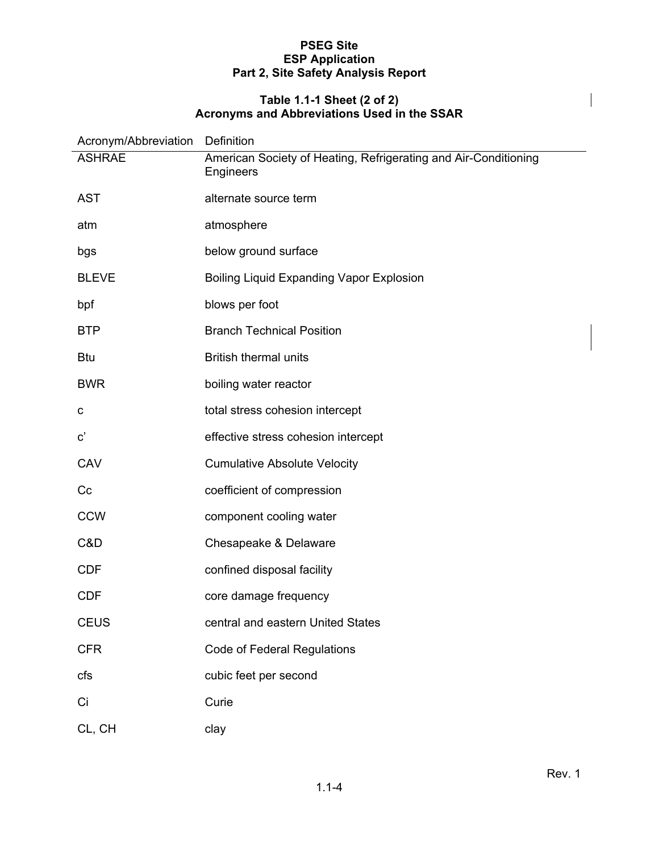#### **Table 1.1-1 Sheet (2 of 2) Acronyms and Abbreviations Used in the SSAR**

| Acronym/Abbreviation Definition |                                                                              |
|---------------------------------|------------------------------------------------------------------------------|
| <b>ASHRAE</b>                   | American Society of Heating, Refrigerating and Air-Conditioning<br>Engineers |
| <b>AST</b>                      | alternate source term                                                        |
| atm                             | atmosphere                                                                   |
| bgs                             | below ground surface                                                         |
| <b>BLEVE</b>                    | Boiling Liquid Expanding Vapor Explosion                                     |
| bpf                             | blows per foot                                                               |
| <b>BTP</b>                      | <b>Branch Technical Position</b>                                             |
| <b>Btu</b>                      | <b>British thermal units</b>                                                 |
| <b>BWR</b>                      | boiling water reactor                                                        |
| C                               | total stress cohesion intercept                                              |
| $\mathbf{c}^{\prime}$           | effective stress cohesion intercept                                          |
| CAV                             | <b>Cumulative Absolute Velocity</b>                                          |
| Cc                              | coefficient of compression                                                   |
| <b>CCW</b>                      | component cooling water                                                      |
| C&D                             | Chesapeake & Delaware                                                        |
| <b>CDF</b>                      | confined disposal facility                                                   |
| <b>CDF</b>                      | core damage frequency                                                        |
| <b>CEUS</b>                     | central and eastern United States                                            |
| <b>CFR</b>                      | <b>Code of Federal Regulations</b>                                           |
| cfs                             | cubic feet per second                                                        |
| Ci                              | Curie                                                                        |
| CL, CH                          | clay                                                                         |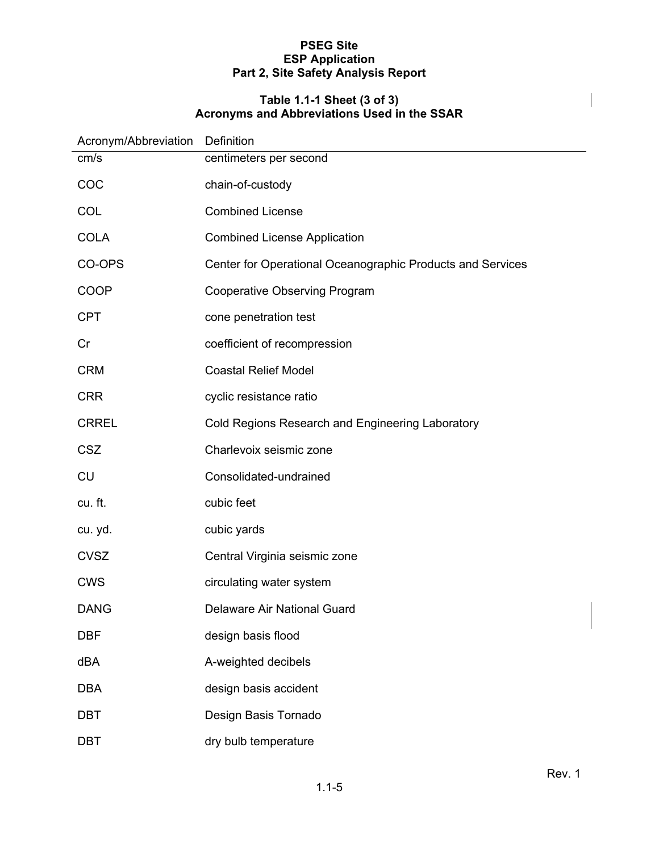#### **Table 1.1-1 Sheet (3 of 3) Acronyms and Abbreviations Used in the SSAR**

| Acronym/Abbreviation | Definition                                                 |
|----------------------|------------------------------------------------------------|
| cm/s                 | centimeters per second                                     |
| COC                  | chain-of-custody                                           |
| COL                  | <b>Combined License</b>                                    |
| <b>COLA</b>          | <b>Combined License Application</b>                        |
| CO-OPS               | Center for Operational Oceanographic Products and Services |
| COOP                 | <b>Cooperative Observing Program</b>                       |
| <b>CPT</b>           | cone penetration test                                      |
| Cr                   | coefficient of recompression                               |
| <b>CRM</b>           | <b>Coastal Relief Model</b>                                |
| <b>CRR</b>           | cyclic resistance ratio                                    |
| <b>CRREL</b>         | Cold Regions Research and Engineering Laboratory           |
| <b>CSZ</b>           | Charlevoix seismic zone                                    |
| <b>CU</b>            | Consolidated-undrained                                     |
| cu. ft.              | cubic feet                                                 |
| cu. yd.              | cubic yards                                                |
| <b>CVSZ</b>          | Central Virginia seismic zone                              |
| <b>CWS</b>           | circulating water system                                   |
| <b>DANG</b>          | Delaware Air National Guard                                |
| <b>DBF</b>           | design basis flood                                         |
| dBA                  | A-weighted decibels                                        |
| <b>DBA</b>           | design basis accident                                      |
| <b>DBT</b>           | Design Basis Tornado                                       |
| <b>DBT</b>           | dry bulb temperature                                       |

 $\overline{\phantom{a}}$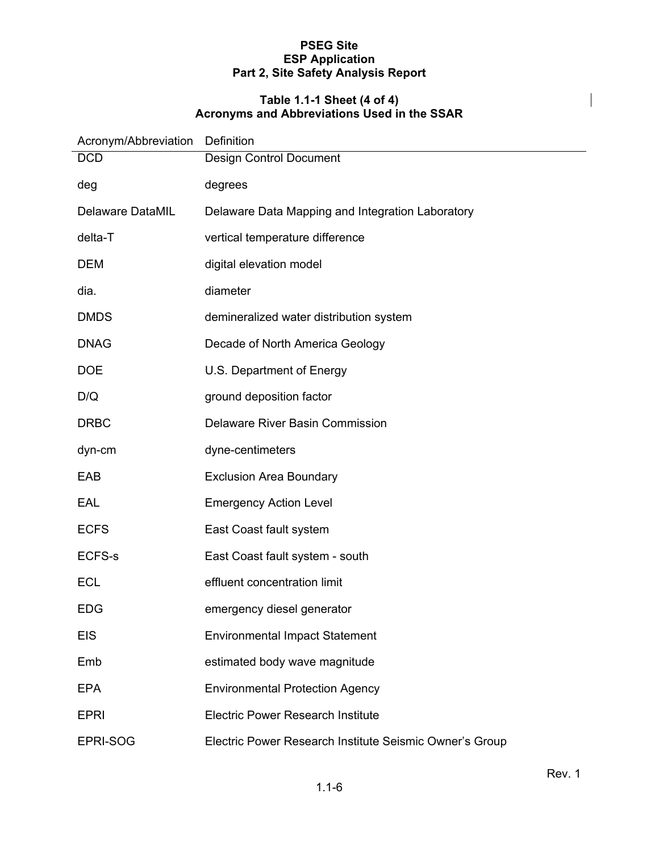#### **Table 1.1-1 Sheet (4 of 4) Acronyms and Abbreviations Used in the SSAR**

| Acronym/Abbreviation    | Definition                                              |
|-------------------------|---------------------------------------------------------|
| <b>DCD</b>              | Design Control Document                                 |
| deg                     | degrees                                                 |
| <b>Delaware DataMIL</b> | Delaware Data Mapping and Integration Laboratory        |
| delta-T                 | vertical temperature difference                         |
| <b>DEM</b>              | digital elevation model                                 |
| dia.                    | diameter                                                |
| <b>DMDS</b>             | demineralized water distribution system                 |
| <b>DNAG</b>             | Decade of North America Geology                         |
| <b>DOE</b>              | U.S. Department of Energy                               |
| D/Q                     | ground deposition factor                                |
| <b>DRBC</b>             | <b>Delaware River Basin Commission</b>                  |
| dyn-cm                  | dyne-centimeters                                        |
| EAB                     | <b>Exclusion Area Boundary</b>                          |
| EAL                     | <b>Emergency Action Level</b>                           |
| <b>ECFS</b>             | East Coast fault system                                 |
| <b>ECFS-s</b>           | East Coast fault system - south                         |
| <b>ECL</b>              | effluent concentration limit                            |
| <b>EDG</b>              | emergency diesel generator                              |
| <b>EIS</b>              | <b>Environmental Impact Statement</b>                   |
| Emb                     | estimated body wave magnitude                           |
| <b>EPA</b>              | <b>Environmental Protection Agency</b>                  |
| <b>EPRI</b>             | <b>Electric Power Research Institute</b>                |
| EPRI-SOG                | Electric Power Research Institute Seismic Owner's Group |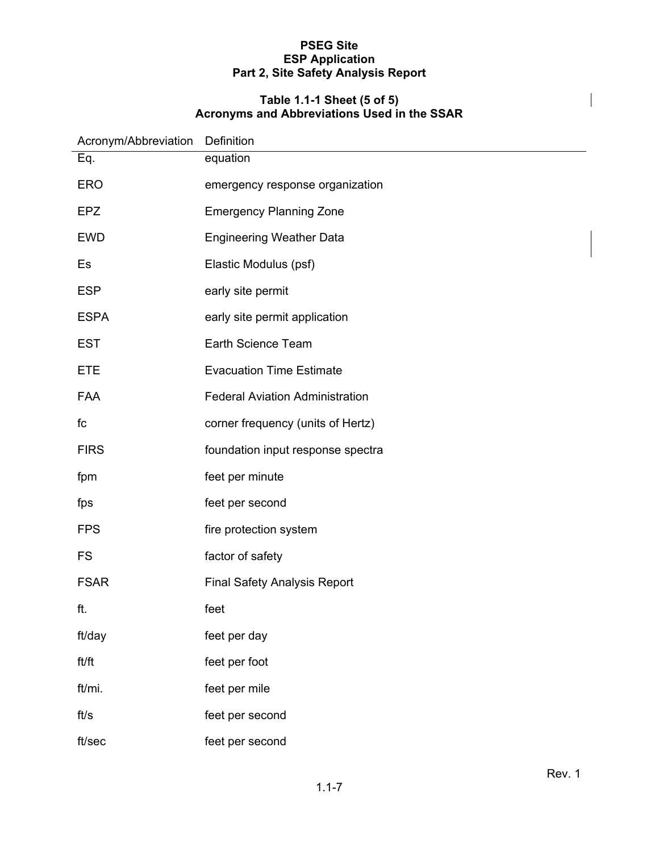#### **Table 1.1-1 Sheet (5 of 5) Acronyms and Abbreviations Used in the SSAR**

| Acronym/Abbreviation | Definition                             |  |
|----------------------|----------------------------------------|--|
| Eq.                  | equation                               |  |
| <b>ERO</b>           | emergency response organization        |  |
| <b>EPZ</b>           | <b>Emergency Planning Zone</b>         |  |
| <b>EWD</b>           | <b>Engineering Weather Data</b>        |  |
| Es                   | Elastic Modulus (psf)                  |  |
| <b>ESP</b>           | early site permit                      |  |
| <b>ESPA</b>          | early site permit application          |  |
| <b>EST</b>           | Earth Science Team                     |  |
| <b>ETE</b>           | <b>Evacuation Time Estimate</b>        |  |
| <b>FAA</b>           | <b>Federal Aviation Administration</b> |  |
| fc                   | corner frequency (units of Hertz)      |  |
| <b>FIRS</b>          | foundation input response spectra      |  |
| fpm                  | feet per minute                        |  |
| fps                  | feet per second                        |  |
| <b>FPS</b>           | fire protection system                 |  |
| <b>FS</b>            | factor of safety                       |  |
| <b>FSAR</b>          | <b>Final Safety Analysis Report</b>    |  |
| ft.                  | feet                                   |  |
| ft/day               | feet per day                           |  |
| ft/ft                | feet per foot                          |  |
| ft/mi.               | feet per mile                          |  |
| ft/s                 | feet per second                        |  |
| ft/sec               | feet per second                        |  |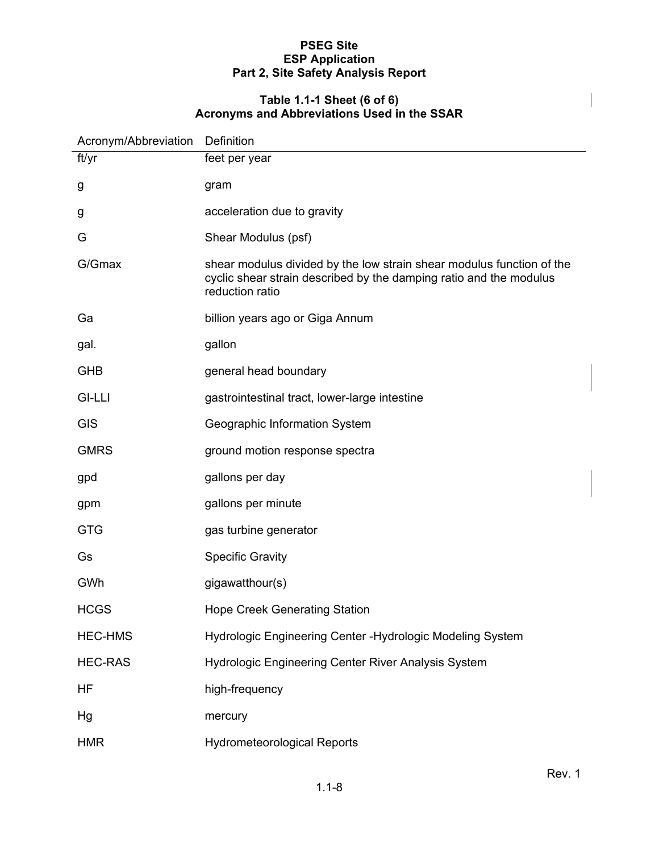#### **Table 1.1-1 Sheet (6 of 6) Acronyms and Abbreviations Used in the SSAR**

| Acronym/Abbreviation | Definition                                                                                                                                                     |
|----------------------|----------------------------------------------------------------------------------------------------------------------------------------------------------------|
| ft/yr                | feet per year                                                                                                                                                  |
| g                    | gram                                                                                                                                                           |
| g                    | acceleration due to gravity                                                                                                                                    |
| G                    | Shear Modulus (psf)                                                                                                                                            |
| G/Gmax               | shear modulus divided by the low strain shear modulus function of the<br>cyclic shear strain described by the damping ratio and the modulus<br>reduction ratio |
| Ga                   | billion years ago or Giga Annum                                                                                                                                |
| gal.                 | gallon                                                                                                                                                         |
| <b>GHB</b>           | general head boundary                                                                                                                                          |
| <b>GI-LLI</b>        | gastrointestinal tract, lower-large intestine                                                                                                                  |
| <b>GIS</b>           | Geographic Information System                                                                                                                                  |
| <b>GMRS</b>          | ground motion response spectra                                                                                                                                 |
| gpd                  | gallons per day                                                                                                                                                |
| gpm                  | gallons per minute                                                                                                                                             |
| <b>GTG</b>           | gas turbine generator                                                                                                                                          |
| Gs                   | <b>Specific Gravity</b>                                                                                                                                        |
| GWh                  | gigawatthour(s)                                                                                                                                                |
| <b>HCGS</b>          | <b>Hope Creek Generating Station</b>                                                                                                                           |
| <b>HEC-HMS</b>       | Hydrologic Engineering Center - Hydrologic Modeling System                                                                                                     |
| <b>HEC-RAS</b>       | Hydrologic Engineering Center River Analysis System                                                                                                            |
| HF                   | high-frequency                                                                                                                                                 |
| Hg                   | mercury                                                                                                                                                        |
| <b>HMR</b>           | <b>Hydrometeorological Reports</b>                                                                                                                             |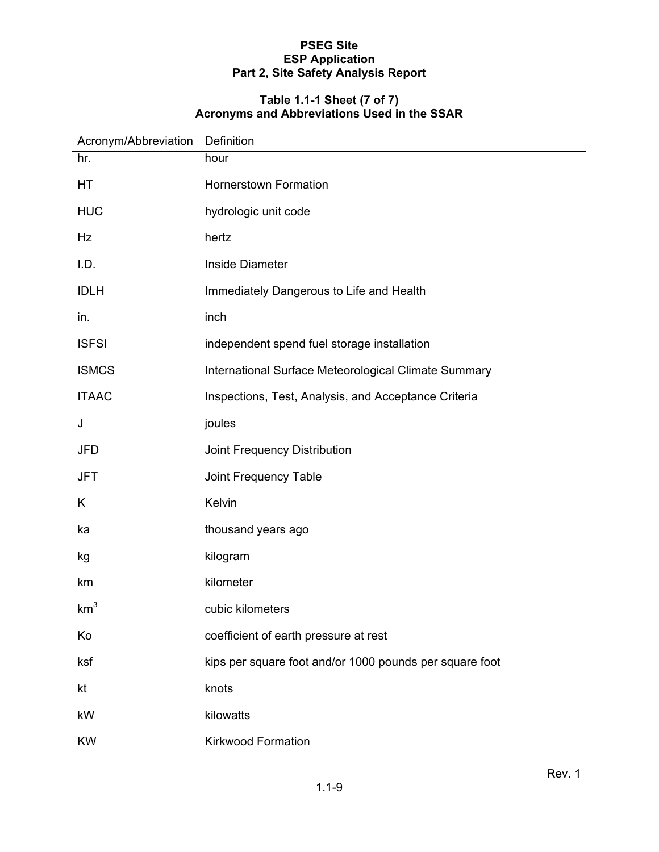#### **Table 1.1-1 Sheet (7 of 7) Acronyms and Abbreviations Used in the SSAR**

| Acronym/Abbreviation | Definition                                              |
|----------------------|---------------------------------------------------------|
| hr.                  | hour                                                    |
| HT                   | <b>Hornerstown Formation</b>                            |
| <b>HUC</b>           | hydrologic unit code                                    |
| Hz                   | hertz                                                   |
| I.D.                 | <b>Inside Diameter</b>                                  |
| <b>IDLH</b>          | Immediately Dangerous to Life and Health                |
| in.                  | inch                                                    |
| <b>ISFSI</b>         | independent spend fuel storage installation             |
| <b>ISMCS</b>         | International Surface Meteorological Climate Summary    |
| <b>ITAAC</b>         | Inspections, Test, Analysis, and Acceptance Criteria    |
| J                    | joules                                                  |
| JFD                  | Joint Frequency Distribution                            |
| JFT                  | Joint Frequency Table                                   |
| K                    | Kelvin                                                  |
| ka                   | thousand years ago                                      |
| kg                   | kilogram                                                |
| km                   | kilometer                                               |
| km <sup>3</sup>      | cubic kilometers                                        |
| Ko                   | coefficient of earth pressure at rest                   |
| ksf                  | kips per square foot and/or 1000 pounds per square foot |
| kt                   | knots                                                   |
| kW                   | kilowatts                                               |
| <b>KW</b>            | <b>Kirkwood Formation</b>                               |

 $\overline{\phantom{a}}$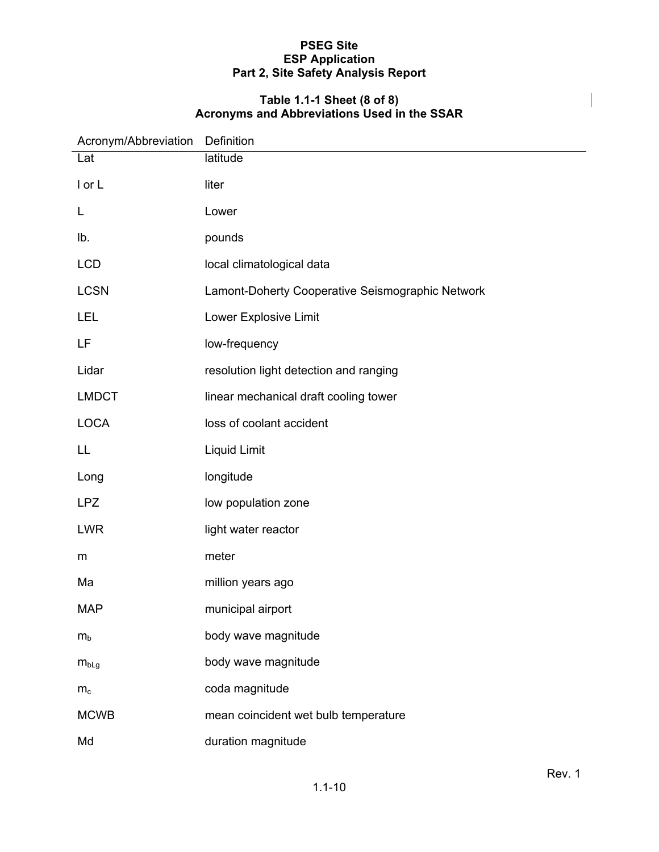#### **Table 1.1-1 Sheet (8 of 8) Acronyms and Abbreviations Used in the SSAR**

| Acronym/Abbreviation | Definition                                       |
|----------------------|--------------------------------------------------|
| Lat                  | latitude                                         |
| I or L               | liter                                            |
| L                    | Lower                                            |
| lb.                  | pounds                                           |
| <b>LCD</b>           | local climatological data                        |
| <b>LCSN</b>          | Lamont-Doherty Cooperative Seismographic Network |
| LEL                  | Lower Explosive Limit                            |
| LF                   | low-frequency                                    |
| Lidar                | resolution light detection and ranging           |
| <b>LMDCT</b>         | linear mechanical draft cooling tower            |
| <b>LOCA</b>          | loss of coolant accident                         |
| LL                   | Liquid Limit                                     |
| Long                 | longitude                                        |
| <b>LPZ</b>           | low population zone                              |
| <b>LWR</b>           | light water reactor                              |
| m                    | meter                                            |
| Ma                   | million years ago                                |
| <b>MAP</b>           | municipal airport                                |
| $m_b$                | body wave magnitude                              |
| $m_{bLg}$            | body wave magnitude                              |
| $m_c$                | coda magnitude                                   |
| <b>MCWB</b>          | mean coincident wet bulb temperature             |
| Md                   | duration magnitude                               |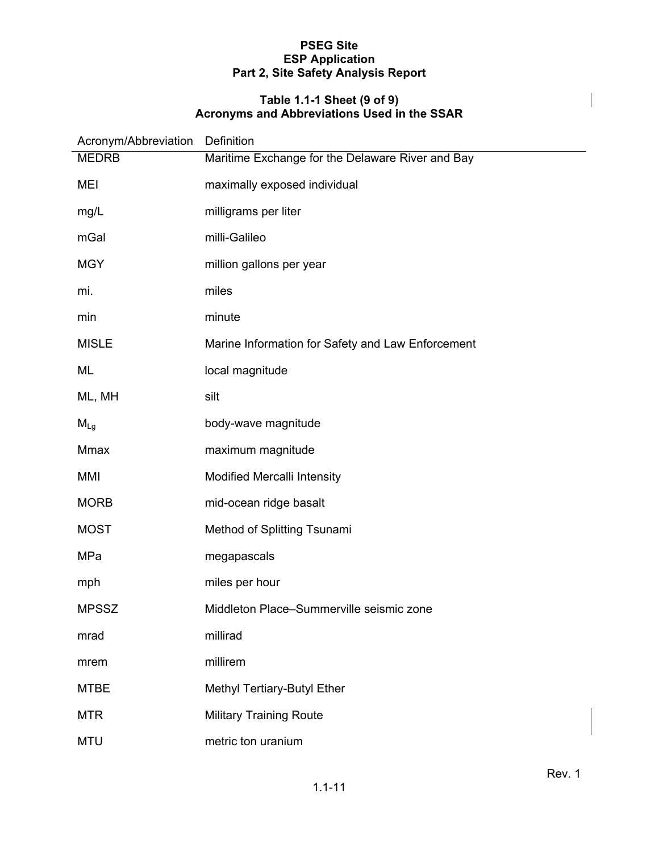#### **Table 1.1-1 Sheet (9 of 9) Acronyms and Abbreviations Used in the SSAR**

| Acronym/Abbreviation | Definition                                        |
|----------------------|---------------------------------------------------|
| <b>MEDRB</b>         | Maritime Exchange for the Delaware River and Bay  |
| <b>MEI</b>           | maximally exposed individual                      |
| mg/L                 | milligrams per liter                              |
| mGal                 | milli-Galileo                                     |
| <b>MGY</b>           | million gallons per year                          |
| mi.                  | miles                                             |
| min                  | minute                                            |
| <b>MISLE</b>         | Marine Information for Safety and Law Enforcement |
| ML                   | local magnitude                                   |
| ML, MH               | silt                                              |
| $M_{Lg}$             | body-wave magnitude                               |
| Mmax                 | maximum magnitude                                 |
| MMI                  | Modified Mercalli Intensity                       |
| <b>MORB</b>          | mid-ocean ridge basalt                            |
| <b>MOST</b>          | Method of Splitting Tsunami                       |
| MPa                  | megapascals                                       |
| mph                  | miles per hour                                    |
| <b>MPSSZ</b>         | Middleton Place-Summerville seismic zone          |
| mrad                 | millirad                                          |
| mrem                 | millirem                                          |
| <b>MTBE</b>          | Methyl Tertiary-Butyl Ether                       |
| <b>MTR</b>           | <b>Military Training Route</b>                    |
| <b>MTU</b>           | metric ton uranium                                |

 $\overline{\phantom{a}}$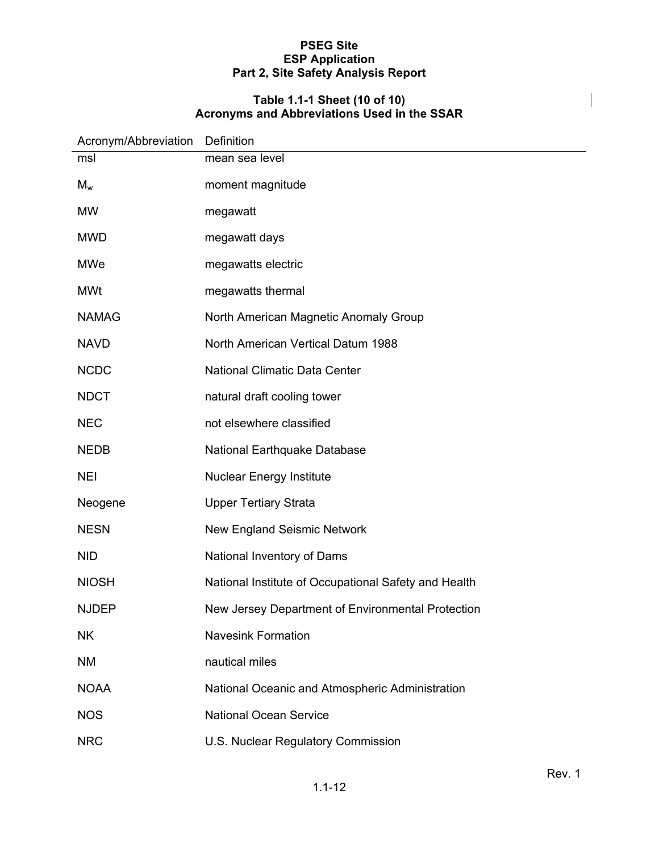#### **Table 1.1-1 Sheet (10 of 10) Acronyms and Abbreviations Used in the SSAR**

| Acronym/Abbreviation | Definition                                           |
|----------------------|------------------------------------------------------|
| msl                  | mean sea level                                       |
| $M_w$                | moment magnitude                                     |
| <b>MW</b>            | megawatt                                             |
| <b>MWD</b>           | megawatt days                                        |
| <b>MWe</b>           | megawatts electric                                   |
| <b>MWt</b>           | megawatts thermal                                    |
| <b>NAMAG</b>         | North American Magnetic Anomaly Group                |
| <b>NAVD</b>          | North American Vertical Datum 1988                   |
| <b>NCDC</b>          | <b>National Climatic Data Center</b>                 |
| <b>NDCT</b>          | natural draft cooling tower                          |
| <b>NEC</b>           | not elsewhere classified                             |
| <b>NEDB</b>          | National Earthquake Database                         |
| <b>NEI</b>           | <b>Nuclear Energy Institute</b>                      |
| Neogene              | <b>Upper Tertiary Strata</b>                         |
| <b>NESN</b>          | <b>New England Seismic Network</b>                   |
| <b>NID</b>           | National Inventory of Dams                           |
| <b>NIOSH</b>         | National Institute of Occupational Safety and Health |
| <b>NJDEP</b>         | New Jersey Department of Environmental Protection    |
| <b>NK</b>            | <b>Navesink Formation</b>                            |
| <b>NM</b>            | nautical miles                                       |
| <b>NOAA</b>          | National Oceanic and Atmospheric Administration      |
| <b>NOS</b>           | <b>National Ocean Service</b>                        |
| <b>NRC</b>           | U.S. Nuclear Regulatory Commission                   |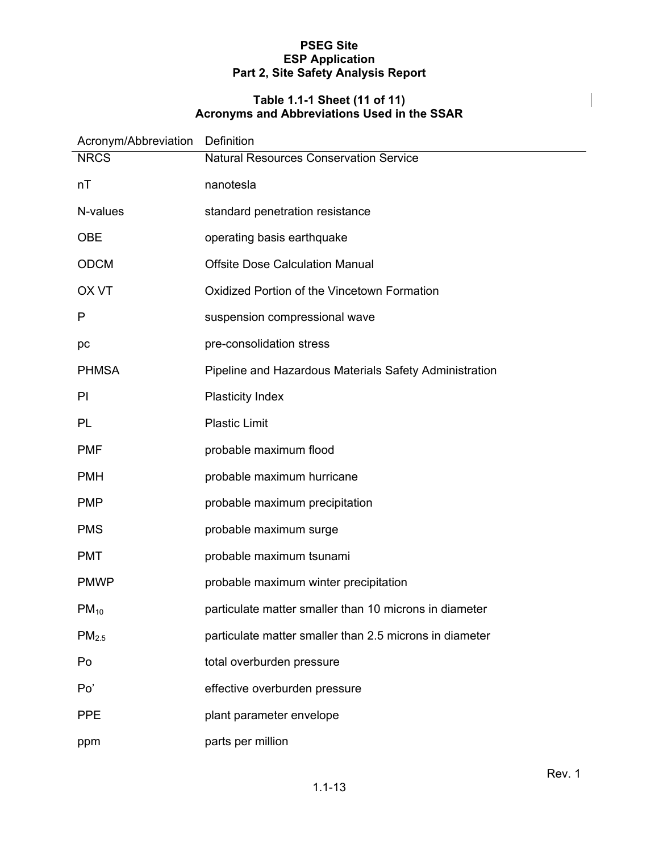#### **Table 1.1-1 Sheet (11 of 11) Acronyms and Abbreviations Used in the SSAR**

| Acronym/Abbreviation Definition |                                                         |
|---------------------------------|---------------------------------------------------------|
| <b>NRCS</b>                     | <b>Natural Resources Conservation Service</b>           |
| nT                              | nanotesla                                               |
| N-values                        | standard penetration resistance                         |
| <b>OBE</b>                      | operating basis earthquake                              |
| <b>ODCM</b>                     | <b>Offsite Dose Calculation Manual</b>                  |
| <b>OX VT</b>                    | Oxidized Portion of the Vincetown Formation             |
| P                               | suspension compressional wave                           |
| pc                              | pre-consolidation stress                                |
| <b>PHMSA</b>                    | Pipeline and Hazardous Materials Safety Administration  |
| PI                              | <b>Plasticity Index</b>                                 |
| PL                              | <b>Plastic Limit</b>                                    |
| <b>PMF</b>                      | probable maximum flood                                  |
| <b>PMH</b>                      | probable maximum hurricane                              |
| <b>PMP</b>                      | probable maximum precipitation                          |
| <b>PMS</b>                      | probable maximum surge                                  |
| <b>PMT</b>                      | probable maximum tsunami                                |
| <b>PMWP</b>                     | probable maximum winter precipitation                   |
| $PM_{10}$                       | particulate matter smaller than 10 microns in diameter  |
| PM <sub>2.5</sub>               | particulate matter smaller than 2.5 microns in diameter |
| Po                              | total overburden pressure                               |
| Po'                             | effective overburden pressure                           |
| <b>PPE</b>                      | plant parameter envelope                                |
| ppm                             | parts per million                                       |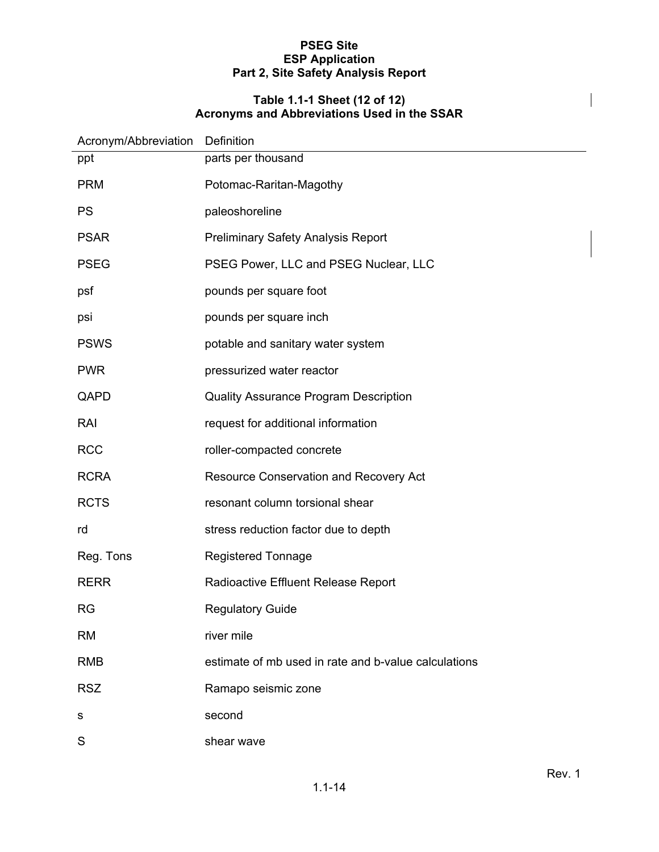#### **Table 1.1-1 Sheet (12 of 12) Acronyms and Abbreviations Used in the SSAR**

| Acronym/Abbreviation | Definition                                           |
|----------------------|------------------------------------------------------|
| ppt                  | parts per thousand                                   |
| <b>PRM</b>           | Potomac-Raritan-Magothy                              |
| <b>PS</b>            | paleoshoreline                                       |
| <b>PSAR</b>          | <b>Preliminary Safety Analysis Report</b>            |
| <b>PSEG</b>          | PSEG Power, LLC and PSEG Nuclear, LLC                |
| psf                  | pounds per square foot                               |
| psi                  | pounds per square inch                               |
| <b>PSWS</b>          | potable and sanitary water system                    |
| <b>PWR</b>           | pressurized water reactor                            |
| QAPD                 | <b>Quality Assurance Program Description</b>         |
| RAI                  | request for additional information                   |
| <b>RCC</b>           | roller-compacted concrete                            |
| <b>RCRA</b>          | Resource Conservation and Recovery Act               |
| <b>RCTS</b>          | resonant column torsional shear                      |
| rd                   | stress reduction factor due to depth                 |
| Reg. Tons            | <b>Registered Tonnage</b>                            |
| <b>RERR</b>          | Radioactive Effluent Release Report                  |
| <b>RG</b>            | <b>Regulatory Guide</b>                              |
| <b>RM</b>            | river mile                                           |
| <b>RMB</b>           | estimate of mb used in rate and b-value calculations |
| <b>RSZ</b>           | Ramapo seismic zone                                  |
| s                    | second                                               |
| S                    | shear wave                                           |

 $\overline{\phantom{a}}$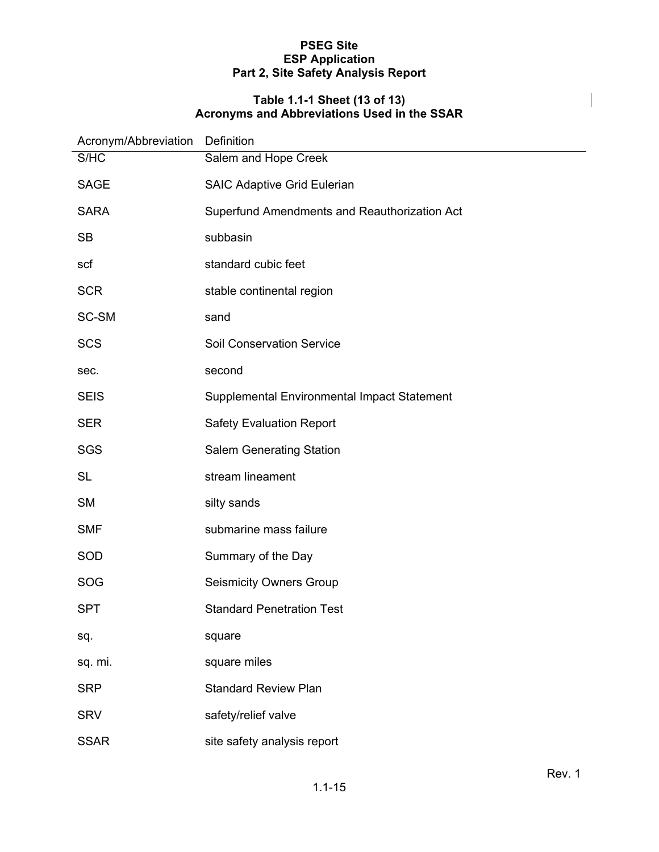#### **Table 1.1-1 Sheet (13 of 13) Acronyms and Abbreviations Used in the SSAR**

| Acronym/Abbreviation | Definition                                   |
|----------------------|----------------------------------------------|
| S/HC                 | Salem and Hope Creek                         |
| <b>SAGE</b>          | <b>SAIC Adaptive Grid Eulerian</b>           |
| <b>SARA</b>          | Superfund Amendments and Reauthorization Act |
| <b>SB</b>            | subbasin                                     |
| scf                  | standard cubic feet                          |
| <b>SCR</b>           | stable continental region                    |
| SC-SM                | sand                                         |
| <b>SCS</b>           | <b>Soil Conservation Service</b>             |
| sec.                 | second                                       |
| <b>SEIS</b>          | Supplemental Environmental Impact Statement  |
| <b>SER</b>           | <b>Safety Evaluation Report</b>              |
| <b>SGS</b>           | <b>Salem Generating Station</b>              |
| <b>SL</b>            | stream lineament                             |
| <b>SM</b>            | silty sands                                  |
| <b>SMF</b>           | submarine mass failure                       |
| SOD                  | Summary of the Day                           |
| SOG                  | <b>Seismicity Owners Group</b>               |
| <b>SPT</b>           | <b>Standard Penetration Test</b>             |
| sq.                  | square                                       |
| sq. mi.              | square miles                                 |
| <b>SRP</b>           | <b>Standard Review Plan</b>                  |
| <b>SRV</b>           | safety/relief valve                          |
| <b>SSAR</b>          | site safety analysis report                  |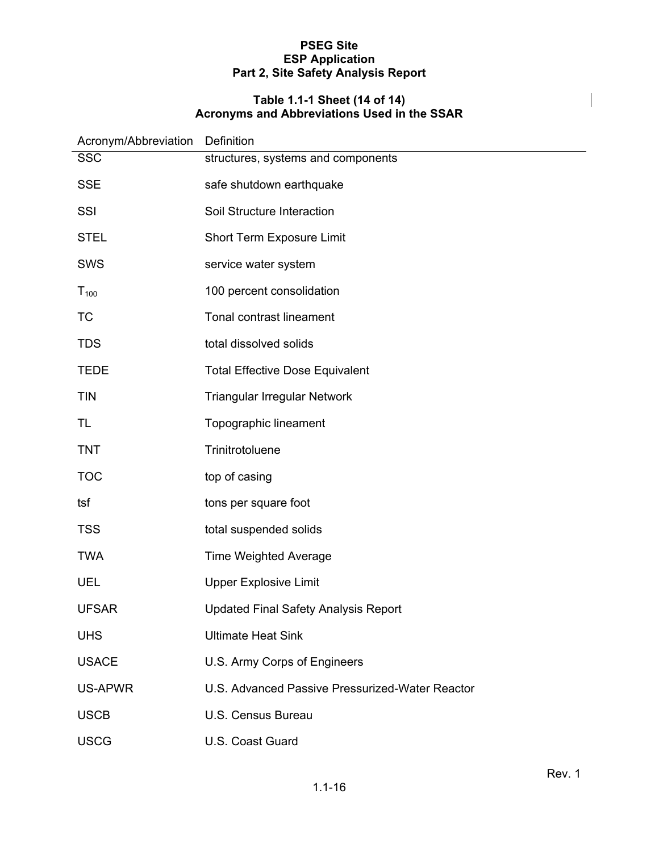#### **Table 1.1-1 Sheet (14 of 14) Acronyms and Abbreviations Used in the SSAR**

| Acronym/Abbreviation | Definition                                      |
|----------------------|-------------------------------------------------|
| <b>SSC</b>           | structures, systems and components              |
| <b>SSE</b>           | safe shutdown earthquake                        |
| SSI                  | Soil Structure Interaction                      |
| <b>STEL</b>          | Short Term Exposure Limit                       |
| <b>SWS</b>           | service water system                            |
| $T_{100}$            | 100 percent consolidation                       |
| <b>TC</b>            | Tonal contrast lineament                        |
| <b>TDS</b>           | total dissolved solids                          |
| <b>TEDE</b>          | <b>Total Effective Dose Equivalent</b>          |
| <b>TIN</b>           | Triangular Irregular Network                    |
| TL                   | Topographic lineament                           |
| <b>TNT</b>           | Trinitrotoluene                                 |
| <b>TOC</b>           | top of casing                                   |
| tsf                  | tons per square foot                            |
| <b>TSS</b>           | total suspended solids                          |
| <b>TWA</b>           | <b>Time Weighted Average</b>                    |
| <b>UEL</b>           | <b>Upper Explosive Limit</b>                    |
| <b>UFSAR</b>         | <b>Updated Final Safety Analysis Report</b>     |
| <b>UHS</b>           | <b>Ultimate Heat Sink</b>                       |
| <b>USACE</b>         | U.S. Army Corps of Engineers                    |
| US-APWR              | U.S. Advanced Passive Pressurized-Water Reactor |
| <b>USCB</b>          | U.S. Census Bureau                              |
| <b>USCG</b>          | U.S. Coast Guard                                |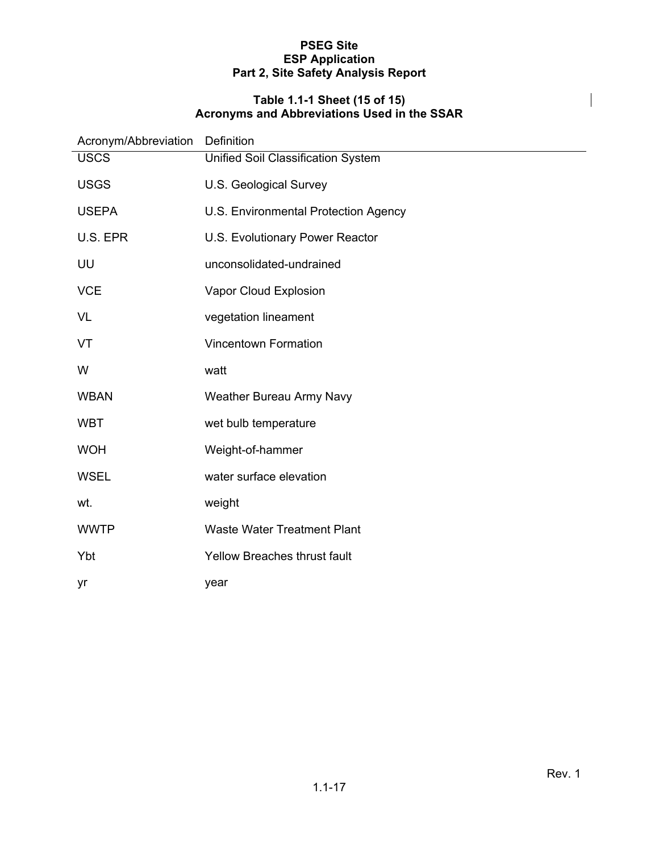#### **Table 1.1-1 Sheet (15 of 15) Acronyms and Abbreviations Used in the SSAR**

| Acronym/Abbreviation | Definition                           |  |
|----------------------|--------------------------------------|--|
| <b>USCS</b>          | Unified Soil Classification System   |  |
| <b>USGS</b>          | U.S. Geological Survey               |  |
| <b>USEPA</b>         | U.S. Environmental Protection Agency |  |
| U.S. EPR             | U.S. Evolutionary Power Reactor      |  |
| UU                   | unconsolidated-undrained             |  |
| <b>VCE</b>           | Vapor Cloud Explosion                |  |
| <b>VL</b>            | vegetation lineament                 |  |
| VT                   | <b>Vincentown Formation</b>          |  |
| W                    | watt                                 |  |
| <b>WBAN</b>          | Weather Bureau Army Navy             |  |
| <b>WBT</b>           | wet bulb temperature                 |  |
| <b>WOH</b>           | Weight-of-hammer                     |  |
| <b>WSEL</b>          | water surface elevation              |  |
| wt.                  | weight                               |  |
| <b>WWTP</b>          | <b>Waste Water Treatment Plant</b>   |  |
| Ybt                  | <b>Yellow Breaches thrust fault</b>  |  |
| yr                   | year                                 |  |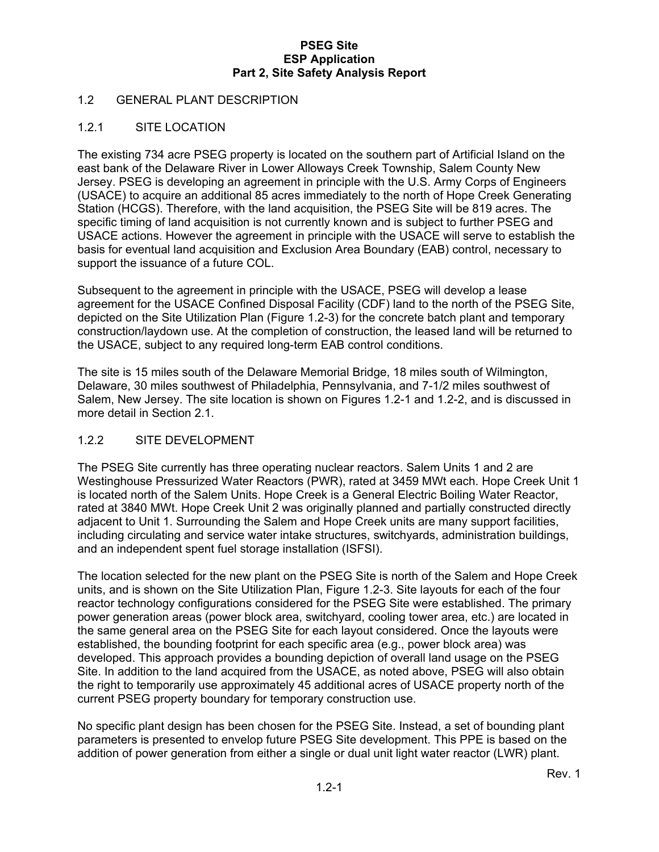#### 1.2 GENERAL PLANT DESCRIPTION

#### 1.2.1 SITE LOCATION

The existing 734 acre PSEG property is located on the southern part of Artificial Island on the east bank of the Delaware River in Lower Alloways Creek Township, Salem County New Jersey. PSEG is developing an agreement in principle with the U.S. Army Corps of Engineers (USACE) to acquire an additional 85 acres immediately to the north of Hope Creek Generating Station (HCGS). Therefore, with the land acquisition, the PSEG Site will be 819 acres. The specific timing of land acquisition is not currently known and is subject to further PSEG and USACE actions. However the agreement in principle with the USACE will serve to establish the basis for eventual land acquisition and Exclusion Area Boundary (EAB) control, necessary to support the issuance of a future COL.

Subsequent to the agreement in principle with the USACE, PSEG will develop a lease agreement for the USACE Confined Disposal Facility (CDF) land to the north of the PSEG Site, depicted on the Site Utilization Plan (Figure 1.2-3) for the concrete batch plant and temporary construction/laydown use. At the completion of construction, the leased land will be returned to the USACE, subject to any required long-term EAB control conditions.

The site is 15 miles south of the Delaware Memorial Bridge, 18 miles south of Wilmington, Delaware, 30 miles southwest of Philadelphia, Pennsylvania, and 7-1/2 miles southwest of Salem, New Jersey. The site location is shown on Figures 1.2-1 and 1.2-2, and is discussed in more detail in Section 2.1.

#### 1.2.2 SITE DEVELOPMENT

The PSEG Site currently has three operating nuclear reactors. Salem Units 1 and 2 are Westinghouse Pressurized Water Reactors (PWR), rated at 3459 MWt each. Hope Creek Unit 1 is located north of the Salem Units. Hope Creek is a General Electric Boiling Water Reactor, rated at 3840 MWt. Hope Creek Unit 2 was originally planned and partially constructed directly adjacent to Unit 1. Surrounding the Salem and Hope Creek units are many support facilities, including circulating and service water intake structures, switchyards, administration buildings, and an independent spent fuel storage installation (ISFSI).

The location selected for the new plant on the PSEG Site is north of the Salem and Hope Creek units, and is shown on the Site Utilization Plan, Figure 1.2-3. Site layouts for each of the four reactor technology configurations considered for the PSEG Site were established. The primary power generation areas (power block area, switchyard, cooling tower area, etc.) are located in the same general area on the PSEG Site for each layout considered. Once the layouts were established, the bounding footprint for each specific area (e.g., power block area) was developed. This approach provides a bounding depiction of overall land usage on the PSEG Site. In addition to the land acquired from the USACE, as noted above, PSEG will also obtain the right to temporarily use approximately 45 additional acres of USACE property north of the current PSEG property boundary for temporary construction use.

No specific plant design has been chosen for the PSEG Site. Instead, a set of bounding plant parameters is presented to envelop future PSEG Site development. This PPE is based on the addition of power generation from either a single or dual unit light water reactor (LWR) plant.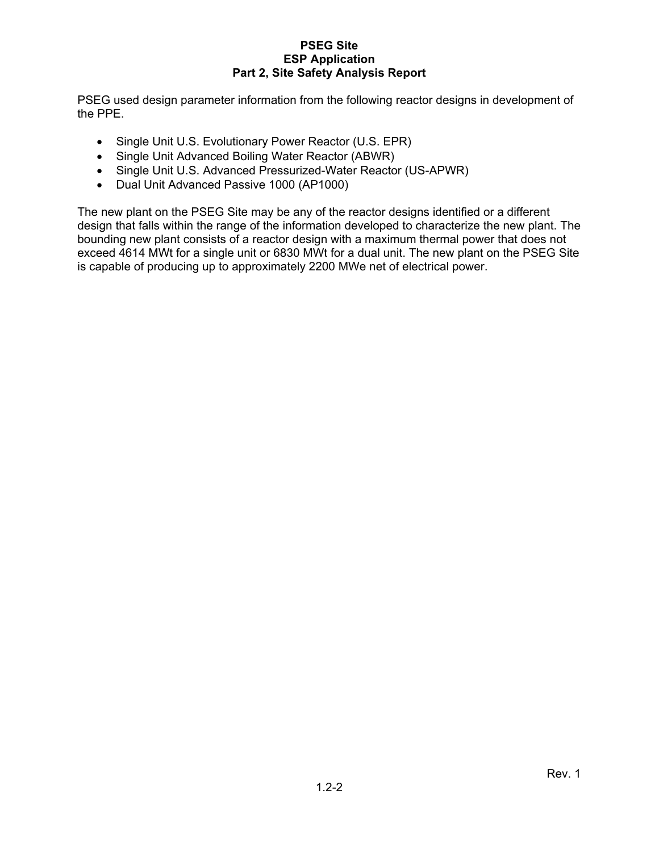PSEG used design parameter information from the following reactor designs in development of the PPE.

- Single Unit U.S. Evolutionary Power Reactor (U.S. EPR)
- Single Unit Advanced Boiling Water Reactor (ABWR)
- Single Unit U.S. Advanced Pressurized-Water Reactor (US-APWR)
- Dual Unit Advanced Passive 1000 (AP1000)

The new plant on the PSEG Site may be any of the reactor designs identified or a different design that falls within the range of the information developed to characterize the new plant. The bounding new plant consists of a reactor design with a maximum thermal power that does not exceed 4614 MWt for a single unit or 6830 MWt for a dual unit. The new plant on the PSEG Site is capable of producing up to approximately 2200 MWe net of electrical power.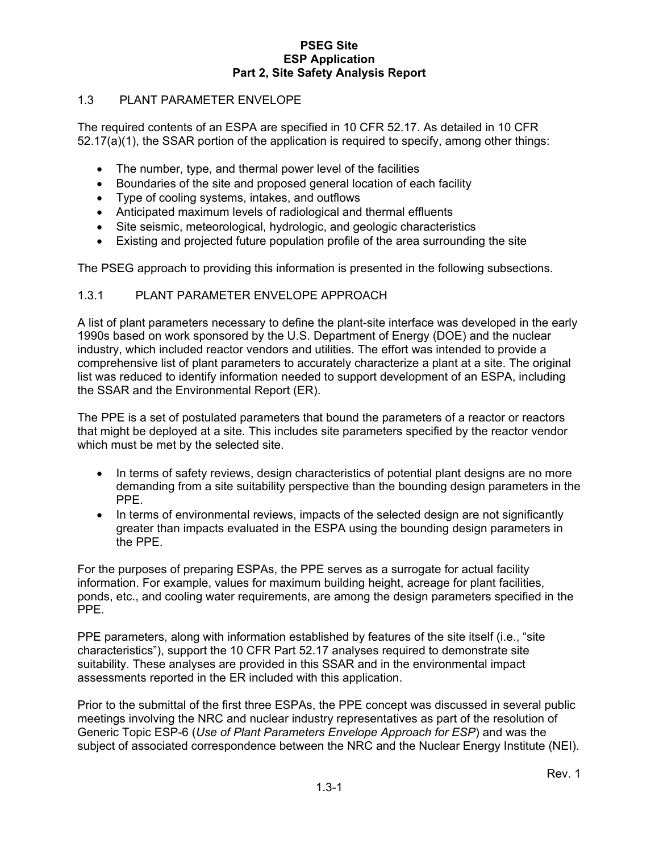#### 1.3 PLANT PARAMETER ENVELOPE

The required contents of an ESPA are specified in 10 CFR 52.17. As detailed in 10 CFR 52.17(a)(1), the SSAR portion of the application is required to specify, among other things:

- The number, type, and thermal power level of the facilities
- Boundaries of the site and proposed general location of each facility
- Type of cooling systems, intakes, and outflows
- Anticipated maximum levels of radiological and thermal effluents
- Site seismic, meteorological, hydrologic, and geologic characteristics
- Existing and projected future population profile of the area surrounding the site

The PSEG approach to providing this information is presented in the following subsections.

#### 1.3.1 PLANT PARAMETER ENVELOPE APPROACH

A list of plant parameters necessary to define the plant-site interface was developed in the early 1990s based on work sponsored by the U.S. Department of Energy (DOE) and the nuclear industry, which included reactor vendors and utilities. The effort was intended to provide a comprehensive list of plant parameters to accurately characterize a plant at a site. The original list was reduced to identify information needed to support development of an ESPA, including the SSAR and the Environmental Report (ER).

The PPE is a set of postulated parameters that bound the parameters of a reactor or reactors that might be deployed at a site. This includes site parameters specified by the reactor vendor which must be met by the selected site.

- In terms of safety reviews, design characteristics of potential plant designs are no more demanding from a site suitability perspective than the bounding design parameters in the PPE.
- In terms of environmental reviews, impacts of the selected design are not significantly greater than impacts evaluated in the ESPA using the bounding design parameters in the PPE.

For the purposes of preparing ESPAs, the PPE serves as a surrogate for actual facility information. For example, values for maximum building height, acreage for plant facilities, ponds, etc., and cooling water requirements, are among the design parameters specified in the PPE.

PPE parameters, along with information established by features of the site itself (i.e., "site characteristics"), support the 10 CFR Part 52.17 analyses required to demonstrate site suitability. These analyses are provided in this SSAR and in the environmental impact assessments reported in the ER included with this application.

Prior to the submittal of the first three ESPAs, the PPE concept was discussed in several public meetings involving the NRC and nuclear industry representatives as part of the resolution of Generic Topic ESP-6 (*Use of Plant Parameters Envelope Approach for ESP*) and was the subject of associated correspondence between the NRC and the Nuclear Energy Institute (NEI).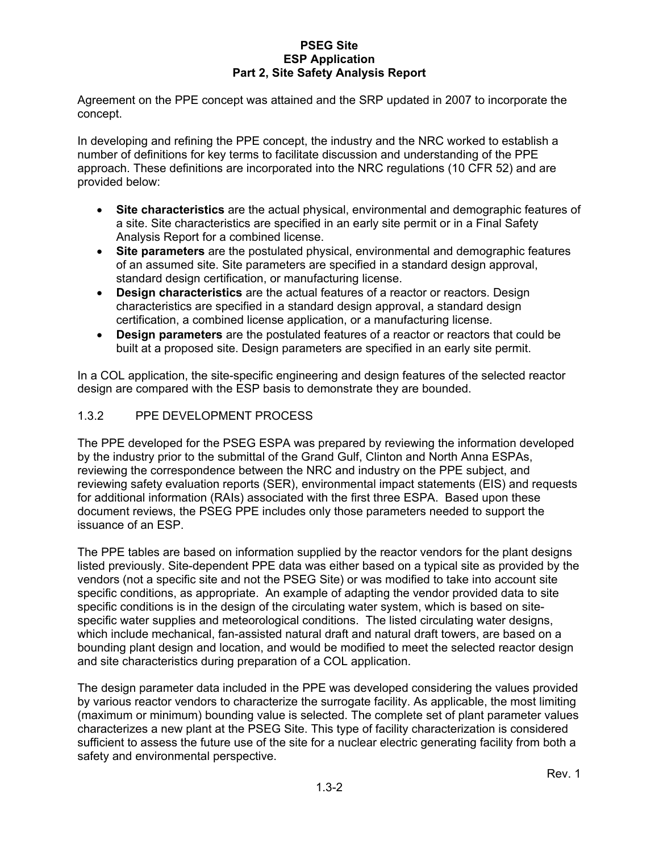Agreement on the PPE concept was attained and the SRP updated in 2007 to incorporate the concept.

In developing and refining the PPE concept, the industry and the NRC worked to establish a number of definitions for key terms to facilitate discussion and understanding of the PPE approach. These definitions are incorporated into the NRC regulations (10 CFR 52) and are provided below:

- **Site characteristics** are the actual physical, environmental and demographic features of a site. Site characteristics are specified in an early site permit or in a Final Safety Analysis Report for a combined license.
- **Site parameters** are the postulated physical, environmental and demographic features of an assumed site. Site parameters are specified in a standard design approval, standard design certification, or manufacturing license.
- **Design characteristics** are the actual features of a reactor or reactors. Design characteristics are specified in a standard design approval, a standard design certification, a combined license application, or a manufacturing license.
- **Design parameters** are the postulated features of a reactor or reactors that could be built at a proposed site. Design parameters are specified in an early site permit.

In a COL application, the site-specific engineering and design features of the selected reactor design are compared with the ESP basis to demonstrate they are bounded.

#### 1.3.2 PPE DEVELOPMENT PROCESS

The PPE developed for the PSEG ESPA was prepared by reviewing the information developed by the industry prior to the submittal of the Grand Gulf, Clinton and North Anna ESPAs, reviewing the correspondence between the NRC and industry on the PPE subject, and reviewing safety evaluation reports (SER), environmental impact statements (EIS) and requests for additional information (RAIs) associated with the first three ESPA. Based upon these document reviews, the PSEG PPE includes only those parameters needed to support the issuance of an ESP.

The PPE tables are based on information supplied by the reactor vendors for the plant designs listed previously. Site-dependent PPE data was either based on a typical site as provided by the vendors (not a specific site and not the PSEG Site) or was modified to take into account site specific conditions, as appropriate. An example of adapting the vendor provided data to site specific conditions is in the design of the circulating water system, which is based on sitespecific water supplies and meteorological conditions. The listed circulating water designs, which include mechanical, fan-assisted natural draft and natural draft towers, are based on a bounding plant design and location, and would be modified to meet the selected reactor design and site characteristics during preparation of a COL application.

The design parameter data included in the PPE was developed considering the values provided by various reactor vendors to characterize the surrogate facility. As applicable, the most limiting (maximum or minimum) bounding value is selected. The complete set of plant parameter values characterizes a new plant at the PSEG Site. This type of facility characterization is considered sufficient to assess the future use of the site for a nuclear electric generating facility from both a safety and environmental perspective.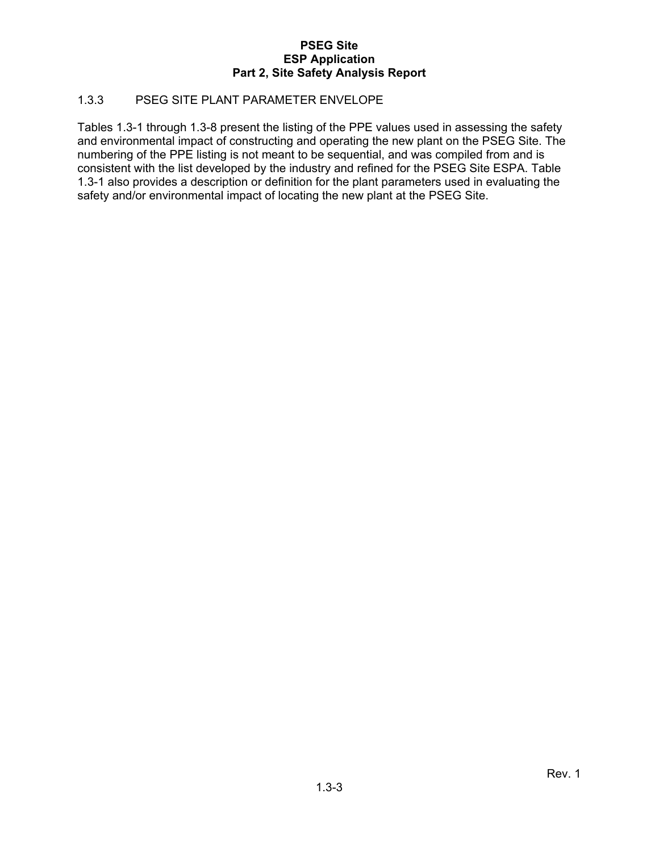#### 1.3.3 PSEG SITE PLANT PARAMETER ENVELOPE

Tables 1.3-1 through 1.3-8 present the listing of the PPE values used in assessing the safety and environmental impact of constructing and operating the new plant on the PSEG Site. The numbering of the PPE listing is not meant to be sequential, and was compiled from and is consistent with the list developed by the industry and refined for the PSEG Site ESPA. Table 1.3-1 also provides a description or definition for the plant parameters used in evaluating the safety and/or environmental impact of locating the new plant at the PSEG Site.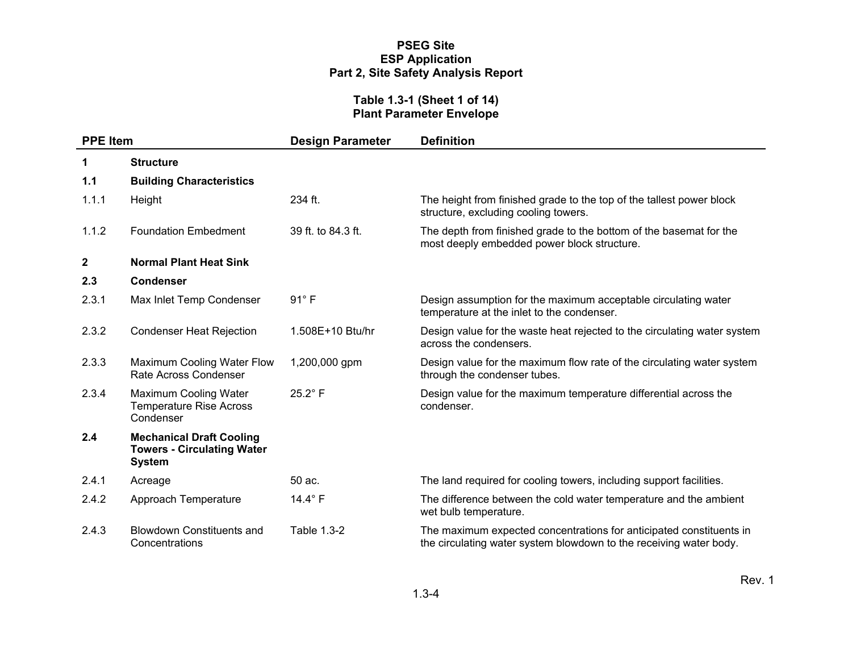#### **Table 1.3-1 (Sheet 1 of 14) Plant Parameter Envelope**

| <b>PPE Item</b> |                                                                                       | <b>Design Parameter</b> | <b>Definition</b>                                                                                                                         |
|-----------------|---------------------------------------------------------------------------------------|-------------------------|-------------------------------------------------------------------------------------------------------------------------------------------|
| 1               | <b>Structure</b>                                                                      |                         |                                                                                                                                           |
| 1.1             | <b>Building Characteristics</b>                                                       |                         |                                                                                                                                           |
| 1.1.1           | Height                                                                                | $234$ ft.               | The height from finished grade to the top of the tallest power block<br>structure, excluding cooling towers.                              |
| 1.1.2           | <b>Foundation Embedment</b>                                                           | 39 ft. to 84.3 ft.      | The depth from finished grade to the bottom of the basemat for the<br>most deeply embedded power block structure.                         |
| $\mathbf{2}$    | <b>Normal Plant Heat Sink</b>                                                         |                         |                                                                                                                                           |
| 2.3             | <b>Condenser</b>                                                                      |                         |                                                                                                                                           |
| 2.3.1           | Max Inlet Temp Condenser                                                              | $91^\circ$ F            | Design assumption for the maximum acceptable circulating water<br>temperature at the inlet to the condenser.                              |
| 2.3.2           | <b>Condenser Heat Rejection</b>                                                       | 1.508E+10 Btu/hr        | Design value for the waste heat rejected to the circulating water system<br>across the condensers.                                        |
| 2.3.3           | Maximum Cooling Water Flow<br>Rate Across Condenser                                   | 1,200,000 gpm           | Design value for the maximum flow rate of the circulating water system<br>through the condenser tubes.                                    |
| 2.3.4           | Maximum Cooling Water<br><b>Temperature Rise Across</b><br>Condenser                  | $25.2^{\circ}$ F        | Design value for the maximum temperature differential across the<br>condenser.                                                            |
| 2.4             | <b>Mechanical Draft Cooling</b><br><b>Towers - Circulating Water</b><br><b>System</b> |                         |                                                                                                                                           |
| 2.4.1           | Acreage                                                                               | 50 ac.                  | The land required for cooling towers, including support facilities.                                                                       |
| 2.4.2           | Approach Temperature                                                                  | 14.4° F                 | The difference between the cold water temperature and the ambient<br>wet bulb temperature.                                                |
| 2.4.3           | <b>Blowdown Constituents and</b><br>Concentrations                                    | Table 1.3-2             | The maximum expected concentrations for anticipated constituents in<br>the circulating water system blowdown to the receiving water body. |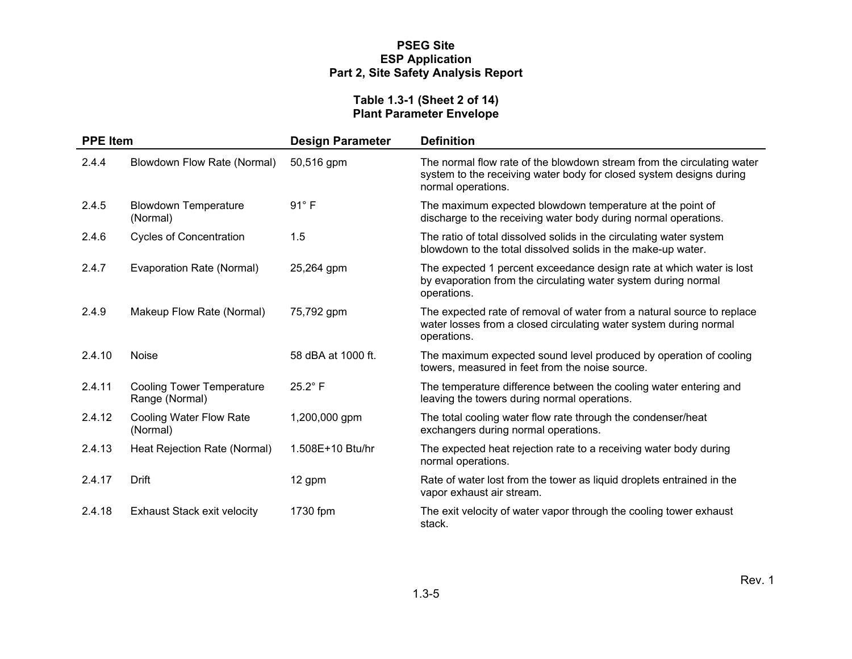#### **Table 1.3-1 (Sheet 2 of 14) Plant Parameter Envelope**

| <b>PPE Item</b> |                                                    | <b>Design Parameter</b> | <b>Definition</b>                                                                                                                                                   |
|-----------------|----------------------------------------------------|-------------------------|---------------------------------------------------------------------------------------------------------------------------------------------------------------------|
| 2.4.4           | Blowdown Flow Rate (Normal)                        | 50,516 gpm              | The normal flow rate of the blowdown stream from the circulating water<br>system to the receiving water body for closed system designs during<br>normal operations. |
| 2.4.5           | <b>Blowdown Temperature</b><br>(Normal)            | $91^\circ$ F            | The maximum expected blowdown temperature at the point of<br>discharge to the receiving water body during normal operations.                                        |
| 2.4.6           | <b>Cycles of Concentration</b>                     | 1.5                     | The ratio of total dissolved solids in the circulating water system<br>blowdown to the total dissolved solids in the make-up water.                                 |
| 2.4.7           | Evaporation Rate (Normal)                          | 25,264 gpm              | The expected 1 percent exceedance design rate at which water is lost<br>by evaporation from the circulating water system during normal<br>operations.               |
| 2.4.9           | Makeup Flow Rate (Normal)                          | 75,792 gpm              | The expected rate of removal of water from a natural source to replace<br>water losses from a closed circulating water system during normal<br>operations.          |
| 2.4.10          | <b>Noise</b>                                       | 58 dBA at 1000 ft.      | The maximum expected sound level produced by operation of cooling<br>towers, measured in feet from the noise source.                                                |
| 2.4.11          | <b>Cooling Tower Temperature</b><br>Range (Normal) | $25.2^\circ$ F          | The temperature difference between the cooling water entering and<br>leaving the towers during normal operations.                                                   |
| 2.4.12          | <b>Cooling Water Flow Rate</b><br>(Normal)         | 1,200,000 gpm           | The total cooling water flow rate through the condenser/heat<br>exchangers during normal operations.                                                                |
| 2.4.13          | Heat Rejection Rate (Normal)                       | 1.508E+10 Btu/hr        | The expected heat rejection rate to a receiving water body during<br>normal operations.                                                                             |
| 2.4.17          | Drift                                              | 12 gpm                  | Rate of water lost from the tower as liquid droplets entrained in the<br>vapor exhaust air stream.                                                                  |
| 2.4.18          | <b>Exhaust Stack exit velocity</b>                 | 1730 fpm                | The exit velocity of water vapor through the cooling tower exhaust<br>stack.                                                                                        |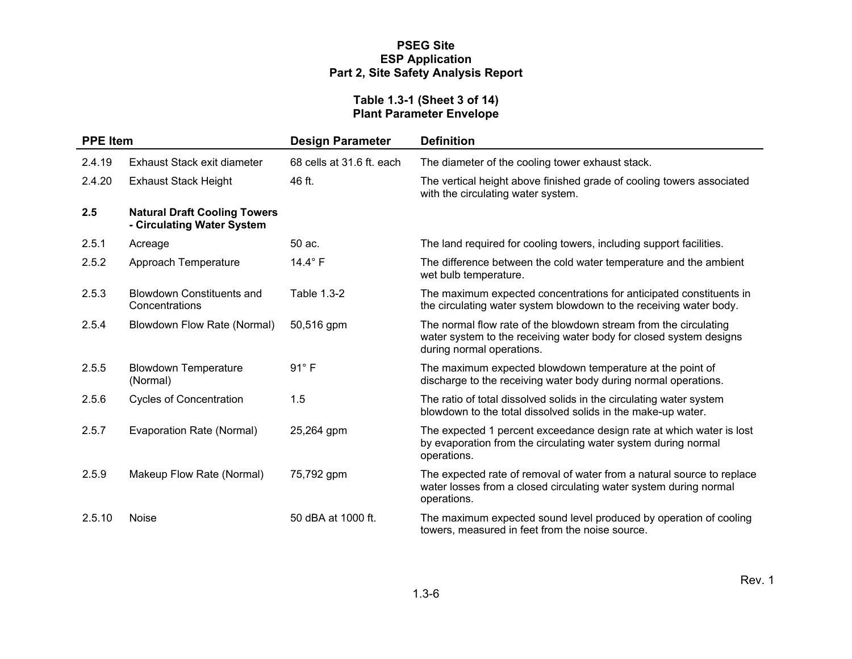#### **Table 1.3-1 (Sheet 3 of 14) Plant Parameter Envelope**

| <b>PPE Item</b> |                                                                   | <b>Design Parameter</b>   | <b>Definition</b>                                                                                                                                                   |
|-----------------|-------------------------------------------------------------------|---------------------------|---------------------------------------------------------------------------------------------------------------------------------------------------------------------|
| 2.4.19          | Exhaust Stack exit diameter                                       | 68 cells at 31.6 ft. each | The diameter of the cooling tower exhaust stack.                                                                                                                    |
| 2.4.20          | <b>Exhaust Stack Height</b>                                       | 46 ft.                    | The vertical height above finished grade of cooling towers associated<br>with the circulating water system.                                                         |
| 2.5             | <b>Natural Draft Cooling Towers</b><br>- Circulating Water System |                           |                                                                                                                                                                     |
| 2.5.1           | Acreage                                                           | 50 ac.                    | The land required for cooling towers, including support facilities.                                                                                                 |
| 2.5.2           | Approach Temperature                                              | 14.4° F                   | The difference between the cold water temperature and the ambient<br>wet bulb temperature.                                                                          |
| 2.5.3           | <b>Blowdown Constituents and</b><br>Concentrations                | Table 1.3-2               | The maximum expected concentrations for anticipated constituents in<br>the circulating water system blowdown to the receiving water body.                           |
| 2.5.4           | Blowdown Flow Rate (Normal)                                       | 50,516 gpm                | The normal flow rate of the blowdown stream from the circulating<br>water system to the receiving water body for closed system designs<br>during normal operations. |
| 2.5.5           | <b>Blowdown Temperature</b><br>(Normal)                           | $91^\circ$ F              | The maximum expected blowdown temperature at the point of<br>discharge to the receiving water body during normal operations.                                        |
| 2.5.6           | <b>Cycles of Concentration</b>                                    | 1.5                       | The ratio of total dissolved solids in the circulating water system<br>blowdown to the total dissolved solids in the make-up water.                                 |
| 2.5.7           | Evaporation Rate (Normal)                                         | 25,264 gpm                | The expected 1 percent exceedance design rate at which water is lost<br>by evaporation from the circulating water system during normal<br>operations.               |
| 2.5.9           | Makeup Flow Rate (Normal)                                         | 75,792 gpm                | The expected rate of removal of water from a natural source to replace<br>water losses from a closed circulating water system during normal<br>operations.          |
| 2.5.10          | <b>Noise</b>                                                      | 50 dBA at 1000 ft.        | The maximum expected sound level produced by operation of cooling<br>towers, measured in feet from the noise source.                                                |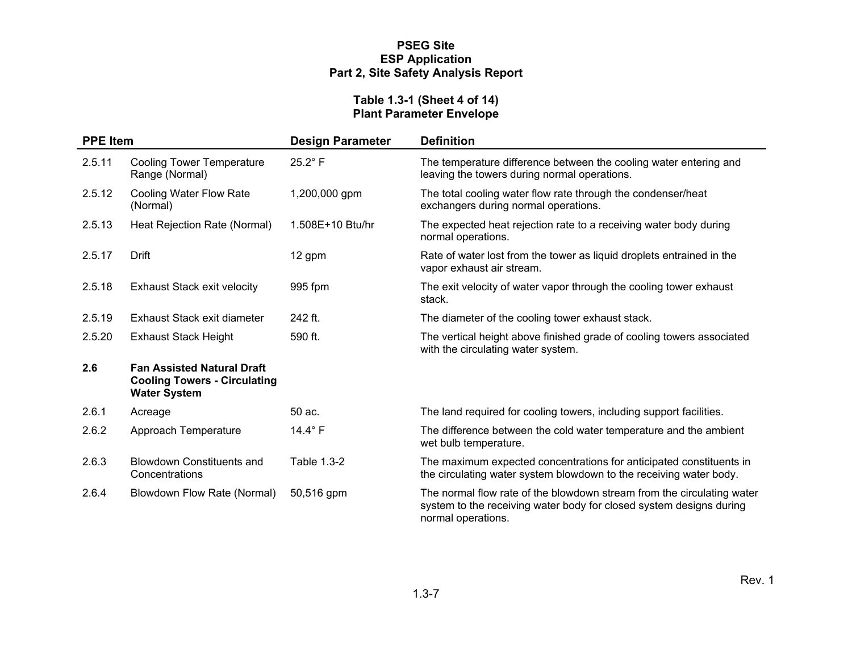#### **Table 1.3-1 (Sheet 4 of 14) Plant Parameter Envelope**

| <b>PPE Item</b> |                                                                                                 | <b>Design Parameter</b> | <b>Definition</b>                                                                                                                                                   |
|-----------------|-------------------------------------------------------------------------------------------------|-------------------------|---------------------------------------------------------------------------------------------------------------------------------------------------------------------|
| 2.5.11          | <b>Cooling Tower Temperature</b><br>Range (Normal)                                              | $25.2^{\circ}$ F        | The temperature difference between the cooling water entering and<br>leaving the towers during normal operations.                                                   |
| 2.5.12          | Cooling Water Flow Rate<br>(Normal)                                                             | 1,200,000 gpm           | The total cooling water flow rate through the condenser/heat<br>exchangers during normal operations.                                                                |
| 2.5.13          | Heat Rejection Rate (Normal)                                                                    | 1.508E+10 Btu/hr        | The expected heat rejection rate to a receiving water body during<br>normal operations.                                                                             |
| 2.5.17          | Drift                                                                                           | 12 gpm                  | Rate of water lost from the tower as liquid droplets entrained in the<br>vapor exhaust air stream.                                                                  |
| 2.5.18          | <b>Exhaust Stack exit velocity</b>                                                              | 995 fpm                 | The exit velocity of water vapor through the cooling tower exhaust<br>stack.                                                                                        |
| 2.5.19          | Exhaust Stack exit diameter                                                                     | 242 ft.                 | The diameter of the cooling tower exhaust stack.                                                                                                                    |
| 2.5.20          | <b>Exhaust Stack Height</b>                                                                     | 590 ft.                 | The vertical height above finished grade of cooling towers associated<br>with the circulating water system.                                                         |
| 2.6             | <b>Fan Assisted Natural Draft</b><br><b>Cooling Towers - Circulating</b><br><b>Water System</b> |                         |                                                                                                                                                                     |
| 2.6.1           | Acreage                                                                                         | 50 ac.                  | The land required for cooling towers, including support facilities.                                                                                                 |
| 2.6.2           | Approach Temperature                                                                            | 14.4° F                 | The difference between the cold water temperature and the ambient<br>wet bulb temperature.                                                                          |
| 2.6.3           | <b>Blowdown Constituents and</b><br>Concentrations                                              | Table 1.3-2             | The maximum expected concentrations for anticipated constituents in<br>the circulating water system blowdown to the receiving water body.                           |
| 2.6.4           | Blowdown Flow Rate (Normal)                                                                     | 50,516 gpm              | The normal flow rate of the blowdown stream from the circulating water<br>system to the receiving water body for closed system designs during<br>normal operations. |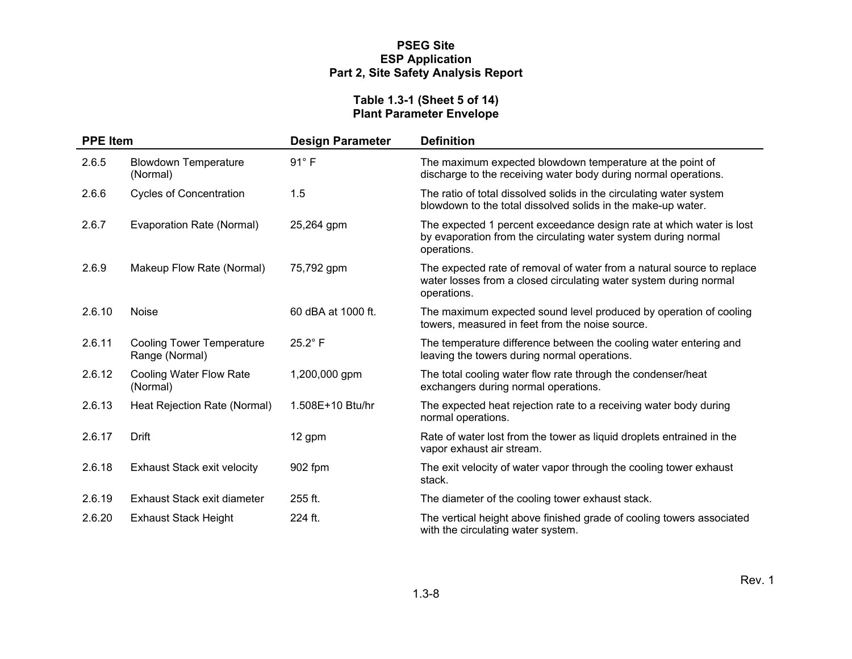#### **Table 1.3-1 (Sheet 5 of 14) Plant Parameter Envelope**

| <b>PPE Item</b> |                                                    | <b>Design Parameter</b> | <b>Definition</b>                                                                                                                                          |
|-----------------|----------------------------------------------------|-------------------------|------------------------------------------------------------------------------------------------------------------------------------------------------------|
| 2.6.5           | <b>Blowdown Temperature</b><br>(Normal)            | $91^\circ$ F            | The maximum expected blowdown temperature at the point of<br>discharge to the receiving water body during normal operations.                               |
| 2.6.6           | <b>Cycles of Concentration</b>                     | 1.5                     | The ratio of total dissolved solids in the circulating water system<br>blowdown to the total dissolved solids in the make-up water.                        |
| 2.6.7           | Evaporation Rate (Normal)                          | 25,264 gpm              | The expected 1 percent exceedance design rate at which water is lost<br>by evaporation from the circulating water system during normal<br>operations.      |
| 2.6.9           | Makeup Flow Rate (Normal)                          | 75,792 gpm              | The expected rate of removal of water from a natural source to replace<br>water losses from a closed circulating water system during normal<br>operations. |
| 2.6.10          | <b>Noise</b>                                       | 60 dBA at 1000 ft.      | The maximum expected sound level produced by operation of cooling<br>towers, measured in feet from the noise source.                                       |
| 2.6.11          | <b>Cooling Tower Temperature</b><br>Range (Normal) | $25.2^\circ$ F          | The temperature difference between the cooling water entering and<br>leaving the towers during normal operations.                                          |
| 2.6.12          | Cooling Water Flow Rate<br>(Normal)                | 1,200,000 gpm           | The total cooling water flow rate through the condenser/heat<br>exchangers during normal operations.                                                       |
| 2.6.13          | Heat Rejection Rate (Normal)                       | 1.508E+10 Btu/hr        | The expected heat rejection rate to a receiving water body during<br>normal operations.                                                                    |
| 2.6.17          | <b>Drift</b>                                       | 12 gpm                  | Rate of water lost from the tower as liquid droplets entrained in the<br>vapor exhaust air stream.                                                         |
| 2.6.18          | <b>Exhaust Stack exit velocity</b>                 | 902 fpm                 | The exit velocity of water vapor through the cooling tower exhaust<br>stack.                                                                               |
| 2.6.19          | Exhaust Stack exit diameter                        | 255 ft.                 | The diameter of the cooling tower exhaust stack.                                                                                                           |
| 2.6.20          | <b>Exhaust Stack Height</b>                        | 224 ft.                 | The vertical height above finished grade of cooling towers associated<br>with the circulating water system.                                                |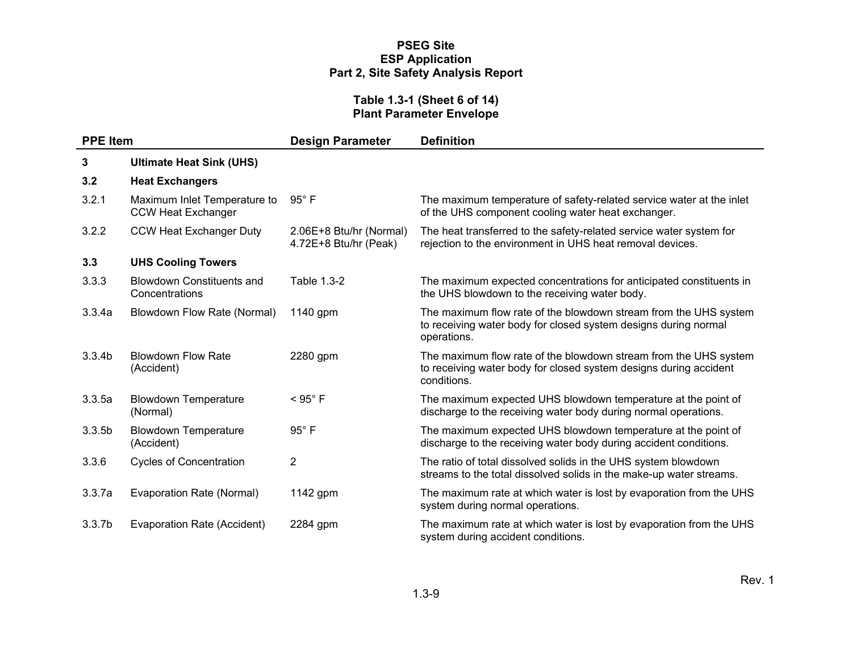#### **Table 1.3-1 (Sheet 6 of 14) Plant Parameter Envelope**

| <b>PPE Item</b>    |                                                           | <b>Design Parameter</b>                          | <b>Definition</b>                                                                                                                                    |
|--------------------|-----------------------------------------------------------|--------------------------------------------------|------------------------------------------------------------------------------------------------------------------------------------------------------|
| 3                  | <b>Ultimate Heat Sink (UHS)</b>                           |                                                  |                                                                                                                                                      |
| 3.2                | <b>Heat Exchangers</b>                                    |                                                  |                                                                                                                                                      |
| 3.2.1              | Maximum Inlet Temperature to<br><b>CCW Heat Exchanger</b> | $95^\circ$ F                                     | The maximum temperature of safety-related service water at the inlet<br>of the UHS component cooling water heat exchanger.                           |
| 3.2.2              | <b>CCW Heat Exchanger Duty</b>                            | 2.06E+8 Btu/hr (Normal)<br>4.72E+8 Btu/hr (Peak) | The heat transferred to the safety-related service water system for<br>rejection to the environment in UHS heat removal devices.                     |
| 3.3                | <b>UHS Cooling Towers</b>                                 |                                                  |                                                                                                                                                      |
| 3.3.3              | <b>Blowdown Constituents and</b><br>Concentrations        | Table 1.3-2                                      | The maximum expected concentrations for anticipated constituents in<br>the UHS blowdown to the receiving water body.                                 |
| 3.3.4a             | Blowdown Flow Rate (Normal)                               | 1140 gpm                                         | The maximum flow rate of the blowdown stream from the UHS system<br>to receiving water body for closed system designs during normal<br>operations.   |
| 3.3.4 <sub>b</sub> | <b>Blowdown Flow Rate</b><br>(Accident)                   | 2280 gpm                                         | The maximum flow rate of the blowdown stream from the UHS system<br>to receiving water body for closed system designs during accident<br>conditions. |
| 3.3.5a             | <b>Blowdown Temperature</b><br>(Normal)                   | $<$ 95 $^{\circ}$ F                              | The maximum expected UHS blowdown temperature at the point of<br>discharge to the receiving water body during normal operations.                     |
| 3.3.5 <sub>b</sub> | <b>Blowdown Temperature</b><br>(Accident)                 | 95°F                                             | The maximum expected UHS blowdown temperature at the point of<br>discharge to the receiving water body during accident conditions.                   |
| 3.3.6              | <b>Cycles of Concentration</b>                            | $\overline{2}$                                   | The ratio of total dissolved solids in the UHS system blowdown<br>streams to the total dissolved solids in the make-up water streams.                |
| 3.3.7a             | Evaporation Rate (Normal)                                 | 1142 gpm                                         | The maximum rate at which water is lost by evaporation from the UHS<br>system during normal operations.                                              |
| 3.3.7 <sub>b</sub> | Evaporation Rate (Accident)                               | 2284 gpm                                         | The maximum rate at which water is lost by evaporation from the UHS<br>system during accident conditions.                                            |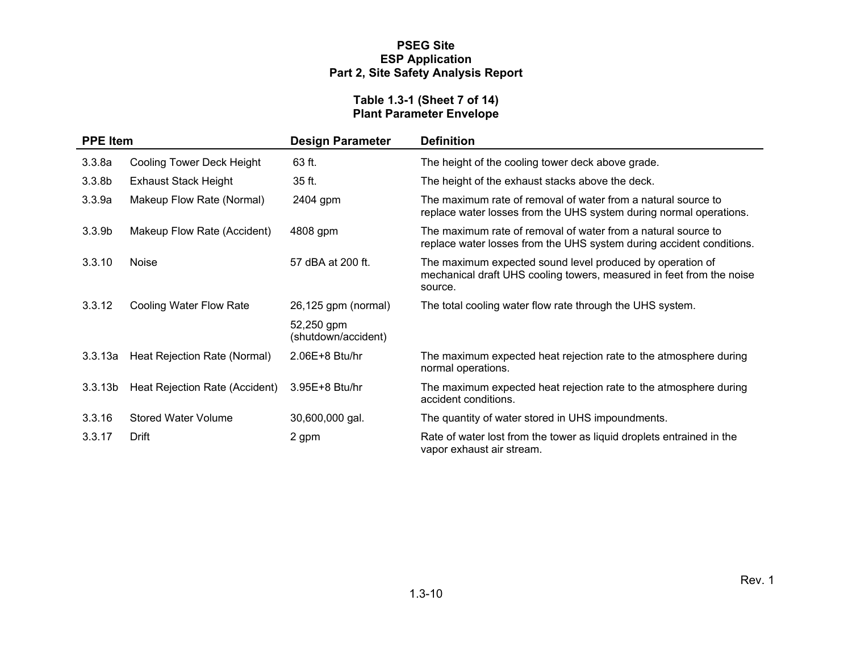#### **Table 1.3-1 (Sheet 7 of 14) Plant Parameter Envelope**

| <b>PPE Item</b>     |                                | <b>Design Parameter</b>           | <b>Definition</b>                                                                                                                            |
|---------------------|--------------------------------|-----------------------------------|----------------------------------------------------------------------------------------------------------------------------------------------|
| 3.3.8a              | Cooling Tower Deck Height      | 63 ft.                            | The height of the cooling tower deck above grade.                                                                                            |
| 3.3.8 <sub>b</sub>  | <b>Exhaust Stack Height</b>    | 35 ft.                            | The height of the exhaust stacks above the deck.                                                                                             |
| 3.3.9a              | Makeup Flow Rate (Normal)      | 2404 gpm                          | The maximum rate of removal of water from a natural source to<br>replace water losses from the UHS system during normal operations.          |
| 3.3.9 <sub>b</sub>  | Makeup Flow Rate (Accident)    | 4808 gpm                          | The maximum rate of removal of water from a natural source to<br>replace water losses from the UHS system during accident conditions.        |
| 3.3.10              | Noise                          | 57 dBA at 200 ft.                 | The maximum expected sound level produced by operation of<br>mechanical draft UHS cooling towers, measured in feet from the noise<br>source. |
| 3.3.12              | Cooling Water Flow Rate        | 26,125 gpm (normal)               | The total cooling water flow rate through the UHS system.                                                                                    |
|                     |                                | 52,250 gpm<br>(shutdown/accident) |                                                                                                                                              |
| 3.3.13a             | Heat Rejection Rate (Normal)   | 2.06E+8 Btu/hr                    | The maximum expected heat rejection rate to the atmosphere during<br>normal operations.                                                      |
| 3.3.13 <sub>b</sub> | Heat Rejection Rate (Accident) | 3.95E+8 Btu/hr                    | The maximum expected heat rejection rate to the atmosphere during<br>accident conditions.                                                    |
| 3.3.16              | <b>Stored Water Volume</b>     | 30,600,000 gal.                   | The quantity of water stored in UHS impoundments.                                                                                            |
| 3.3.17              | Drift                          | 2 gpm                             | Rate of water lost from the tower as liquid droplets entrained in the<br>vapor exhaust air stream.                                           |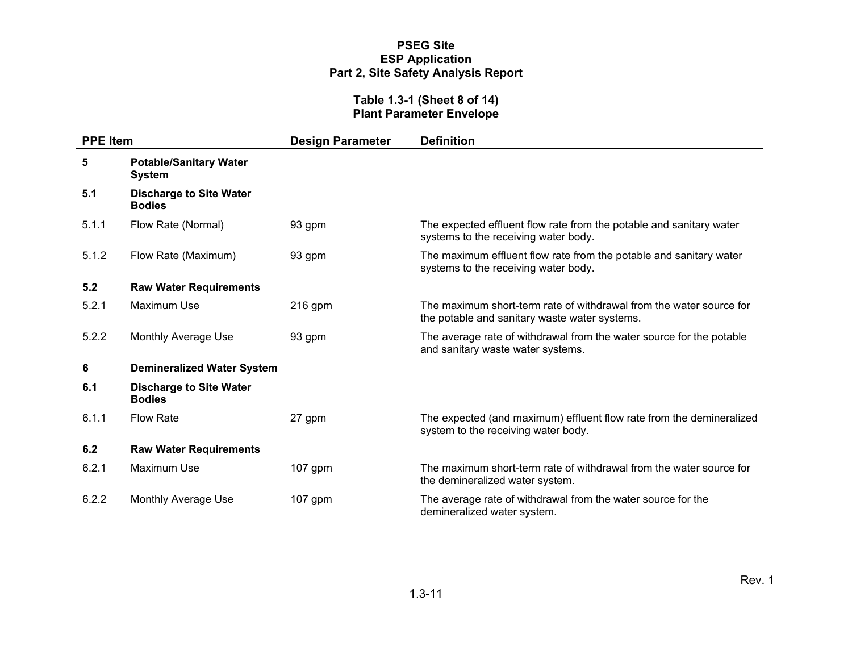#### **Table 1.3-1 (Sheet 8 of 14) Plant Parameter Envelope**

| <b>PPE Item</b> |                                                 | <b>Design Parameter</b> | <b>Definition</b>                                                                                                    |
|-----------------|-------------------------------------------------|-------------------------|----------------------------------------------------------------------------------------------------------------------|
| 5               | <b>Potable/Sanitary Water</b><br>System         |                         |                                                                                                                      |
| 5.1             | <b>Discharge to Site Water</b><br><b>Bodies</b> |                         |                                                                                                                      |
| 5.1.1           | Flow Rate (Normal)                              | 93 gpm                  | The expected effluent flow rate from the potable and sanitary water<br>systems to the receiving water body.          |
| 5.1.2           | Flow Rate (Maximum)                             | 93 gpm                  | The maximum effluent flow rate from the potable and sanitary water<br>systems to the receiving water body.           |
| 5.2             | <b>Raw Water Requirements</b>                   |                         |                                                                                                                      |
| 5.2.1           | Maximum Use                                     | $216$ gpm               | The maximum short-term rate of withdrawal from the water source for<br>the potable and sanitary waste water systems. |
| 5.2.2           | Monthly Average Use                             | 93 gpm                  | The average rate of withdrawal from the water source for the potable<br>and sanitary waste water systems.            |
| 6               | <b>Demineralized Water System</b>               |                         |                                                                                                                      |
| 6.1             | <b>Discharge to Site Water</b><br><b>Bodies</b> |                         |                                                                                                                      |
| 6.1.1           | <b>Flow Rate</b>                                | 27 gpm                  | The expected (and maximum) effluent flow rate from the demineralized<br>system to the receiving water body.          |
| 6.2             | <b>Raw Water Requirements</b>                   |                         |                                                                                                                      |
| 6.2.1           | Maximum Use                                     | $107$ gpm               | The maximum short-term rate of withdrawal from the water source for<br>the demineralized water system.               |
| 6.2.2           | Monthly Average Use                             | $107$ gpm               | The average rate of withdrawal from the water source for the<br>demineralized water system.                          |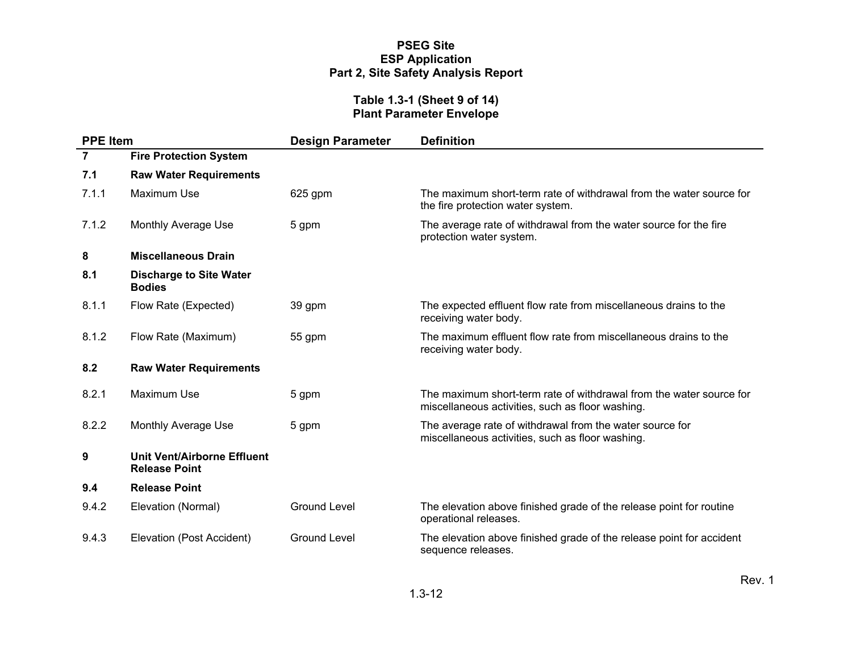#### **Table 1.3-1 (Sheet 9 of 14) Plant Parameter Envelope**

| <b>PPE Item</b> |                                                                                                                                                     | <b>Design Parameter</b> | <b>Definition</b>                                                                                                       |  |  |
|-----------------|-----------------------------------------------------------------------------------------------------------------------------------------------------|-------------------------|-------------------------------------------------------------------------------------------------------------------------|--|--|
| $\overline{7}$  | <b>Fire Protection System</b>                                                                                                                       |                         |                                                                                                                         |  |  |
| 7.1             | <b>Raw Water Requirements</b>                                                                                                                       |                         |                                                                                                                         |  |  |
| 7.1.1           | <b>Maximum Use</b>                                                                                                                                  | 625 gpm                 | The maximum short-term rate of withdrawal from the water source for<br>the fire protection water system.                |  |  |
| 7.1.2           | <b>Monthly Average Use</b><br>5 gpm                                                                                                                 |                         | The average rate of withdrawal from the water source for the fire<br>protection water system.                           |  |  |
| 8               | <b>Miscellaneous Drain</b>                                                                                                                          |                         |                                                                                                                         |  |  |
| 8.1             | <b>Discharge to Site Water</b><br><b>Bodies</b>                                                                                                     |                         |                                                                                                                         |  |  |
| 8.1.1           | Flow Rate (Expected)                                                                                                                                | 39 gpm                  | The expected effluent flow rate from miscellaneous drains to the<br>receiving water body.                               |  |  |
| 8.1.2           | Flow Rate (Maximum)                                                                                                                                 | 55 gpm                  | The maximum effluent flow rate from miscellaneous drains to the<br>receiving water body.                                |  |  |
| 8.2             | <b>Raw Water Requirements</b>                                                                                                                       |                         |                                                                                                                         |  |  |
| 8.2.1           | <b>Maximum Use</b>                                                                                                                                  | 5 gpm                   | The maximum short-term rate of withdrawal from the water source for<br>miscellaneous activities, such as floor washing. |  |  |
| 8.2.2           | <b>Monthly Average Use</b><br>The average rate of withdrawal from the water source for<br>5 gpm<br>miscellaneous activities, such as floor washing. |                         |                                                                                                                         |  |  |
| 9               | Unit Vent/Airborne Effluent<br><b>Release Point</b>                                                                                                 |                         |                                                                                                                         |  |  |
| 9.4             | <b>Release Point</b>                                                                                                                                |                         |                                                                                                                         |  |  |
| 9.4.2           | Elevation (Normal)                                                                                                                                  | <b>Ground Level</b>     | The elevation above finished grade of the release point for routine<br>operational releases.                            |  |  |
| 9.4.3           | Elevation (Post Accident)                                                                                                                           | <b>Ground Level</b>     | The elevation above finished grade of the release point for accident<br>sequence releases.                              |  |  |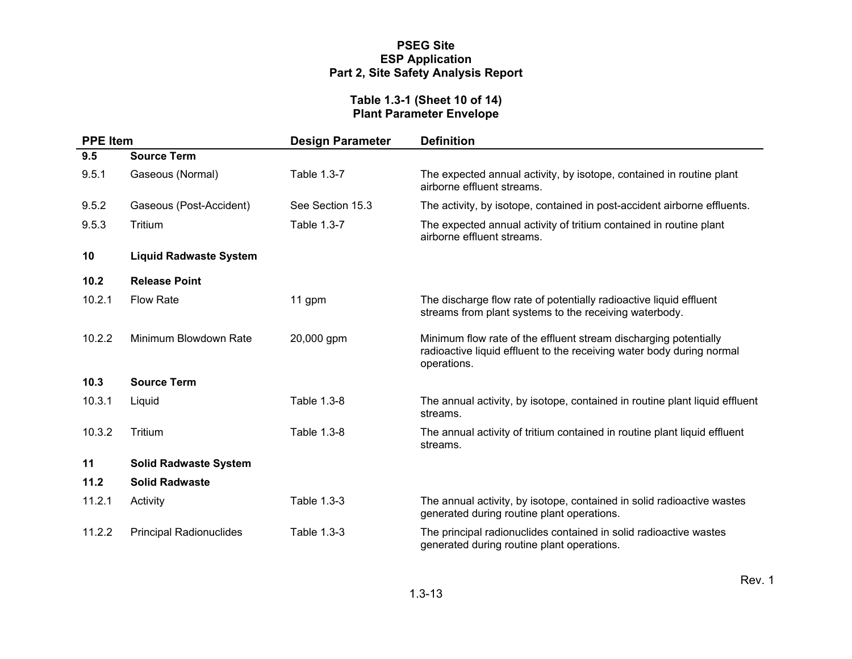#### **Table 1.3-1 (Sheet 10 of 14) Plant Parameter Envelope**

| <b>PPE Item</b> |                                | <b>Design Parameter</b> | <b>Definition</b>                                                                                                                                        |
|-----------------|--------------------------------|-------------------------|----------------------------------------------------------------------------------------------------------------------------------------------------------|
| 9.5             | <b>Source Term</b>             |                         |                                                                                                                                                          |
| 9.5.1           | Gaseous (Normal)               | Table 1.3-7             | The expected annual activity, by isotope, contained in routine plant<br>airborne effluent streams.                                                       |
| 9.5.2           | Gaseous (Post-Accident)        | See Section 15.3        | The activity, by isotope, contained in post-accident airborne effluents.                                                                                 |
| 9.5.3           | Tritium                        | Table 1.3-7             | The expected annual activity of tritium contained in routine plant<br>airborne effluent streams.                                                         |
| 10              | <b>Liquid Radwaste System</b>  |                         |                                                                                                                                                          |
| 10.2            | <b>Release Point</b>           |                         |                                                                                                                                                          |
| 10.2.1          | <b>Flow Rate</b>               | 11 gpm                  | The discharge flow rate of potentially radioactive liquid effluent<br>streams from plant systems to the receiving waterbody.                             |
| 10.2.2          | Minimum Blowdown Rate          | 20,000 gpm              | Minimum flow rate of the effluent stream discharging potentially<br>radioactive liquid effluent to the receiving water body during normal<br>operations. |
| 10.3            | <b>Source Term</b>             |                         |                                                                                                                                                          |
| 10.3.1          | Liquid                         | Table 1.3-8             | The annual activity, by isotope, contained in routine plant liquid effluent<br>streams.                                                                  |
| 10.3.2          | Tritium                        | Table 1.3-8             | The annual activity of tritium contained in routine plant liquid effluent<br>streams.                                                                    |
| 11              | <b>Solid Radwaste System</b>   |                         |                                                                                                                                                          |
| 11.2            | <b>Solid Radwaste</b>          |                         |                                                                                                                                                          |
| 11.2.1          | Activity                       | Table 1.3-3             | The annual activity, by isotope, contained in solid radioactive wastes<br>generated during routine plant operations.                                     |
| 11.2.2          | <b>Principal Radionuclides</b> | Table 1.3-3             | The principal radionuclides contained in solid radioactive wastes<br>generated during routine plant operations.                                          |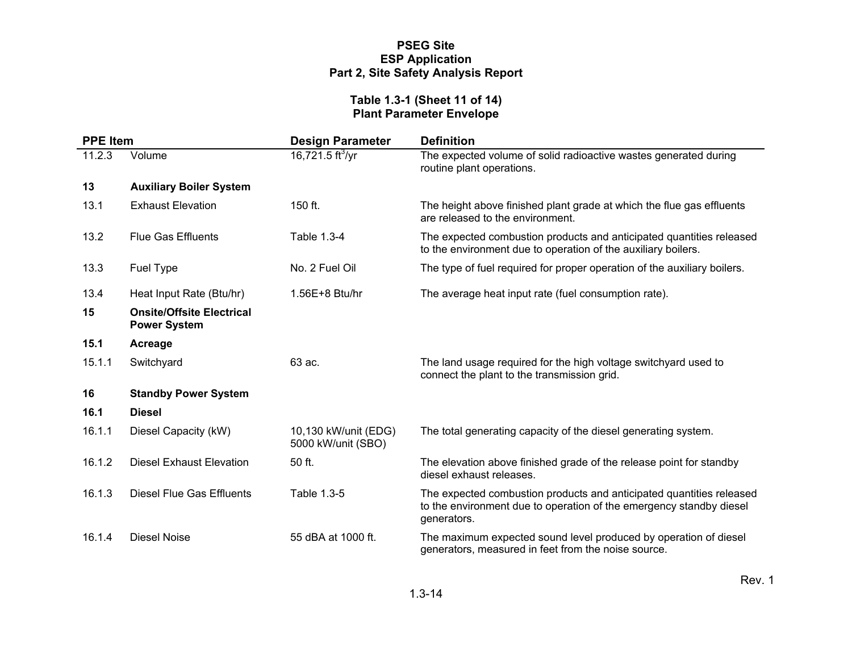#### **Table 1.3-1 (Sheet 11 of 14) Plant Parameter Envelope**

| <b>PPE Item</b> |                                                         | <b>Design Parameter</b>                    | <b>Definition</b>                                                                                                                                          |  |  |
|-----------------|---------------------------------------------------------|--------------------------------------------|------------------------------------------------------------------------------------------------------------------------------------------------------------|--|--|
| 11.2.3          | Volume                                                  | 16,721.5 ft $\sqrt[3]{yr}$                 | The expected volume of solid radioactive wastes generated during<br>routine plant operations.                                                              |  |  |
| 13              | <b>Auxiliary Boiler System</b>                          |                                            |                                                                                                                                                            |  |  |
| 13.1            | <b>Exhaust Elevation</b>                                | 150 ft.                                    | The height above finished plant grade at which the flue gas effluents<br>are released to the environment.                                                  |  |  |
| 13.2            | <b>Flue Gas Effluents</b>                               | Table 1.3-4                                | The expected combustion products and anticipated quantities released<br>to the environment due to operation of the auxiliary boilers.                      |  |  |
| 13.3            | Fuel Type                                               | No. 2 Fuel Oil                             | The type of fuel required for proper operation of the auxiliary boilers.                                                                                   |  |  |
| 13.4            | Heat Input Rate (Btu/hr)                                | 1.56E+8 Btu/hr                             | The average heat input rate (fuel consumption rate).                                                                                                       |  |  |
| 15              | <b>Onsite/Offsite Electrical</b><br><b>Power System</b> |                                            |                                                                                                                                                            |  |  |
| 15.1            | Acreage                                                 |                                            |                                                                                                                                                            |  |  |
| 15.1.1          | Switchyard                                              | 63 ac.                                     | The land usage required for the high voltage switchyard used to<br>connect the plant to the transmission grid.                                             |  |  |
| 16              | <b>Standby Power System</b>                             |                                            |                                                                                                                                                            |  |  |
| 16.1            | <b>Diesel</b>                                           |                                            |                                                                                                                                                            |  |  |
| 16.1.1          | Diesel Capacity (kW)                                    | 10,130 kW/unit (EDG)<br>5000 kW/unit (SBO) | The total generating capacity of the diesel generating system.                                                                                             |  |  |
| 16.1.2          | <b>Diesel Exhaust Elevation</b>                         | 50 ft.                                     | The elevation above finished grade of the release point for standby<br>diesel exhaust releases.                                                            |  |  |
| 16.1.3          | <b>Diesel Flue Gas Effluents</b>                        | Table 1.3-5                                | The expected combustion products and anticipated quantities released<br>to the environment due to operation of the emergency standby diesel<br>generators. |  |  |
| 16.1.4          | Diesel Noise                                            | 55 dBA at 1000 ft.                         | The maximum expected sound level produced by operation of diesel<br>generators, measured in feet from the noise source.                                    |  |  |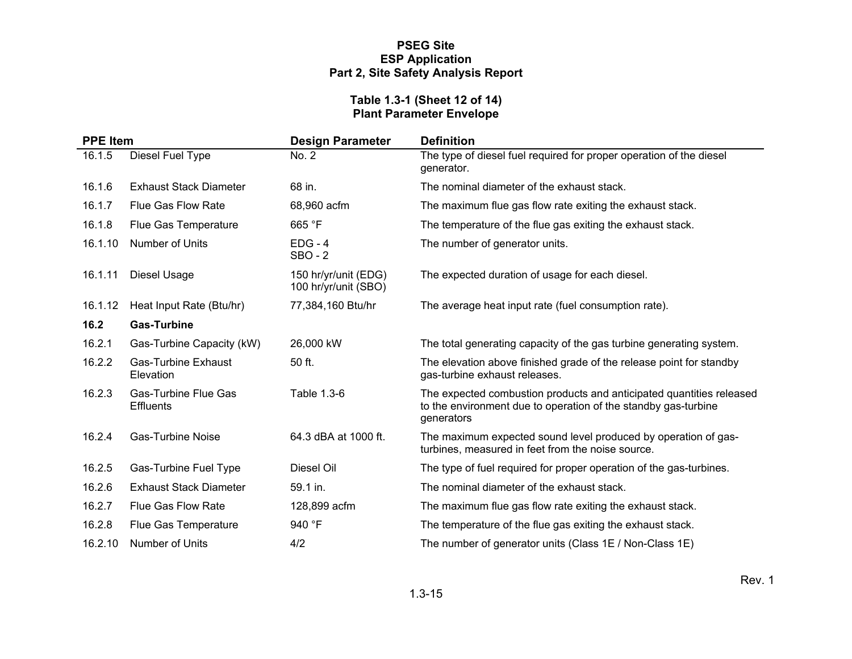#### **Table 1.3-1 (Sheet 12 of 14) Plant Parameter Envelope**

| <b>PPE Item</b> |                                                 | <b>Design Parameter</b>                      | <b>Definition</b>                                                                                                                                    |  |  |
|-----------------|-------------------------------------------------|----------------------------------------------|------------------------------------------------------------------------------------------------------------------------------------------------------|--|--|
| 16.1.5          | Diesel Fuel Type                                | No. 2                                        | The type of diesel fuel required for proper operation of the diesel<br>generator.                                                                    |  |  |
| 16.1.6          | <b>Exhaust Stack Diameter</b>                   | 68 in.                                       | The nominal diameter of the exhaust stack.                                                                                                           |  |  |
| 16.1.7          | <b>Flue Gas Flow Rate</b>                       | 68,960 acfm                                  | The maximum flue gas flow rate exiting the exhaust stack.                                                                                            |  |  |
| 16.1.8          | Flue Gas Temperature                            | 665 °F                                       | The temperature of the flue gas exiting the exhaust stack.                                                                                           |  |  |
| 16.1.10         | Number of Units                                 | $EDG - 4$<br>$SBO - 2$                       | The number of generator units.                                                                                                                       |  |  |
| 16.1.11         | Diesel Usage                                    | 150 hr/yr/unit (EDG)<br>100 hr/yr/unit (SBO) | The expected duration of usage for each diesel.                                                                                                      |  |  |
| 16.1.12         | Heat Input Rate (Btu/hr)                        | 77,384,160 Btu/hr                            | The average heat input rate (fuel consumption rate).                                                                                                 |  |  |
| 16.2            | <b>Gas-Turbine</b>                              |                                              |                                                                                                                                                      |  |  |
| 16.2.1          | Gas-Turbine Capacity (kW)                       | 26,000 kW                                    | The total generating capacity of the gas turbine generating system.                                                                                  |  |  |
| 16.2.2          | <b>Gas-Turbine Exhaust</b><br>Elevation         | 50 ft.                                       | The elevation above finished grade of the release point for standby<br>gas-turbine exhaust releases.                                                 |  |  |
| 16.2.3          | <b>Gas-Turbine Flue Gas</b><br><b>Effluents</b> | Table 1.3-6                                  | The expected combustion products and anticipated quantities released<br>to the environment due to operation of the standby gas-turbine<br>generators |  |  |
| 16.2.4          | <b>Gas-Turbine Noise</b>                        | 64.3 dBA at 1000 ft.                         | The maximum expected sound level produced by operation of gas-<br>turbines, measured in feet from the noise source.                                  |  |  |
| 16.2.5          | Gas-Turbine Fuel Type                           | Diesel Oil                                   | The type of fuel required for proper operation of the gas-turbines.                                                                                  |  |  |
| 16.2.6          | <b>Exhaust Stack Diameter</b>                   | 59.1 in.                                     | The nominal diameter of the exhaust stack.                                                                                                           |  |  |
| 16.2.7          | <b>Flue Gas Flow Rate</b>                       | 128,899 acfm                                 | The maximum flue gas flow rate exiting the exhaust stack.                                                                                            |  |  |
| 16.2.8          | Flue Gas Temperature                            | 940 °F                                       | The temperature of the flue gas exiting the exhaust stack.                                                                                           |  |  |
| 16.2.10         | <b>Number of Units</b>                          | 4/2                                          | The number of generator units (Class 1E / Non-Class 1E)                                                                                              |  |  |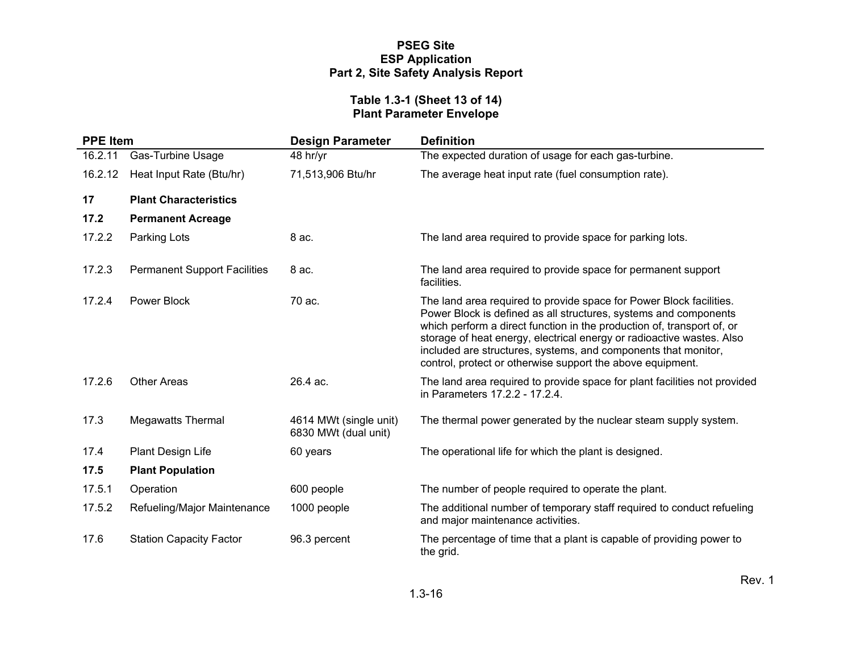#### **Table 1.3-1 (Sheet 13 of 14) Plant Parameter Envelope**

| <b>PPE Item</b> |                                     | <b>Design Parameter</b>                        | <b>Definition</b>                                                                                                                                                                                                                                                                                                                                                                                                          |  |  |
|-----------------|-------------------------------------|------------------------------------------------|----------------------------------------------------------------------------------------------------------------------------------------------------------------------------------------------------------------------------------------------------------------------------------------------------------------------------------------------------------------------------------------------------------------------------|--|--|
| 16.2.11         | <b>Gas-Turbine Usage</b>            | 48 hr/yr                                       | The expected duration of usage for each gas-turbine.                                                                                                                                                                                                                                                                                                                                                                       |  |  |
| 16.2.12         | Heat Input Rate (Btu/hr)            | 71,513,906 Btu/hr                              | The average heat input rate (fuel consumption rate).                                                                                                                                                                                                                                                                                                                                                                       |  |  |
| 17              | <b>Plant Characteristics</b>        |                                                |                                                                                                                                                                                                                                                                                                                                                                                                                            |  |  |
| 17.2            | <b>Permanent Acreage</b>            |                                                |                                                                                                                                                                                                                                                                                                                                                                                                                            |  |  |
| 17.2.2          | Parking Lots                        | 8 ac.                                          | The land area required to provide space for parking lots.                                                                                                                                                                                                                                                                                                                                                                  |  |  |
| 17.2.3          | <b>Permanent Support Facilities</b> | 8 ac.                                          | The land area required to provide space for permanent support<br>facilities.                                                                                                                                                                                                                                                                                                                                               |  |  |
| 17.2.4          | Power Block                         | 70 ac.                                         | The land area required to provide space for Power Block facilities.<br>Power Block is defined as all structures, systems and components<br>which perform a direct function in the production of, transport of, or<br>storage of heat energy, electrical energy or radioactive wastes. Also<br>included are structures, systems, and components that monitor,<br>control, protect or otherwise support the above equipment. |  |  |
| 17.2.6          | <b>Other Areas</b>                  | 26.4 ac.                                       | The land area required to provide space for plant facilities not provided<br>in Parameters 17.2.2 - 17.2.4.                                                                                                                                                                                                                                                                                                                |  |  |
| 17.3            | <b>Megawatts Thermal</b>            | 4614 MWt (single unit)<br>6830 MWt (dual unit) | The thermal power generated by the nuclear steam supply system.                                                                                                                                                                                                                                                                                                                                                            |  |  |
| 17.4            | Plant Design Life                   | 60 years                                       | The operational life for which the plant is designed.                                                                                                                                                                                                                                                                                                                                                                      |  |  |
| 17.5            | <b>Plant Population</b>             |                                                |                                                                                                                                                                                                                                                                                                                                                                                                                            |  |  |
| 17.5.1          | Operation                           | 600 people                                     | The number of people required to operate the plant.                                                                                                                                                                                                                                                                                                                                                                        |  |  |
| 17.5.2          | Refueling/Major Maintenance         | 1000 people                                    | The additional number of temporary staff required to conduct refueling<br>and major maintenance activities.                                                                                                                                                                                                                                                                                                                |  |  |
| 17.6            | <b>Station Capacity Factor</b>      | 96.3 percent                                   | The percentage of time that a plant is capable of providing power to<br>the grid.                                                                                                                                                                                                                                                                                                                                          |  |  |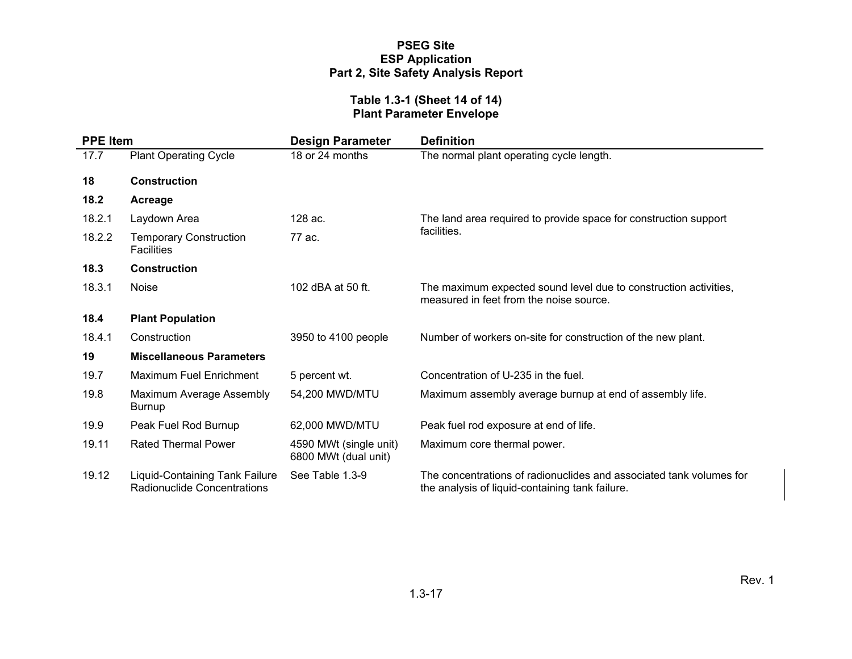#### **Table 1.3-1 (Sheet 14 of 14) Plant Parameter Envelope**

| <b>PPE Item</b> |                                                                      | <b>Design Parameter</b>                        | <b>Definition</b>                                                                                                      |  |  |
|-----------------|----------------------------------------------------------------------|------------------------------------------------|------------------------------------------------------------------------------------------------------------------------|--|--|
| 17.7            | <b>Plant Operating Cycle</b>                                         | 18 or 24 months                                | The normal plant operating cycle length.                                                                               |  |  |
| 18              | <b>Construction</b>                                                  |                                                |                                                                                                                        |  |  |
| 18.2            | Acreage                                                              |                                                |                                                                                                                        |  |  |
| 18.2.1          | Laydown Area                                                         | 128 ac.                                        | The land area required to provide space for construction support                                                       |  |  |
| 18.2.2          | <b>Temporary Construction</b><br><b>Facilities</b>                   | 77 ac.                                         | facilities.                                                                                                            |  |  |
| 18.3            | <b>Construction</b>                                                  |                                                |                                                                                                                        |  |  |
| 18.3.1          | <b>Noise</b>                                                         | 102 dBA at 50 ft.                              | The maximum expected sound level due to construction activities,<br>measured in feet from the noise source.            |  |  |
| 18.4            | <b>Plant Population</b>                                              |                                                |                                                                                                                        |  |  |
| 18.4.1          | Construction                                                         | 3950 to 4100 people                            | Number of workers on-site for construction of the new plant.                                                           |  |  |
| 19              | <b>Miscellaneous Parameters</b>                                      |                                                |                                                                                                                        |  |  |
| 19.7            | <b>Maximum Fuel Enrichment</b>                                       | 5 percent wt.                                  | Concentration of U-235 in the fuel.                                                                                    |  |  |
| 19.8            | Maximum Average Assembly<br>Burnup                                   | 54,200 MWD/MTU                                 | Maximum assembly average burnup at end of assembly life.                                                               |  |  |
| 19.9            | Peak Fuel Rod Burnup                                                 | 62,000 MWD/MTU                                 | Peak fuel rod exposure at end of life.                                                                                 |  |  |
| 19.11           | <b>Rated Thermal Power</b>                                           | 4590 MWt (single unit)<br>6800 MWt (dual unit) | Maximum core thermal power.                                                                                            |  |  |
| 19.12           | <b>Liquid-Containing Tank Failure</b><br>Radionuclide Concentrations | See Table 1.3-9                                | The concentrations of radionuclides and associated tank volumes for<br>the analysis of liquid-containing tank failure. |  |  |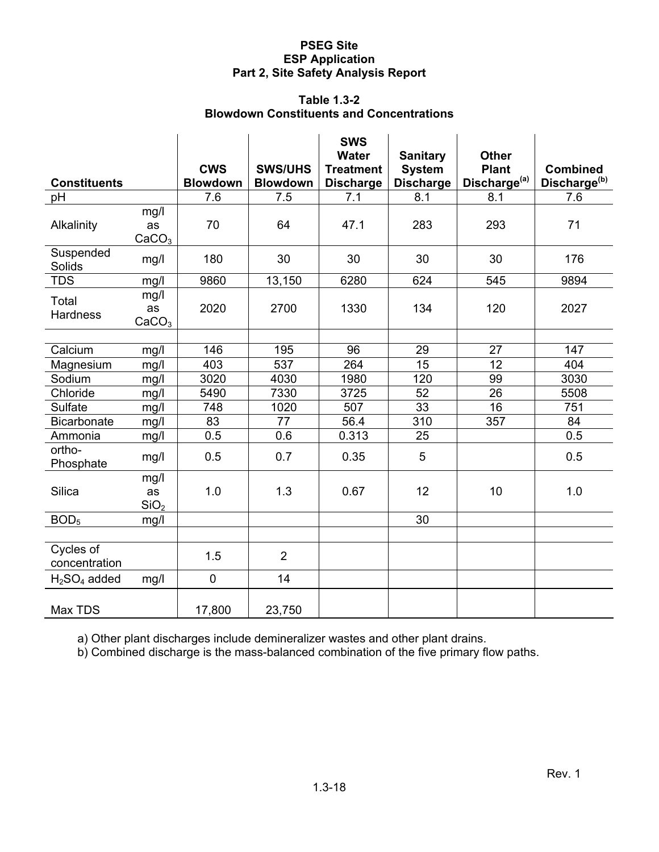#### **Table 1.3-2 Blowdown Constituents and Concentrations**

| <b>Constituents</b>        |                                 | <b>CWS</b><br><b>Blowdown</b> | <b>SWS/UHS</b>         | <b>SWS</b><br><b>Water</b><br><b>Treatment</b> | <b>Sanitary</b><br><b>System</b> | <b>Other</b><br><b>Plant</b> | <b>Combined</b><br>Discharge <sup>(b)</sup> |
|----------------------------|---------------------------------|-------------------------------|------------------------|------------------------------------------------|----------------------------------|------------------------------|---------------------------------------------|
|                            |                                 |                               | <b>Blowdown</b><br>7.5 | <b>Discharge</b>                               | <b>Discharge</b>                 | Discharge <sup>(a)</sup>     |                                             |
| pH                         |                                 | 7.6                           |                        | 7.1                                            | 8.1                              | 8.1                          | 7.6                                         |
| Alkalinity                 | mg/l<br>as<br>CaCO <sub>3</sub> | 70                            | 64                     | 47.1                                           | 283                              | 293                          | 71                                          |
| Suspended<br>Solids        | mg/l                            | 180                           | 30                     | 30                                             | 30                               | 30                           | 176                                         |
| <b>TDS</b>                 | mg/l                            | 9860                          | 13,150                 | 6280                                           | 624                              | 545                          | 9894                                        |
| Total<br><b>Hardness</b>   | mg/l<br>as<br>CaCO <sub>3</sub> | 2020                          | 2700                   | 1330                                           | 134                              | 120                          | 2027                                        |
|                            |                                 |                               |                        |                                                |                                  |                              |                                             |
| Calcium                    | mg/l                            | 146                           | 195                    | 96                                             | 29                               | 27                           | 147                                         |
| Magnesium                  | mg/l                            | 403                           | $\overline{537}$       | 264                                            | 15                               | 12                           | 404                                         |
| Sodium                     | mg/l                            | 3020                          | 4030                   | 1980                                           | 120                              | 99                           | 3030                                        |
| Chloride                   | mg/l                            | 5490                          | 7330                   | 3725                                           | 52                               | 26                           | 5508                                        |
| Sulfate                    | mg/l                            | 748                           | 1020                   | 507                                            | 33                               | 16                           | 751                                         |
| <b>Bicarbonate</b>         | mg/l                            | 83                            | 77                     | 56.4                                           | 310                              | 357                          | 84                                          |
| Ammonia                    | mg/l                            | 0.5                           | 0.6                    | 0.313                                          | 25                               |                              | 0.5                                         |
| ortho-<br>Phosphate        | mg/l                            | 0.5                           | 0.7                    | 0.35                                           | 5                                |                              | 0.5                                         |
| <b>Silica</b>              | mg/l<br>as<br>SiO <sub>2</sub>  | 1.0                           | 1.3                    | 0.67                                           | 12                               | 10                           | 1.0                                         |
| BOD <sub>5</sub>           | mg/l                            |                               |                        |                                                | 30                               |                              |                                             |
|                            |                                 |                               |                        |                                                |                                  |                              |                                             |
| Cycles of<br>concentration |                                 | 1.5                           | $\overline{2}$         |                                                |                                  |                              |                                             |
| $H2SO4$ added              | mg/l                            | $\mathbf 0$                   | 14                     |                                                |                                  |                              |                                             |
| Max TDS                    |                                 | 17,800                        | 23,750                 |                                                |                                  |                              |                                             |

a) Other plant discharges include demineralizer wastes and other plant drains.

b) Combined discharge is the mass-balanced combination of the five primary flow paths.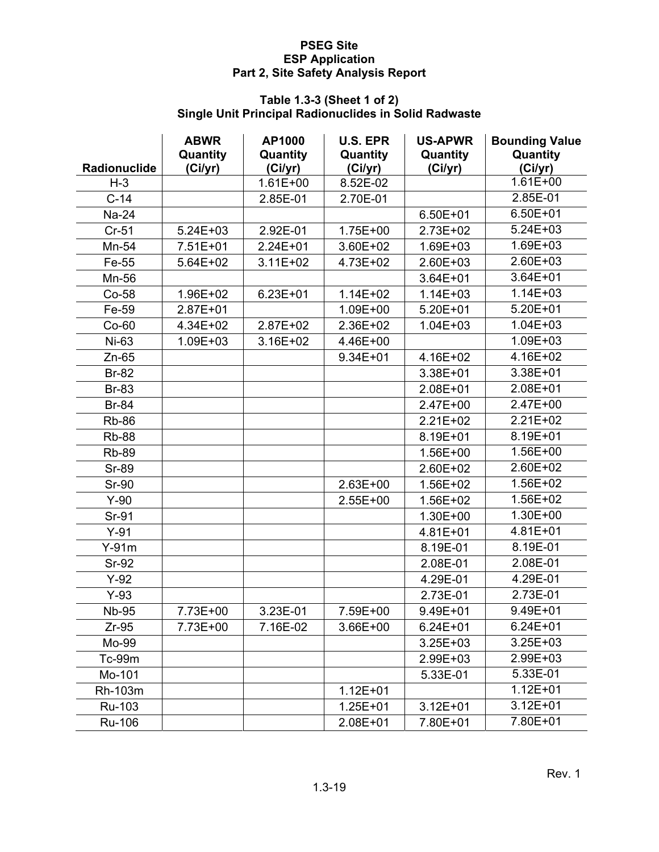#### **Table 1.3-3 (Sheet 1 of 2) Single Unit Principal Radionuclides in Solid Radwaste**

|                     | <b>ABWR</b><br>Quantity | AP1000<br>Quantity | <b>U.S. EPR</b><br>Quantity | <b>US-APWR</b><br>Quantity | <b>Bounding Value</b><br>Quantity |
|---------------------|-------------------------|--------------------|-----------------------------|----------------------------|-----------------------------------|
| <b>Radionuclide</b> | (Ci/yr)                 | (Ci/yr)            | (Ci/yr)                     | (Ci/yr)                    | (Ci/yr)                           |
| $H-3$               |                         | $1.61E + 00$       | 8.52E-02                    |                            | $1.61E + 00$                      |
| $C-14$              |                         | 2.85E-01           | 2.70E-01                    |                            | 2.85E-01                          |
| Na-24               |                         |                    |                             | $6.50E + 01$               | $6.50E + 01$                      |
| $Cr-51$             | $5.24E + 03$            | 2.92E-01           | 1.75E+00                    | 2.73E+02                   | $5.24E + 03$                      |
| Mn-54               | 7.51E+01                | 2.24E+01           | 3.60E+02                    | 1.69E+03                   | 1.69E+03                          |
| Fe-55               | 5.64E+02                | $3.11E + 02$       | 4.73E+02                    | 2.60E+03                   | 2.60E+03                          |
| Mn-56               |                         |                    |                             | 3.64E+01                   | $3.64E + 01$                      |
| Co-58               | 1.96E+02                | $6.23E + 01$       | $1.14E + 02$                | $1.14E + 03$               | $1.14E + 03$                      |
| Fe-59               | 2.87E+01                |                    | 1.09E+00                    | $5.20E + 01$               | $5.20E + 01$                      |
| Co-60               | 4.34E+02                | 2.87E+02           | 2.36E+02                    | $1.04E + 03$               | $1.04E + 03$                      |
| Ni-63               | 1.09E+03                | 3.16E+02           | 4.46E+00                    |                            | 1.09E+03                          |
| $Zn-65$             |                         |                    | 9.34E+01                    | 4.16E+02                   | 4.16E+02                          |
| <b>Br-82</b>        |                         |                    |                             | 3.38E+01                   | 3.38E+01                          |
| <b>Br-83</b>        |                         |                    |                             | 2.08E+01                   | 2.08E+01                          |
| <b>Br-84</b>        |                         |                    |                             | 2.47E+00                   | 2.47E+00                          |
| <b>Rb-86</b>        |                         |                    |                             | $2.21E+02$                 | $2.21E+02$                        |
| <b>Rb-88</b>        |                         |                    |                             | 8.19E+01                   | 8.19E+01                          |
| <b>Rb-89</b>        |                         |                    |                             | 1.56E+00                   | 1.56E+00                          |
| <b>Sr-89</b>        |                         |                    |                             | 2.60E+02                   | 2.60E+02                          |
| <b>Sr-90</b>        |                         |                    | 2.63E+00                    | 1.56E+02                   | 1.56E+02                          |
| $Y-90$              |                         |                    | 2.55E+00                    | 1.56E+02                   | 1.56E+02                          |
| Sr-91               |                         |                    |                             | 1.30E+00                   | 1.30E+00                          |
| $Y-91$              |                         |                    |                             | 4.81E+01                   | 4.81E+01                          |
| $Y-91m$             |                         |                    |                             | 8.19E-01                   | 8.19E-01                          |
| <b>Sr-92</b>        |                         |                    |                             | 2.08E-01                   | 2.08E-01                          |
| $Y-92$              |                         |                    |                             | 4.29E-01                   | 4.29E-01                          |
| $Y-93$              |                         |                    |                             | 2.73E-01                   | 2.73E-01                          |
| <b>Nb-95</b>        | 7.73E+00                | 3.23E-01           | 7.59E+00                    | 9.49E+01                   | 9.49E+01                          |
| $Zr-95$             | 7.73E+00                | 7.16E-02           | 3.66E+00                    | $6.24E + 01$               | $6.24E + 01$                      |
| Mo-99               |                         |                    |                             | 3.25E+03                   | $3.25E + 03$                      |
| Tc-99m              |                         |                    |                             | 2.99E+03                   | 2.99E+03                          |
| Mo-101              |                         |                    |                             | 5.33E-01                   | 5.33E-01                          |
| Rh-103m             |                         |                    | $1.12E + 01$                |                            | $1.12E + 01$                      |
| Ru-103              |                         |                    | $1.25E + 01$                | $3.12E + 01$               | $3.12E + 01$                      |
| Ru-106              |                         |                    | 2.08E+01                    | 7.80E+01                   | 7.80E+01                          |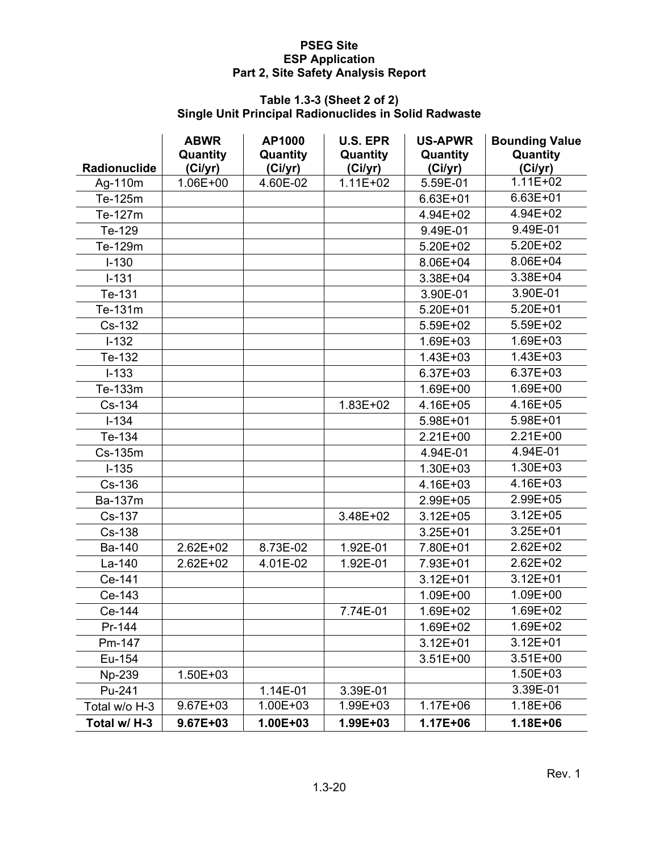#### **Table 1.3-3 (Sheet 2 of 2) Single Unit Principal Radionuclides in Solid Radwaste**

|                     | <b>ABWR</b><br>Quantity | AP1000<br>Quantity | <b>U.S. EPR</b><br>Quantity | <b>US-APWR</b><br>Quantity | <b>Bounding Value</b><br>Quantity |
|---------------------|-------------------------|--------------------|-----------------------------|----------------------------|-----------------------------------|
| <b>Radionuclide</b> | (Ci/yr)                 | (Ci/yr)            | (Ci/yr)                     | (Ci/yr)                    | (Ci/yr)                           |
| Ag-110m             | 1.06E+00                | 4.60E-02           | $1.11E + 02$                | 5.59E-01                   | $1.11E + 02$                      |
| Te-125m             |                         |                    |                             | $6.63E + 01$               | $6.63E + 01$                      |
| Te-127m             |                         |                    |                             | 4.94E+02                   | 4.94E+02                          |
| Te-129              |                         |                    |                             | 9.49E-01                   | 9.49E-01                          |
| Te-129m             |                         |                    |                             | 5.20E+02                   | $5.20E + 02$                      |
| $I-130$             |                         |                    |                             | 8.06E+04                   | 8.06E+04                          |
| $I - 131$           |                         |                    |                             | 3.38E+04                   | 3.38E+04                          |
| Te-131              |                         |                    |                             | 3.90E-01                   | 3.90E-01                          |
| Te-131m             |                         |                    |                             | 5.20E+01                   | $5.20E + 01$                      |
| Cs-132              |                         |                    |                             | 5.59E+02                   | 5.59E+02                          |
| $I-132$             |                         |                    |                             | 1.69E+03                   | 1.69E+03                          |
| Te-132              |                         |                    |                             | 1.43E+03                   | $1.43E + 03$                      |
| $I - 133$           |                         |                    |                             | 6.37E+03                   | 6.37E+03                          |
| Te-133m             |                         |                    |                             | 1.69E+00                   | 1.69E+00                          |
| Cs-134              |                         |                    | 1.83E+02                    | 4.16E+05                   | 4.16E+05                          |
| $I - 134$           |                         |                    |                             | 5.98E+01                   | 5.98E+01                          |
| Te-134              |                         |                    |                             | 2.21E+00                   | $2.21E+00$                        |
| Cs-135m             |                         |                    |                             | 4.94E-01                   | 4.94E-01                          |
| $I-135$             |                         |                    |                             | 1.30E+03                   | 1.30E+03                          |
| Cs-136              |                         |                    |                             | 4.16E+03                   | 4.16E+03                          |
| Ba-137m             |                         |                    |                             | 2.99E+05                   | 2.99E+05                          |
| Cs-137              |                         |                    | 3.48E+02                    | $3.12E + 05$               | $3.12E + 05$                      |
| Cs-138              |                         |                    |                             | $3.25E + 01$               | $3.25E + 01$                      |
| Ba-140              | $2.62E + 02$            | 8.73E-02           | 1.92E-01                    | 7.80E+01                   | $2.62E + 02$                      |
| La-140              | 2.62E+02                | 4.01E-02           | 1.92E-01                    | 7.93E+01                   | $2.62E + 02$                      |
| Ce-141              |                         |                    |                             | $3.12E + 01$               | $3.12E + 01$                      |
| Ce-143              |                         |                    |                             | 1.09E+00                   | 1.09E+00                          |
| Ce-144              |                         |                    | 7.74E-01                    | 1.69E+02                   | 1.69E+02                          |
| Pr-144              |                         |                    |                             | 1.69E+02                   | 1.69E+02                          |
| Pm-147              |                         |                    |                             | $3.12E + 01$               | $3.12E + 01$                      |
| Eu-154              |                         |                    |                             | $3.51E + 00$               | $3.51E+00$                        |
| Np-239              | 1.50E+03                |                    |                             |                            | $1.50E + 03$                      |
| Pu-241              |                         | 1.14E-01           | 3.39E-01                    |                            | 3.39E-01                          |
| Total w/o H-3       | $9.67E + 03$            | 1.00E+03           | 1.99E+03                    | $1.17E + 06$               | 1.18E+06                          |
| Total w/ H-3        | 9.67E+03                | 1.00E+03           | 1.99E+03                    | 1.17E+06                   | 1.18E+06                          |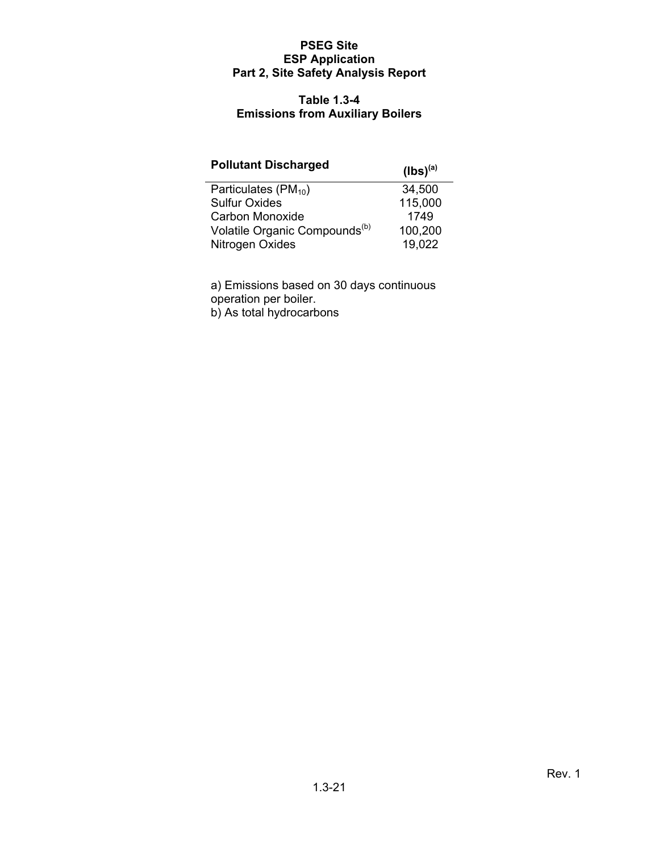#### **Table 1.3-4 Emissions from Auxiliary Boilers**

# Pollutant Discharged (lbs)<sup>(a)</sup>

| Particulates $(PM_{10})$                  | 34,500  |
|-------------------------------------------|---------|
| <b>Sulfur Oxides</b>                      | 115,000 |
| Carbon Monoxide                           | 1749    |
| Volatile Organic Compounds <sup>(b)</sup> | 100,200 |
| Nitrogen Oxides                           | 19.022  |

a) Emissions based on 30 days continuous operation per boiler.

b) As total hydrocarbons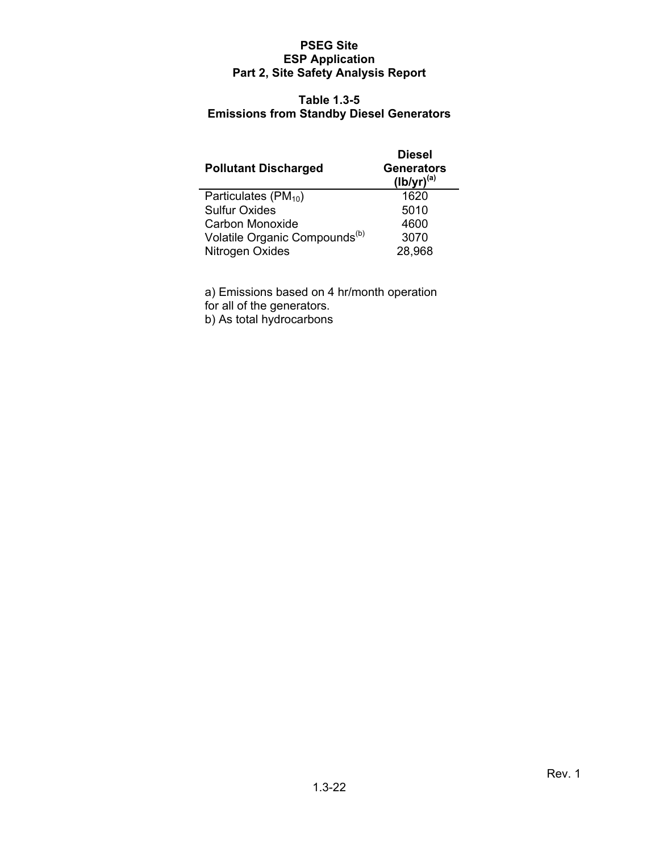#### **Table 1.3-5 Emissions from Standby Diesel Generators**

| <b>Pollutant Discharged</b>               | <b>Diesel</b><br><b>Generators</b><br>$(lb/yr)^{(a)}$ |
|-------------------------------------------|-------------------------------------------------------|
| Particulates $(PM_{10})$                  | 1620                                                  |
| <b>Sulfur Oxides</b>                      | 5010                                                  |
| Carbon Monoxide                           | 4600                                                  |
| Volatile Organic Compounds <sup>(b)</sup> | 3070                                                  |
| Nitrogen Oxides                           | 28,968                                                |

a) Emissions based on 4 hr/month operation

for all of the generators.

b) As total hydrocarbons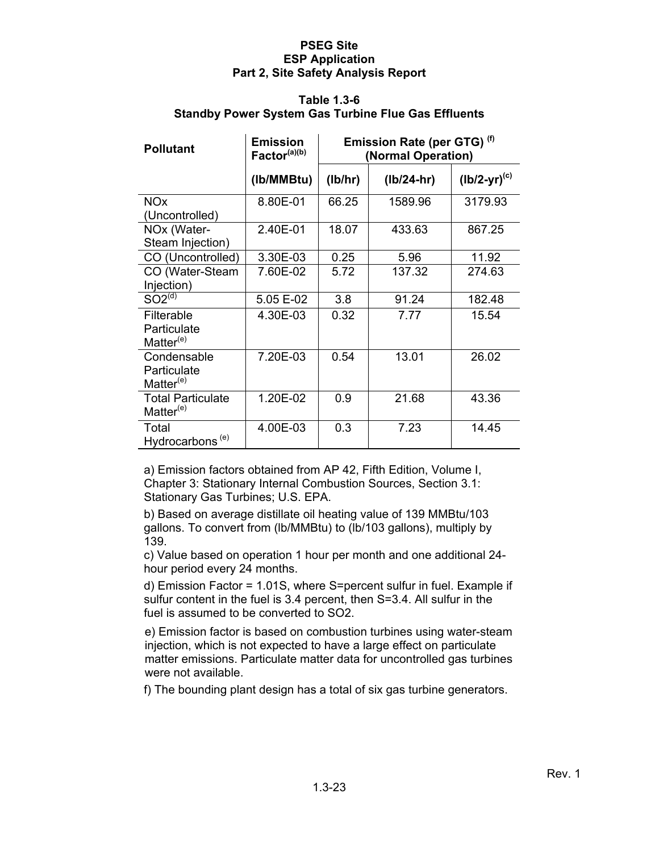#### **Table 1.3-6 Standby Power System Gas Turbine Flue Gas Effluents**

| <b>Pollutant</b>                                    | <b>Emission</b><br>Factor <sup>(a)(b)</sup> |         | Emission Rate (per GTG) <sup>(f)</sup><br>(Normal Operation) |                   |
|-----------------------------------------------------|---------------------------------------------|---------|--------------------------------------------------------------|-------------------|
|                                                     | (Ib/MMBtu)                                  | (lb/hr) | $(lb/24-hr)$                                                 | $(lb/2-yr)^{(c)}$ |
| <b>NO<sub>x</sub></b><br>(Uncontrolled)             | 8.80E-01                                    | 66.25   | 1589.96                                                      | 3179.93           |
| NO <sub>x</sub> (Water-<br>Steam Injection)         | 2.40E-01                                    | 18.07   | 433.63                                                       | 867.25            |
| CO (Uncontrolled)                                   | 3.30E-03                                    | 0.25    | 5.96                                                         | 11.92             |
| CO (Water-Steam<br>Injection)                       | 7.60E-02                                    | 5.72    | 137.32                                                       | 274.63            |
| SO2 <sup>(d)</sup>                                  | 5.05 E-02                                   | 3.8     | 91.24                                                        | 182.48            |
| Filterable<br>Particulate<br>Matter $(e)$           | 4.30E-03                                    | 0.32    | 7.77                                                         | 15.54             |
| Condensable<br>Particulate<br>Matter <sup>(e)</sup> | 7.20E-03                                    | 0.54    | 13.01                                                        | 26.02             |
| <b>Total Particulate</b><br>Matter <sup>(e)</sup>   | 1.20E-02                                    | 0.9     | 21.68                                                        | 43.36             |
| Total<br>Hydrocarbons <sup>(e)</sup>                | 4.00E-03                                    | 0.3     | 7.23                                                         | 14.45             |

a) Emission factors obtained from AP 42, Fifth Edition, Volume I, Chapter 3: Stationary Internal Combustion Sources, Section 3.1: Stationary Gas Turbines; U.S. EPA.

b) Based on average distillate oil heating value of 139 MMBtu/103 gallons. To convert from (lb/MMBtu) to (lb/103 gallons), multiply by 139.

c) Value based on operation 1 hour per month and one additional 24 hour period every 24 months.

d) Emission Factor = 1.01S, where S=percent sulfur in fuel. Example if sulfur content in the fuel is 3.4 percent, then S=3.4. All sulfur in the fuel is assumed to be converted to SO2.

e) Emission factor is based on combustion turbines using water-steam injection, which is not expected to have a large effect on particulate matter emissions. Particulate matter data for uncontrolled gas turbines were not available.

f) The bounding plant design has a total of six gas turbine generators.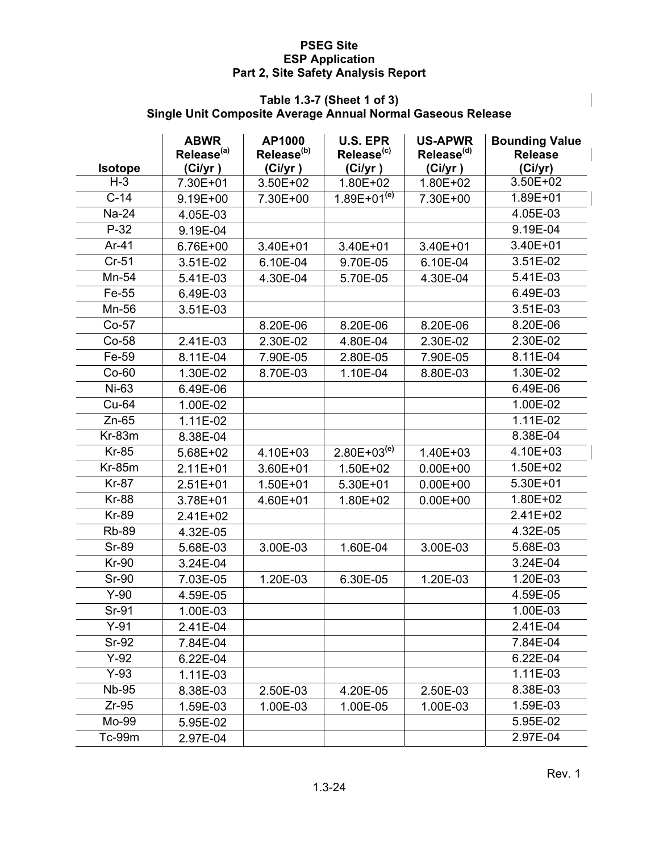#### **Table 1.3-7 (Sheet 1 of 3) Single Unit Composite Average Annual Normal Gaseous Release**

|                         | <b>ABWR</b><br>Release <sup>(a)</sup> | AP1000<br>Release <sup>(b)</sup> | <b>U.S. EPR</b><br>Release <sup>(c)</sup> | <b>US-APWR</b><br>Release <sup>(d)</sup> | <b>Bounding Value</b><br><b>Release</b> |
|-------------------------|---------------------------------------|----------------------------------|-------------------------------------------|------------------------------------------|-----------------------------------------|
| <b>Isotope</b><br>$H-3$ | (Ci/yr)                               | (Ci/yr)                          | (Ci/yr)                                   | (Ci/yr)                                  | (Ci/yr)<br>3.50E+02                     |
| $C-14$                  | 7.30E+01<br>9.19E+00                  | 3.50E+02<br>7.30E+00             | 1.80E+02<br>$1.89E+01^{(e)}$              | 1.80E+02<br>7.30E+00                     | 1.89E+01                                |
| Na-24                   |                                       |                                  |                                           |                                          | 4.05E-03                                |
| $P-32$                  | 4.05E-03                              |                                  |                                           |                                          | 9.19E-04                                |
| $Ar-41$                 | 9.19E-04                              |                                  |                                           |                                          | 3.40E+01                                |
| $Cr-51$                 | 6.76E+00                              | 3.40E+01                         | 3.40E+01                                  | 3.40E+01                                 | 3.51E-02                                |
|                         | 3.51E-02                              | 6.10E-04                         | 9.70E-05                                  | 6.10E-04                                 | 5.41E-03                                |
| Mn-54                   | 5.41E-03                              | 4.30E-04                         | 5.70E-05                                  | 4.30E-04                                 |                                         |
| Fe-55                   | 6.49E-03                              |                                  |                                           |                                          | 6.49E-03                                |
| Mn-56                   | 3.51E-03                              |                                  |                                           |                                          | 3.51E-03                                |
| $Co-57$                 |                                       | 8.20E-06                         | 8.20E-06                                  | 8.20E-06                                 | 8.20E-06                                |
| Co-58                   | 2.41E-03                              | 2.30E-02                         | 4.80E-04                                  | 2.30E-02                                 | 2.30E-02                                |
| Fe-59                   | 8.11E-04                              | 7.90E-05                         | 2.80E-05                                  | 7.90E-05                                 | 8.11E-04                                |
| $Co-60$                 | 1.30E-02                              | 8.70E-03                         | 1.10E-04                                  | 8.80E-03                                 | 1.30E-02                                |
| Ni-63                   | 6.49E-06                              |                                  |                                           |                                          | 6.49E-06                                |
| Cu-64                   | 1.00E-02                              |                                  |                                           |                                          | 1.00E-02                                |
| $Zn-65$                 | 1.11E-02                              |                                  |                                           |                                          | 1.11E-02                                |
| $Kr-83m$                | 8.38E-04                              |                                  |                                           |                                          | 8.38E-04                                |
| <b>Kr-85</b>            | 5.68E+02                              | 4.10E+03                         | $2.80E+03^{(e)}$                          | 1.40E+03                                 | 4.10E+03                                |
| $Kr-85m$                | $2.11E + 01$                          | 3.60E+01                         | 1.50E+02                                  | $0.00E + 00$                             | 1.50E+02                                |
| <b>Kr-87</b>            | $2.51E+01$                            | 1.50E+01                         | 5.30E+01                                  | $0.00E + 00$                             | 5.30E+01                                |
| <b>Kr-88</b>            | 3.78E+01                              | 4.60E+01                         | 1.80E+02                                  | $0.00E + 00$                             | 1.80E+02                                |
| <b>Kr-89</b>            | 2.41E+02                              |                                  |                                           |                                          | 2.41E+02                                |
| <b>Rb-89</b>            | 4.32E-05                              |                                  |                                           |                                          | 4.32E-05                                |
| <b>Sr-89</b>            | 5.68E-03                              | 3.00E-03                         | 1.60E-04                                  | 3.00E-03                                 | 5.68E-03                                |
| <b>Kr-90</b>            | 3.24E-04                              |                                  |                                           |                                          | 3.24E-04                                |
| <b>Sr-90</b>            | 7.03E-05                              | 1.20E-03                         | 6.30E-05                                  | 1.20E-03                                 | 1.20E-03                                |
| $Y-90$                  | 4.59E-05                              |                                  |                                           |                                          | 4.59E-05                                |
| Sr-91                   | 1.00E-03                              |                                  |                                           |                                          | 1.00E-03                                |
| $Y-91$                  | 2.41E-04                              |                                  |                                           |                                          | 2.41E-04                                |
| $Sr-92$                 | 7.84E-04                              |                                  |                                           |                                          | 7.84E-04                                |
| $Y-92$                  | 6.22E-04                              |                                  |                                           |                                          | 6.22E-04                                |
| $Y-93$                  | 1.11E-03                              |                                  |                                           |                                          | 1.11E-03                                |
| <b>Nb-95</b>            | 8.38E-03                              | 2.50E-03                         | 4.20E-05                                  | 2.50E-03                                 | 8.38E-03                                |
| $Zr-95$                 | 1.59E-03                              | 1.00E-03                         | 1.00E-05                                  | 1.00E-03                                 | 1.59E-03                                |
| Mo-99                   | 5.95E-02                              |                                  |                                           |                                          | 5.95E-02                                |
| Tc-99m                  | 2.97E-04                              |                                  |                                           |                                          | 2.97E-04                                |

 $\overline{\phantom{a}}$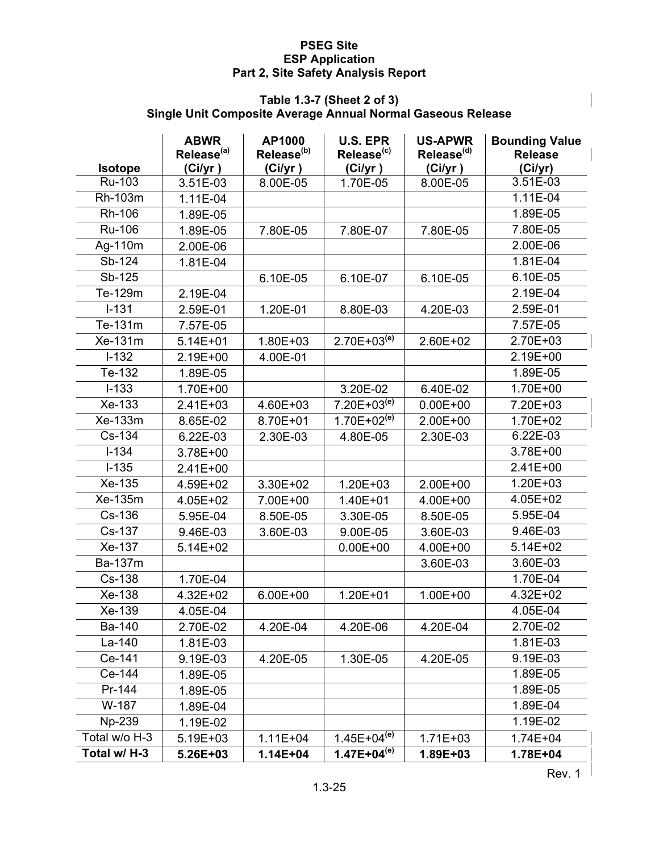#### **Table 1.3-7 (Sheet 2 of 3) Single Unit Composite Average Annual Normal Gaseous Release**

|                | <b>ABWR</b><br>Release <sup>(a)</sup> | AP1000<br>Release <sup>(b)</sup> | <b>U.S. EPR</b><br>Release <sup>(c)</sup> | <b>US-APWR</b><br>Release <sup>(d)</sup> | <b>Bounding Value</b><br><b>Release</b> |
|----------------|---------------------------------------|----------------------------------|-------------------------------------------|------------------------------------------|-----------------------------------------|
| <b>Isotope</b> | (Ci/yr)                               | (Ci/yr)                          | (Ci/yr)                                   | (Ci/yr)                                  | (Ci/yr)                                 |
| Ru-103         | 3.51E-03                              | 8.00E-05                         | 1.70E-05                                  | 8.00E-05                                 | 3.51E-03                                |
| Rh-103m        | 1.11E-04                              |                                  |                                           |                                          | 1.11E-04                                |
| Rh-106         | 1.89E-05                              |                                  |                                           |                                          | 1.89E-05                                |
| Ru-106         | 1.89E-05                              | 7.80E-05                         | 7.80E-07                                  | 7.80E-05                                 | 7.80E-05                                |
| Ag-110m        | 2.00E-06                              |                                  |                                           |                                          | 2.00E-06                                |
| Sb-124         | 1.81E-04                              |                                  |                                           |                                          | 1.81E-04                                |
| Sb-125         |                                       | 6.10E-05                         | 6.10E-07                                  | 6.10E-05                                 | 6.10E-05                                |
| Te-129m        | 2.19E-04                              |                                  |                                           |                                          | 2.19E-04                                |
| $I - 131$      | 2.59E-01                              | 1.20E-01                         | 8.80E-03                                  | 4.20E-03                                 | 2.59E-01                                |
| Te-131m        | 7.57E-05                              |                                  |                                           |                                          | 7.57E-05                                |
| Xe-131m        | $5.14E + 01$                          | 1.80E+03                         | $2.70E + 03^{(e)}$                        | 2.60E+02                                 | 2.70E+03                                |
| $I - 132$      | 2.19E+00                              | 4.00E-01                         |                                           |                                          | 2.19E+00                                |
| Te-132         | 1.89E-05                              |                                  |                                           |                                          | 1.89E-05                                |
| $I-133$        | 1.70E+00                              |                                  | 3.20E-02                                  | 6.40E-02                                 | 1.70E+00                                |
| Xe-133         | 2.41E+03                              | 4.60E+03                         | $7.20E+03^{(e)}$                          | $0.00E + 00$                             | 7.20E+03                                |
| Xe-133m        | 8.65E-02                              | 8.70E+01                         | $1.70E+02^{(e)}$                          | 2.00E+00                                 | 1.70E+02                                |
| Cs-134         | 6.22E-03                              | 2.30E-03                         | 4.80E-05                                  | 2.30E-03                                 | 6.22E-03                                |
| $I - 134$      | 3.78E+00                              |                                  |                                           |                                          | 3.78E+00                                |
| $I-135$        | 2.41E+00                              |                                  |                                           |                                          | $2.41E+00$                              |
| Xe-135         | 4.59E+02                              | 3.30E+02                         | $1.20E + 03$                              | 2.00E+00                                 | 1.20E+03                                |
| Xe-135m        | 4.05E+02                              | 7.00E+00                         | 1.40E+01                                  | 4.00E+00                                 | 4.05E+02                                |
| Cs-136         | 5.95E-04                              | 8.50E-05                         | 3.30E-05                                  | 8.50E-05                                 | 5.95E-04                                |
| Cs-137         | 9.46E-03                              | 3.60E-03                         | 9.00E-05                                  | 3.60E-03                                 | 9.46E-03                                |
| Xe-137         | 5.14E+02                              |                                  | $0.00E + 00$                              | 4.00E+00                                 | $5.14E + 02$                            |
| <b>Ba-137m</b> |                                       |                                  |                                           | 3.60E-03                                 | 3.60E-03                                |
| Cs-138         | 1.70E-04                              |                                  |                                           |                                          | 1.70E-04                                |
| Xe-138         | 4.32E+02                              | $6.00E + 00$                     | 1.20E+01                                  | 1.00E+00                                 | 4.32E+02                                |
| Xe-139         | 4.05E-04                              |                                  |                                           |                                          | 4.05E-04                                |
| Ba-140         | 2.70E-02                              | 4.20E-04                         | 4.20E-06                                  | 4.20E-04                                 | 2.70E-02                                |
| La-140         | 1.81E-03                              |                                  |                                           |                                          | 1.81E-03                                |
| Ce-141         | 9.19E-03                              | 4.20E-05                         | 1.30E-05                                  | 4.20E-05                                 | 9.19E-03                                |
| Ce-144         | 1.89E-05                              |                                  |                                           |                                          | 1.89E-05                                |
| Pr-144         | 1.89E-05                              |                                  |                                           |                                          | 1.89E-05                                |
| W-187          | 1.89E-04                              |                                  |                                           |                                          | 1.89E-04                                |
| Np-239         | 1.19E-02                              |                                  |                                           |                                          | 1.19E-02                                |
| Total w/o H-3  | 5.19E+03                              | $1.11E + 04$                     | $1.45E+04^{(e)}$                          | $1.71E + 03$                             | $1.74E + 04$                            |
| Total w/ H-3   | 5.26E+03                              | 1.14E+04                         | $1.47E + 04^{(e)}$                        | 1.89E+03                                 | 1.78E+04                                |

Rev.  $1<sup>1</sup>$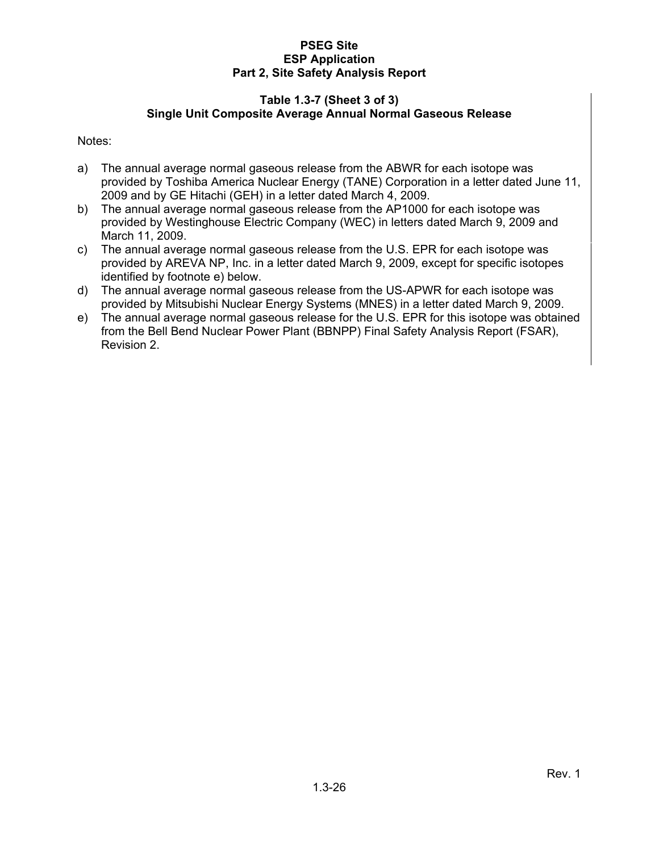#### **Table 1.3-7 (Sheet 3 of 3) Single Unit Composite Average Annual Normal Gaseous Release**

Notes:

- a) The annual average normal gaseous release from the ABWR for each isotope was provided by Toshiba America Nuclear Energy (TANE) Corporation in a letter dated June 11, 2009 and by GE Hitachi (GEH) in a letter dated March 4, 2009.
- b) The annual average normal gaseous release from the AP1000 for each isotope was provided by Westinghouse Electric Company (WEC) in letters dated March 9, 2009 and March 11, 2009.
- c) The annual average normal gaseous release from the U.S. EPR for each isotope was provided by AREVA NP, Inc. in a letter dated March 9, 2009, except for specific isotopes identified by footnote e) below.
- d) The annual average normal gaseous release from the US-APWR for each isotope was provided by Mitsubishi Nuclear Energy Systems (MNES) in a letter dated March 9, 2009.
- e) The annual average normal gaseous release for the U.S. EPR for this isotope was obtained from the Bell Bend Nuclear Power Plant (BBNPP) Final Safety Analysis Report (FSAR), Revision 2.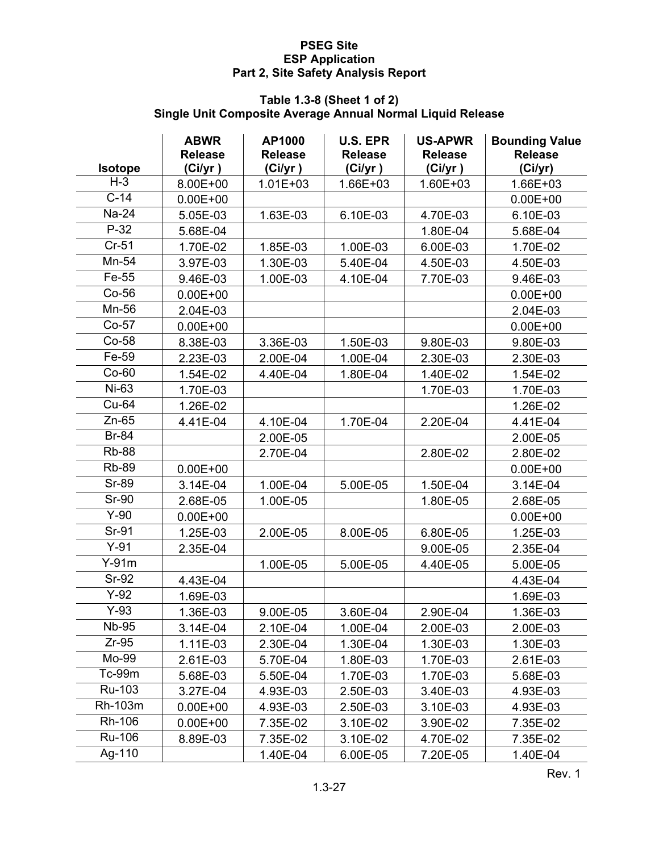#### **Table 1.3-8 (Sheet 1 of 2) Single Unit Composite Average Annual Normal Liquid Release**

| <b>Isotope</b> | <b>ABWR</b><br><b>Release</b><br>(Ci/yr) | AP1000<br><b>Release</b><br>(Ci/yr) | <b>U.S. EPR</b><br><b>Release</b><br>(Ci/yr) | <b>US-APWR</b><br><b>Release</b><br>(Ci/yr) | <b>Bounding Value</b><br><b>Release</b><br>(Ci/yr) |
|----------------|------------------------------------------|-------------------------------------|----------------------------------------------|---------------------------------------------|----------------------------------------------------|
| $H-3$          | 8.00E+00                                 | $1.01E + 03$                        | 1.66E+03                                     | $1.60E + 03$                                | 1.66E+03                                           |
| $C-14$         | $0.00E + 00$                             |                                     |                                              |                                             | $0.00E + 00$                                       |
| Na-24          | 5.05E-03                                 | 1.63E-03                            | 6.10E-03                                     | 4.70E-03                                    | 6.10E-03                                           |
| $P-32$         | 5.68E-04                                 |                                     |                                              | 1.80E-04                                    | 5.68E-04                                           |
| $Cr-51$        | 1.70E-02                                 | 1.85E-03                            | 1.00E-03                                     | 6.00E-03                                    | 1.70E-02                                           |
| Mn-54          | 3.97E-03                                 | 1.30E-03                            | 5.40E-04                                     | 4.50E-03                                    | 4.50E-03                                           |
| Fe-55          | 9.46E-03                                 | 1.00E-03                            | 4.10E-04                                     | 7.70E-03                                    | 9.46E-03                                           |
| $Co-56$        | $0.00E + 00$                             |                                     |                                              |                                             | $0.00E + 00$                                       |
| Mn-56          | 2.04E-03                                 |                                     |                                              |                                             | 2.04E-03                                           |
| $Co-57$        | $0.00E + 00$                             |                                     |                                              |                                             | $0.00E + 00$                                       |
| $Co-58$        | 8.38E-03                                 | 3.36E-03                            | 1.50E-03                                     | 9.80E-03                                    | 9.80E-03                                           |
| Fe-59          | 2.23E-03                                 | 2.00E-04                            | 1.00E-04                                     | 2.30E-03                                    | 2.30E-03                                           |
| $Co-60$        | 1.54E-02                                 | 4.40E-04                            | 1.80E-04                                     | 1.40E-02                                    | 1.54E-02                                           |
| Ni-63          | 1.70E-03                                 |                                     |                                              | 1.70E-03                                    | 1.70E-03                                           |
| Cu-64          | 1.26E-02                                 |                                     |                                              |                                             | 1.26E-02                                           |
| $Zn-65$        | 4.41E-04                                 | 4.10E-04                            | 1.70E-04                                     | 2.20E-04                                    | 4.41E-04                                           |
| <b>Br-84</b>   |                                          | 2.00E-05                            |                                              |                                             | 2.00E-05                                           |
| <b>Rb-88</b>   |                                          | 2.70E-04                            |                                              | 2.80E-02                                    | 2.80E-02                                           |
| <b>Rb-89</b>   | $0.00E + 00$                             |                                     |                                              |                                             | $0.00E + 00$                                       |
| <b>Sr-89</b>   | 3.14E-04                                 | 1.00E-04                            | 5.00E-05                                     | 1.50E-04                                    | 3.14E-04                                           |
| <b>Sr-90</b>   | 2.68E-05                                 | 1.00E-05                            |                                              | 1.80E-05                                    | 2.68E-05                                           |
| $Y-90$         | $0.00E + 00$                             |                                     |                                              |                                             | $0.00E + 00$                                       |
| Sr-91          | 1.25E-03                                 | 2.00E-05                            | 8.00E-05                                     | 6.80E-05                                    | 1.25E-03                                           |
| $Y-91$         | 2.35E-04                                 |                                     |                                              | 9.00E-05                                    | 2.35E-04                                           |
| $Y-91m$        |                                          | 1.00E-05                            | 5.00E-05                                     | 4.40E-05                                    | 5.00E-05                                           |
| $Sr-92$        | 4.43E-04                                 |                                     |                                              |                                             | 4.43E-04                                           |
| $Y-92$         | 1.69E-03                                 |                                     |                                              |                                             | 1.69E-03                                           |
| $Y-93$         | 1.36E-03                                 | 9.00E-05                            | 3.60E-04                                     | 2.90E-04                                    | 1.36E-03                                           |
| Nb-95          | 3.14E-04                                 | 2.10E-04                            | 1.00E-04                                     | 2.00E-03                                    | 2.00E-03                                           |
| $Zr-95$        | 1.11E-03                                 | 2.30E-04                            | 1.30E-04                                     | 1.30E-03                                    | 1.30E-03                                           |
| Mo-99          | 2.61E-03                                 | 5.70E-04                            | 1.80E-03                                     | 1.70E-03                                    | 2.61E-03                                           |
| Tc-99m         | 5.68E-03                                 | 5.50E-04                            | 1.70E-03                                     | 1.70E-03                                    | 5.68E-03                                           |
| Ru-103         | 3.27E-04                                 | 4.93E-03                            | 2.50E-03                                     | 3.40E-03                                    | 4.93E-03                                           |
| Rh-103m        | $0.00E + 00$                             | 4.93E-03                            | 2.50E-03                                     | 3.10E-03                                    | 4.93E-03                                           |
| Rh-106         | $0.00E + 00$                             | 7.35E-02                            | 3.10E-02                                     | 3.90E-02                                    | 7.35E-02                                           |
| Ru-106         | 8.89E-03                                 | 7.35E-02                            | 3.10E-02                                     | 4.70E-02                                    | 7.35E-02                                           |
| Ag-110         |                                          | 1.40E-04                            | 6.00E-05                                     | 7.20E-05                                    | 1.40E-04                                           |

Rev. 1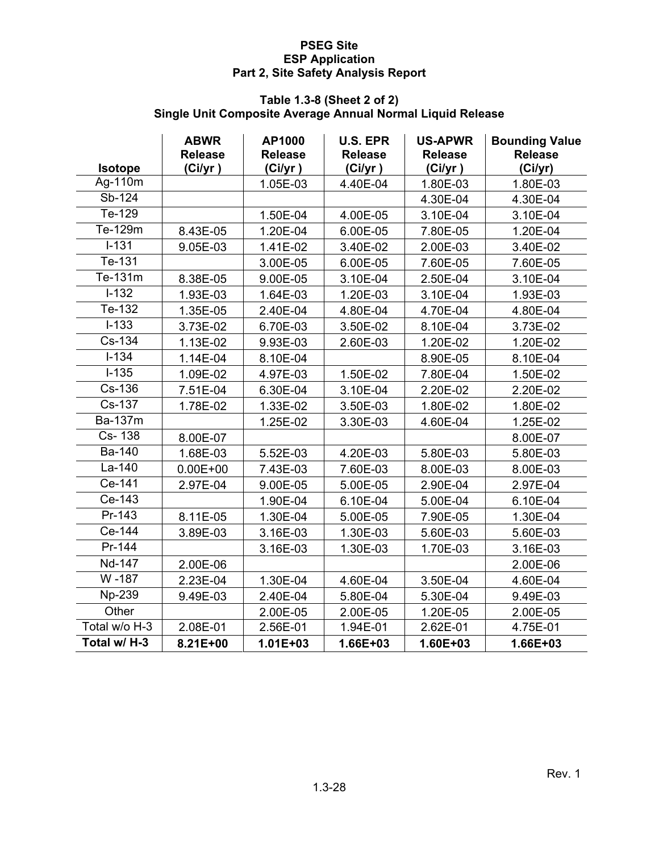#### **Table 1.3-8 (Sheet 2 of 2) Single Unit Composite Average Annual Normal Liquid Release**

| <b>Isotope</b> | <b>ABWR</b><br><b>Release</b> | AP1000<br><b>Release</b> | <b>U.S. EPR</b><br><b>Release</b> | <b>US-APWR</b><br><b>Release</b> | <b>Bounding Value</b><br><b>Release</b> |
|----------------|-------------------------------|--------------------------|-----------------------------------|----------------------------------|-----------------------------------------|
| Ag-110m        | (Ci/yr)                       | (Ci/yr)<br>1.05E-03      | (Ci/yr)<br>4.40E-04               | (Ci/yr)<br>1.80E-03              | (Ci/yr)<br>1.80E-03                     |
| Sb-124         |                               |                          |                                   | 4.30E-04                         | 4.30E-04                                |
| Te-129         |                               | 1.50E-04                 | 4.00E-05                          | 3.10E-04                         | 3.10E-04                                |
| Te-129m        | 8.43E-05                      | 1.20E-04                 |                                   | 7.80E-05                         | 1.20E-04                                |
| $I - 131$      |                               |                          | 6.00E-05                          |                                  |                                         |
| Te-131         | 9.05E-03                      | 1.41E-02                 | 3.40E-02                          | 2.00E-03                         | 3.40E-02                                |
| Te-131m        |                               | 3.00E-05                 | 6.00E-05                          | 7.60E-05                         | 7.60E-05                                |
| $I-132$        | 8.38E-05                      | 9.00E-05                 | 3.10E-04                          | 2.50E-04                         | 3.10E-04                                |
| Te-132         | 1.93E-03                      | 1.64E-03                 | 1.20E-03                          | 3.10E-04                         | 1.93E-03                                |
|                | 1.35E-05                      | 2.40E-04                 | 4.80E-04                          | 4.70E-04                         | 4.80E-04                                |
| $I-133$        | 3.73E-02                      | 6.70E-03                 | 3.50E-02                          | 8.10E-04                         | 3.73E-02                                |
| Cs-134         | 1.13E-02                      | 9.93E-03                 | 2.60E-03                          | 1.20E-02                         | 1.20E-02                                |
| $I - 134$      | 1.14E-04                      | 8.10E-04                 |                                   | 8.90E-05                         | 8.10E-04                                |
| $I-135$        | 1.09E-02                      | 4.97E-03                 | 1.50E-02                          | 7.80E-04                         | 1.50E-02                                |
| Cs-136         | 7.51E-04                      | 6.30E-04                 | 3.10E-04                          | 2.20E-02                         | 2.20E-02                                |
| Cs-137         | 1.78E-02                      | 1.33E-02                 | 3.50E-03                          | 1.80E-02                         | 1.80E-02                                |
| Ba-137m        |                               | 1.25E-02                 | 3.30E-03                          | 4.60E-04                         | 1.25E-02                                |
| Cs-138         | 8.00E-07                      |                          |                                   |                                  | 8.00E-07                                |
| <b>Ba-140</b>  | 1.68E-03                      | 5.52E-03                 | 4.20E-03                          | 5.80E-03                         | 5.80E-03                                |
| La-140         | $0.00E + 00$                  | 7.43E-03                 | 7.60E-03                          | 8.00E-03                         | 8.00E-03                                |
| Ce-141         | 2.97E-04                      | 9.00E-05                 | 5.00E-05                          | 2.90E-04                         | 2.97E-04                                |
| Ce-143         |                               | 1.90E-04                 | 6.10E-04                          | 5.00E-04                         | 6.10E-04                                |
| Pr-143         | 8.11E-05                      | 1.30E-04                 | 5.00E-05                          | 7.90E-05                         | 1.30E-04                                |
| Ce-144         | 3.89E-03                      | 3.16E-03                 | 1.30E-03                          | 5.60E-03                         | 5.60E-03                                |
| Pr-144         |                               | 3.16E-03                 | 1.30E-03                          | 1.70E-03                         | 3.16E-03                                |
| Nd-147         | 2.00E-06                      |                          |                                   |                                  | 2.00E-06                                |
| W-187          | 2.23E-04                      | 1.30E-04                 | 4.60E-04                          | 3.50E-04                         | 4.60E-04                                |
| Np-239         | 9.49E-03                      | 2.40E-04                 | 5.80E-04                          | 5.30E-04                         | 9.49E-03                                |
| Other          |                               | 2.00E-05                 | 2.00E-05                          | 1.20E-05                         | 2.00E-05                                |
| Total w/o H-3  | 2.08E-01                      | 2.56E-01                 | 1.94E-01                          | 2.62E-01                         | 4.75E-01                                |
| Total w/ H-3   | 8.21E+00                      | $1.01E + 03$             | 1.66E+03                          | 1.60E+03                         | 1.66E+03                                |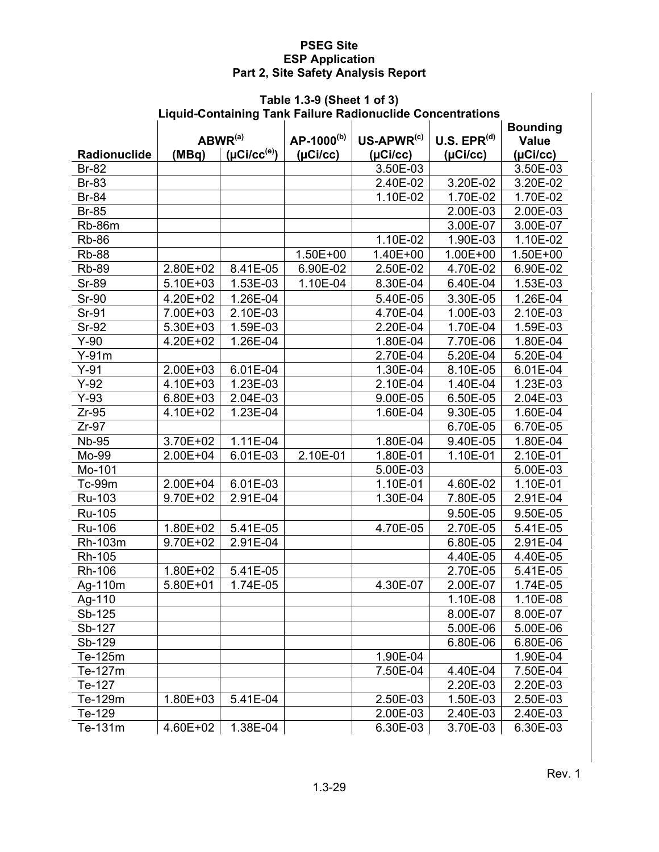# **Table 1.3-9 (Sheet 1 of 3)**

|              |                     |                               |                        | Liquid-Containing Tank Failure Radionuclide Concentrations |                  |                 |
|--------------|---------------------|-------------------------------|------------------------|------------------------------------------------------------|------------------|-----------------|
|              |                     |                               |                        |                                                            |                  | <b>Bounding</b> |
|              | ABWR <sup>(a)</sup> |                               | AP-1000 <sup>(b)</sup> | $US-APWR^{(c)}$                                            | U.S. $EPR^{(d)}$ | <b>Value</b>    |
| Radionuclide | (MBq)               | $(\mu$ Ci/cc <sup>(e)</sup> ) | (µCi/cc)               | (µCi/cc)                                                   | (µCi/cc)         | (µCi/cc)        |
| <b>Br-82</b> |                     |                               |                        | 3.50E-03                                                   |                  | 3.50E-03        |
| <b>Br-83</b> |                     |                               |                        | 2.40E-02                                                   | 3.20E-02         | 3.20E-02        |
| <b>Br-84</b> |                     |                               |                        | 1.10E-02                                                   | 1.70E-02         | 1.70E-02        |
| <b>Br-85</b> |                     |                               |                        |                                                            | 2.00E-03         | 2.00E-03        |
| Rb-86m       |                     |                               |                        |                                                            | 3.00E-07         | 3.00E-07        |
| <b>Rb-86</b> |                     |                               |                        | 1.10E-02                                                   | 1.90E-03         | 1.10E-02        |
| <b>Rb-88</b> |                     |                               | 1.50E+00               | 1.40E+00                                                   | 1.00E+00         | 1.50E+00        |
| <b>Rb-89</b> | 2.80E+02            | 8.41E-05                      | 6.90E-02               | 2.50E-02                                                   | 4.70E-02         | 6.90E-02        |
| <b>Sr-89</b> | 5.10E+03            | 1.53E-03                      | 1.10E-04               | 8.30E-04                                                   | 6.40E-04         | 1.53E-03        |
| <b>Sr-90</b> | 4.20E+02            | 1.26E-04                      |                        | 5.40E-05                                                   | 3.30E-05         | 1.26E-04        |
| Sr-91        | 7.00E+03            | 2.10E-03                      |                        | $\overline{4.70E-04}$                                      | 1.00E-03         | 2.10E-03        |
| <b>Sr-92</b> | 5.30E+03            | 1.59E-03                      |                        | 2.20E-04                                                   | 1.70E-04         | 1.59E-03        |
| $Y-90$       | 4.20E+02            | 1.26E-04                      |                        | 1.80E-04                                                   | 7.70E-06         | 1.80E-04        |
| $Y-91m$      |                     |                               |                        | 2.70E-04                                                   | 5.20E-04         | 5.20E-04        |
| $Y-91$       | 2.00E+03            | 6.01E-04                      |                        | 1.30E-04                                                   | 8.10E-05         | 6.01E-04        |
| $Y-92$       | 4.10E+03            | $1.23E-03$                    |                        | 2.10E-04                                                   | 1.40E-04         | 1.23E-03        |
| $Y-93$       | 6.80E+03            | 2.04E-03                      |                        | 9.00E-05                                                   | 6.50E-05         | 2.04E-03        |
| $Zr-95$      | 4.10E+02            | 1.23E-04                      |                        | 1.60E-04                                                   | 9.30E-05         | 1.60E-04        |
| $Zr-97$      |                     |                               |                        |                                                            | 6.70E-05         | 6.70E-05        |
| <b>Nb-95</b> | 3.70E+02            | 1.11E-04                      |                        | 1.80E-04                                                   | 9.40E-05         | 1.80E-04        |
| Mo-99        | 2.00E+04            | 6.01E-03                      | 2.10E-01               | 1.80E-01                                                   | 1.10E-01         | 2.10E-01        |
| Mo-101       |                     |                               |                        | 5.00E-03                                                   |                  | 5.00E-03        |
| Tc-99m       | 2.00E+04            | 6.01E-03                      |                        | 1.10E-01                                                   | 4.60E-02         | 1.10E-01        |
| Ru-103       | 9.70E+02            | 2.91E-04                      |                        | 1.30E-04                                                   | 7.80E-05         | 2.91E-04        |
| Ru-105       |                     |                               |                        |                                                            | 9.50E-05         | 9.50E-05        |
| Ru-106       | 1.80E+02            | 5.41E-05                      |                        | 4.70E-05                                                   | 2.70E-05         | 5.41E-05        |
| Rh-103m      | 9.70E+02            | 2.91E-04                      |                        |                                                            | 6.80E-05         | 2.91E-04        |
| Rh-105       |                     |                               |                        |                                                            | 4.40E-05         | 4.40E-05        |
| Rh-106       | 1.80E+02            | 5.41E-05                      |                        |                                                            | 2.70E-05         | 5.41E-05        |
| Ag-110m      | 5.80E+01            | 1.74E-05                      |                        | 4.30E-07                                                   | 2.00E-07         | 1.74E-05        |
| Ag-110       |                     |                               |                        |                                                            | 1.10E-08         | 1.10E-08        |
| Sb-125       |                     |                               |                        |                                                            | 8.00E-07         | 8.00E-07        |
| Sb-127       |                     |                               |                        |                                                            | 5.00E-06         | 5.00E-06        |
| Sb-129       |                     |                               |                        |                                                            | 6.80E-06         | 6.80E-06        |
| Te-125m      |                     |                               |                        | 1.90E-04                                                   |                  | 1.90E-04        |
| Te-127m      |                     |                               |                        | 7.50E-04                                                   | 4.40E-04         | 7.50E-04        |
| Te-127       |                     |                               |                        |                                                            | 2.20E-03         | 2.20E-03        |
| Te-129m      | 1.80E+03            | 5.41E-04                      |                        | 2.50E-03                                                   | 1.50E-03         | 2.50E-03        |
| Te-129       |                     |                               |                        | 2.00E-03                                                   | 2.40E-03         | 2.40E-03        |
| Te-131m      | 4.60E+02            | 1.38E-04                      |                        | 6.30E-03                                                   | 3.70E-03         | 6.30E-03        |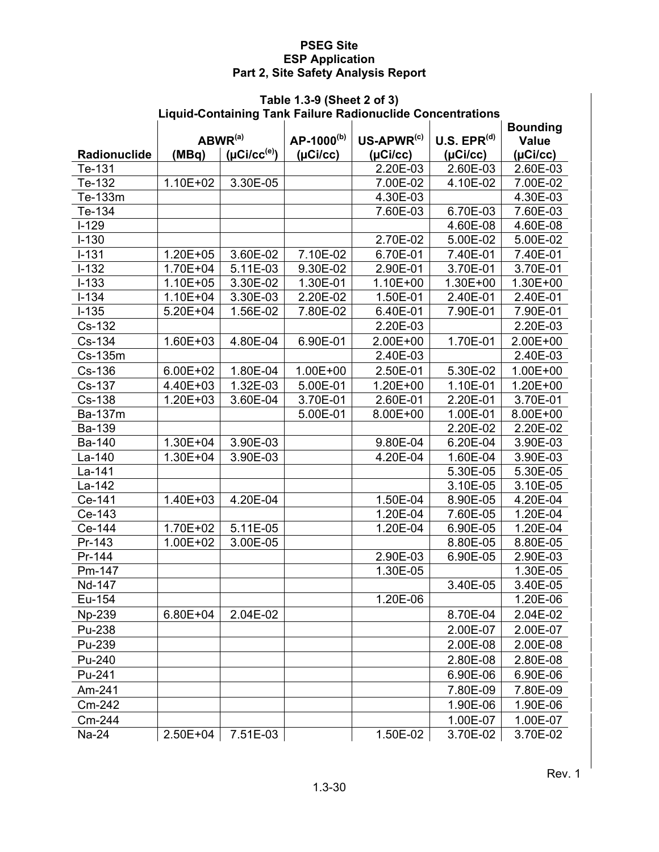#### **Table 1.3-9 (Sheet 2 of 3) Liquid-Containing Tank Failure Radionuclide Concentrations**

| <b>Bounding</b><br>U.S. EPR <sup>(d)</sup><br>ABWR <sup>(a)</sup><br>AP-1000 <sup>(b)</sup><br>$US-APWR^{(c)}$<br><b>Value</b><br>$(\mu$ Ci/cc <sup>(e)</sup> )<br>(µCi/cc)<br>Radionuclide<br>(MBq)<br>(µCi/cc)<br>(µCi/cc)<br>(µCi/cc)<br>2.20E-03<br>2.60E-03<br>Te-131<br>2.60E-03<br>3.30E-05<br>Te-132<br>1.10E+02<br>7.00E-02<br>4.10E-02<br>7.00E-02<br>4.30E-03<br>4.30E-03<br>Te-133m<br>6.70E-03<br>Te-134<br>7.60E-03<br>7.60E-03<br>$I-129$<br>4.60E-08<br>4.60E-08<br>$I-130$<br>2.70E-02<br>5.00E-02<br>5.00E-02<br>$I-131$<br>$1.20E + 05$<br>3.60E-02<br>7.10E-02<br>6.70E-01<br>7.40E-01<br>7.40E-01<br>$I-132$<br>3.70E-01<br>3.70E-01<br>1.70E+04<br>5.11E-03<br>9.30E-02<br>2.90E-01 |
|-----------------------------------------------------------------------------------------------------------------------------------------------------------------------------------------------------------------------------------------------------------------------------------------------------------------------------------------------------------------------------------------------------------------------------------------------------------------------------------------------------------------------------------------------------------------------------------------------------------------------------------------------------------------------------------------------------------|
|                                                                                                                                                                                                                                                                                                                                                                                                                                                                                                                                                                                                                                                                                                           |
|                                                                                                                                                                                                                                                                                                                                                                                                                                                                                                                                                                                                                                                                                                           |
|                                                                                                                                                                                                                                                                                                                                                                                                                                                                                                                                                                                                                                                                                                           |
|                                                                                                                                                                                                                                                                                                                                                                                                                                                                                                                                                                                                                                                                                                           |
|                                                                                                                                                                                                                                                                                                                                                                                                                                                                                                                                                                                                                                                                                                           |
|                                                                                                                                                                                                                                                                                                                                                                                                                                                                                                                                                                                                                                                                                                           |
|                                                                                                                                                                                                                                                                                                                                                                                                                                                                                                                                                                                                                                                                                                           |
|                                                                                                                                                                                                                                                                                                                                                                                                                                                                                                                                                                                                                                                                                                           |
|                                                                                                                                                                                                                                                                                                                                                                                                                                                                                                                                                                                                                                                                                                           |
|                                                                                                                                                                                                                                                                                                                                                                                                                                                                                                                                                                                                                                                                                                           |
| $I-133$<br>$1.10E + 05$<br>3.30E-02<br>1.30E-01<br>1.10E+00<br>1.30E+00<br>1.30E+00                                                                                                                                                                                                                                                                                                                                                                                                                                                                                                                                                                                                                       |
| $I-134$<br>1.10E+04<br>3.30E-03<br>2.20E-02<br>1.50E-01<br>2.40E-01<br>2.40E-01                                                                                                                                                                                                                                                                                                                                                                                                                                                                                                                                                                                                                           |
| $I-135$<br>5.20E+04<br>1.56E-02<br>7.80E-02<br>6.40E-01<br>7.90E-01<br>7.90E-01                                                                                                                                                                                                                                                                                                                                                                                                                                                                                                                                                                                                                           |
| Cs-132<br>2.20E-03<br>2.20E-03                                                                                                                                                                                                                                                                                                                                                                                                                                                                                                                                                                                                                                                                            |
| Cs-134<br>1.70E-01<br>2.00E+00<br>1.60E+03<br>4.80E-04<br>6.90E-01<br>2.00E+00                                                                                                                                                                                                                                                                                                                                                                                                                                                                                                                                                                                                                            |
| 2.40E-03<br>Cs-135m<br>2.40E-03                                                                                                                                                                                                                                                                                                                                                                                                                                                                                                                                                                                                                                                                           |
| Cs-136<br>6.00E+02<br>1.80E-04<br>$1.00E + 00$<br>2.50E-01<br>5.30E-02<br>1.00E+00                                                                                                                                                                                                                                                                                                                                                                                                                                                                                                                                                                                                                        |
| Cs-137<br>1.32E-03<br>5.00E-01<br>1.20E+00<br>4.40E+03<br>1.20E+00<br>1.10E-01                                                                                                                                                                                                                                                                                                                                                                                                                                                                                                                                                                                                                            |
| 2.20E-01<br>3.70E-01<br>Cs-138<br>$1.20E + 03$<br>3.60E-04<br>3.70E-01<br>2.60E-01                                                                                                                                                                                                                                                                                                                                                                                                                                                                                                                                                                                                                        |
| Ba-137m<br>5.00E-01<br>8.00E+00<br>1.00E-01<br>8.00E+00                                                                                                                                                                                                                                                                                                                                                                                                                                                                                                                                                                                                                                                   |
| Ba-139<br>2.20E-02<br>2.20E-02                                                                                                                                                                                                                                                                                                                                                                                                                                                                                                                                                                                                                                                                            |
| Ba-140<br>1.30E+04<br>3.90E-03<br>9.80E-04<br>6.20E-04<br>3.90E-03                                                                                                                                                                                                                                                                                                                                                                                                                                                                                                                                                                                                                                        |
| 1.30E+04<br>3.90E-03<br>4.20E-04<br>1.60E-04<br>3.90E-03<br>La-140                                                                                                                                                                                                                                                                                                                                                                                                                                                                                                                                                                                                                                        |
| La-141<br>5.30E-05<br>5.30E-05                                                                                                                                                                                                                                                                                                                                                                                                                                                                                                                                                                                                                                                                            |
| La-142<br>3.10E-05<br>3.10E-05                                                                                                                                                                                                                                                                                                                                                                                                                                                                                                                                                                                                                                                                            |
| Ce-141<br>1.40E+03<br>4.20E-04<br>1.50E-04<br>4.20E-04<br>8.90E-05                                                                                                                                                                                                                                                                                                                                                                                                                                                                                                                                                                                                                                        |
| Ce-143<br>1.20E-04<br>7.60E-05<br>1.20E-04                                                                                                                                                                                                                                                                                                                                                                                                                                                                                                                                                                                                                                                                |
| 1.70E+02<br>5.11E-05<br>1.20E-04<br>Ce-144<br>1.20E-04<br>6.90E-05                                                                                                                                                                                                                                                                                                                                                                                                                                                                                                                                                                                                                                        |
| Pr-143<br>1.00E+02<br>3.00E-05<br>8.80E-05<br>8.80E-05                                                                                                                                                                                                                                                                                                                                                                                                                                                                                                                                                                                                                                                    |
| Pr-144<br>2.90E-03<br>6.90E-05<br>2.90E-03                                                                                                                                                                                                                                                                                                                                                                                                                                                                                                                                                                                                                                                                |
| Pm-147<br>1.30E-05<br>1.30E-05                                                                                                                                                                                                                                                                                                                                                                                                                                                                                                                                                                                                                                                                            |
| Nd-147<br>3.40E-05<br>3.40E-05                                                                                                                                                                                                                                                                                                                                                                                                                                                                                                                                                                                                                                                                            |
| 1.20E-06<br>1.20E-06<br>Eu-154                                                                                                                                                                                                                                                                                                                                                                                                                                                                                                                                                                                                                                                                            |
| 2.04E-02<br>$6.80E + 04$<br>8.70E-04<br>2.04E-02<br>Np-239                                                                                                                                                                                                                                                                                                                                                                                                                                                                                                                                                                                                                                                |
| Pu-238<br>2.00E-07<br>2.00E-07                                                                                                                                                                                                                                                                                                                                                                                                                                                                                                                                                                                                                                                                            |
| Pu-239<br>2.00E-08<br>2.00E-08                                                                                                                                                                                                                                                                                                                                                                                                                                                                                                                                                                                                                                                                            |
| 2.80E-08<br>Pu-240<br>2.80E-08                                                                                                                                                                                                                                                                                                                                                                                                                                                                                                                                                                                                                                                                            |
| Pu-241<br>6.90E-06<br>6.90E-06                                                                                                                                                                                                                                                                                                                                                                                                                                                                                                                                                                                                                                                                            |
| 7.80E-09<br>Am-241<br>7.80E-09                                                                                                                                                                                                                                                                                                                                                                                                                                                                                                                                                                                                                                                                            |
| Cm-242<br>1.90E-06<br>1.90E-06                                                                                                                                                                                                                                                                                                                                                                                                                                                                                                                                                                                                                                                                            |
| Cm-244<br>1.00E-07<br>1.00E-07                                                                                                                                                                                                                                                                                                                                                                                                                                                                                                                                                                                                                                                                            |
| $2.50E + 04$<br>7.51E-03<br>1.50E-02<br>Na-24<br>3.70E-02<br>3.70E-02                                                                                                                                                                                                                                                                                                                                                                                                                                                                                                                                                                                                                                     |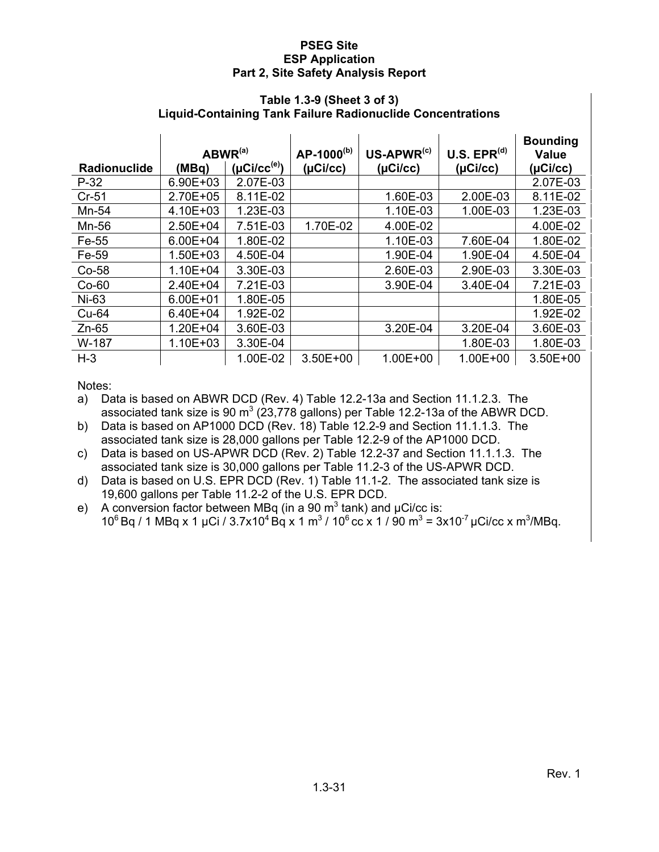#### **Table 1.3-9 (Sheet 3 of 3) Liquid-Containing Tank Failure Radionuclide Concentrations**

|                     | $ABWR^{(a)}$ |                           | AP-1000 <sup>(b)</sup> | $US-APWR^{(c)}$ | U.S. EPR <sup>(d)</sup> | <b>Bounding</b><br><b>Value</b> |
|---------------------|--------------|---------------------------|------------------------|-----------------|-------------------------|---------------------------------|
| <b>Radionuclide</b> | (MBq)        | $( \mu C i / c c^{(e)} )$ | (µCi/cc)               | (µCi/cc)        | (µCi/cc)                | (µCi/cc)                        |
| $P-32$              | 6.90E+03     | 2.07E-03                  |                        |                 |                         | 2.07E-03                        |
| $Cr-51$             | 2.70E+05     | 8.11E-02                  |                        | 1.60E-03        | 2.00E-03                | 8.11E-02                        |
| Mn-54               | 4.10E+03     | 1.23E-03                  |                        | 1.10E-03        | 1.00E-03                | 1.23E-03                        |
| Mn-56               | 2.50E+04     | 7.51E-03                  | 1.70E-02               | 4.00E-02        |                         | 4.00E-02                        |
| Fe-55               | 6.00E+04     | 1.80E-02                  |                        | 1.10E-03        | 7.60E-04                | 1.80E-02                        |
| Fe-59               | $1.50E + 03$ | 4.50E-04                  |                        | 1.90E-04        | 1.90E-04                | 4.50E-04                        |
| $Co-58$             | $1.10E + 04$ | 3.30E-03                  |                        | 2.60E-03        | 2.90E-03                | 3.30E-03                        |
| $Co-60$             | 2.40E+04     | 7.21E-03                  |                        | 3.90E-04        | 3.40E-04                | 7.21E-03                        |
| Ni-63               | $6.00E + 01$ | 1.80E-05                  |                        |                 |                         | 1.80E-05                        |
| Cu-64               | 6.40E+04     | 1.92E-02                  |                        |                 |                         | 1.92E-02                        |
| $Zn-65$             | $1.20E + 04$ | 3.60E-03                  |                        | 3.20E-04        | 3.20E-04                | 3.60E-03                        |
| W-187               | $1.10E + 03$ | 3.30E-04                  |                        |                 | 1.80E-03                | 1.80E-03                        |
| $H-3$               |              | 1.00E-02                  | $3.50E + 00$           | $1.00E + 00$    | $1.00E + 00$            | 3.50E+00                        |

Notes:

a) Data is based on ABWR DCD (Rev. 4) Table 12.2-13a and Section 11.1.2.3. The associated tank size is 90 m<sup>3</sup> (23,778 gallons) per Table 12.2-13a of the ABWR DCD.

b) Data is based on AP1000 DCD (Rev. 18) Table 12.2-9 and Section 11.1.1.3. The associated tank size is 28,000 gallons per Table 12.2-9 of the AP1000 DCD.

c) Data is based on US-APWR DCD (Rev. 2) Table 12.2-37 and Section 11.1.1.3. The associated tank size is 30,000 gallons per Table 11.2-3 of the US-APWR DCD.

d) Data is based on U.S. EPR DCD (Rev. 1) Table 11.1-2. The associated tank size is 19,600 gallons per Table 11.2-2 of the U.S. EPR DCD.

e) A conversion factor between MBq (in a 90  $\text{m}^3$  tank) and  $\mu$ Ci/cc is:  $10^6$  Bq / 1 MBq x 1 µCi / 3.7x10<sup>4</sup> Bq x 1 m<sup>3</sup> / 10<sup>6</sup> cc x 1 / 90 m<sup>3</sup> = 3x10<sup>-7</sup> µCi/cc x m<sup>3</sup>/MBq.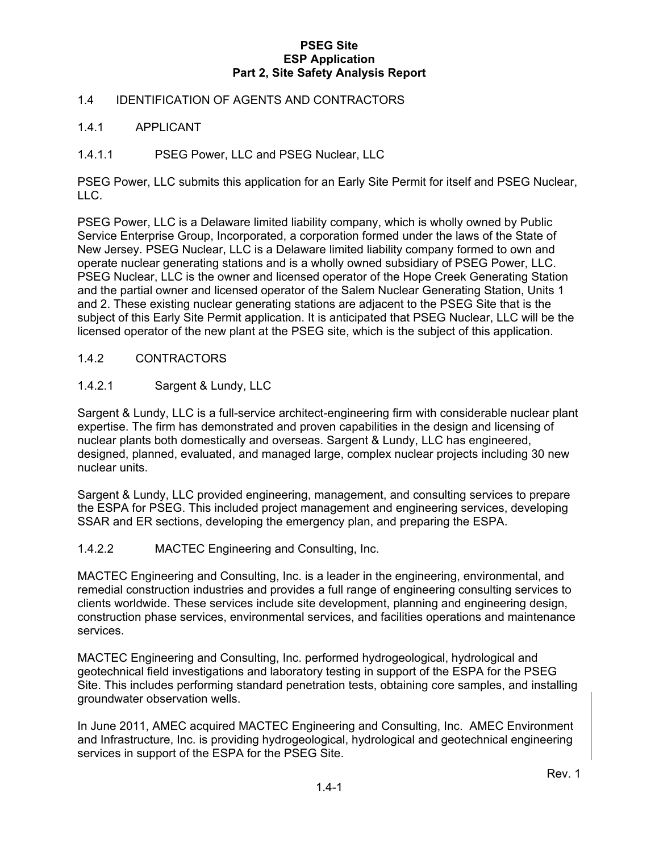#### 1.4 IDENTIFICATION OF AGENTS AND CONTRACTORS

#### 1.4.1 APPLICANT

#### 1.4.1.1 PSEG Power, LLC and PSEG Nuclear, LLC

PSEG Power, LLC submits this application for an Early Site Permit for itself and PSEG Nuclear, LLC.

PSEG Power, LLC is a Delaware limited liability company, which is wholly owned by Public Service Enterprise Group, Incorporated, a corporation formed under the laws of the State of New Jersey. PSEG Nuclear, LLC is a Delaware limited liability company formed to own and operate nuclear generating stations and is a wholly owned subsidiary of PSEG Power, LLC. PSEG Nuclear, LLC is the owner and licensed operator of the Hope Creek Generating Station and the partial owner and licensed operator of the Salem Nuclear Generating Station, Units 1 and 2. These existing nuclear generating stations are adjacent to the PSEG Site that is the subject of this Early Site Permit application. It is anticipated that PSEG Nuclear, LLC will be the licensed operator of the new plant at the PSEG site, which is the subject of this application.

#### 1.4.2 CONTRACTORS

#### 1.4.2.1 Sargent & Lundy, LLC

Sargent & Lundy, LLC is a full-service architect-engineering firm with considerable nuclear plant expertise. The firm has demonstrated and proven capabilities in the design and licensing of nuclear plants both domestically and overseas. Sargent & Lundy, LLC has engineered, designed, planned, evaluated, and managed large, complex nuclear projects including 30 new nuclear units.

Sargent & Lundy, LLC provided engineering, management, and consulting services to prepare the ESPA for PSEG. This included project management and engineering services, developing SSAR and ER sections, developing the emergency plan, and preparing the ESPA.

#### 1.4.2.2 MACTEC Engineering and Consulting, Inc.

MACTEC Engineering and Consulting, Inc. is a leader in the engineering, environmental, and remedial construction industries and provides a full range of engineering consulting services to clients worldwide. These services include site development, planning and engineering design, construction phase services, environmental services, and facilities operations and maintenance services.

MACTEC Engineering and Consulting, Inc. performed hydrogeological, hydrological and geotechnical field investigations and laboratory testing in support of the ESPA for the PSEG Site. This includes performing standard penetration tests, obtaining core samples, and installing groundwater observation wells.

In June 2011, AMEC acquired MACTEC Engineering and Consulting, Inc. AMEC Environment and Infrastructure, Inc. is providing hydrogeological, hydrological and geotechnical engineering services in support of the ESPA for the PSEG Site.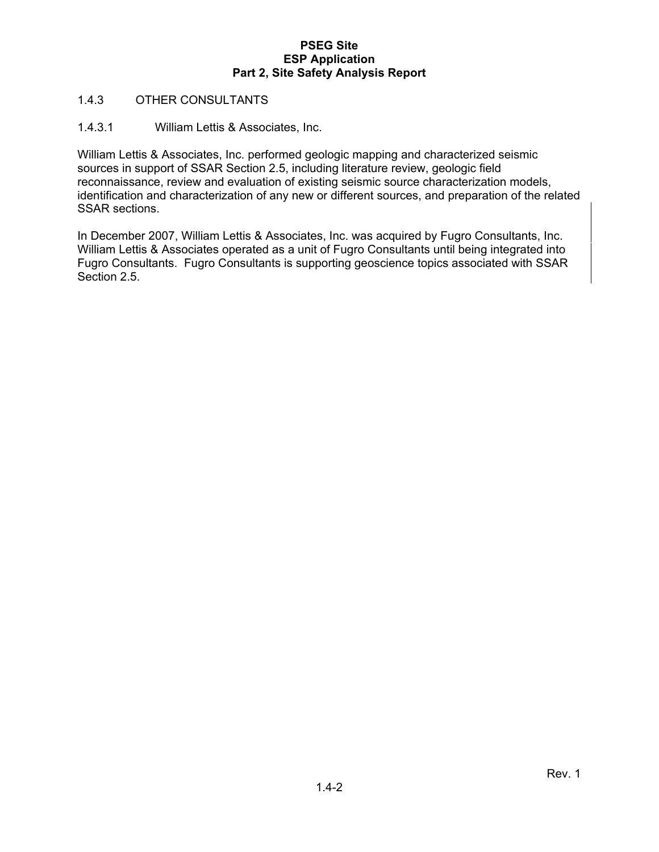#### 1.4.3 OTHER CONSULTANTS

#### 1.4.3.1 William Lettis & Associates, Inc.

William Lettis & Associates, Inc. performed geologic mapping and characterized seismic sources in support of SSAR Section 2.5, including literature review, geologic field reconnaissance, review and evaluation of existing seismic source characterization models, identification and characterization of any new or different sources, and preparation of the related SSAR sections.

In December 2007, William Lettis & Associates, Inc. was acquired by Fugro Consultants, Inc. William Lettis & Associates operated as a unit of Fugro Consultants until being integrated into Fugro Consultants. Fugro Consultants is supporting geoscience topics associated with SSAR Section 2.5.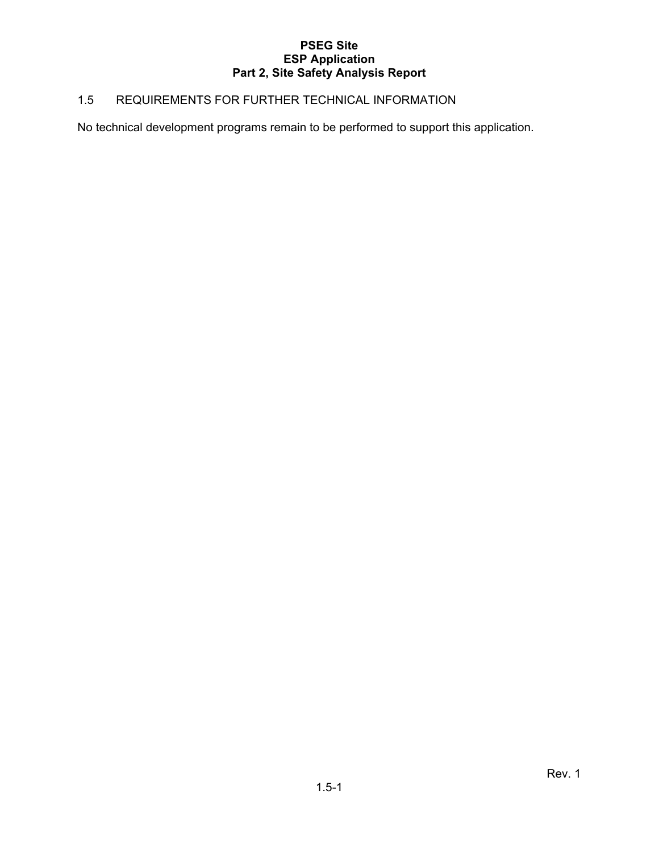### 1.5 REQUIREMENTS FOR FURTHER TECHNICAL INFORMATION

No technical development programs remain to be performed to support this application.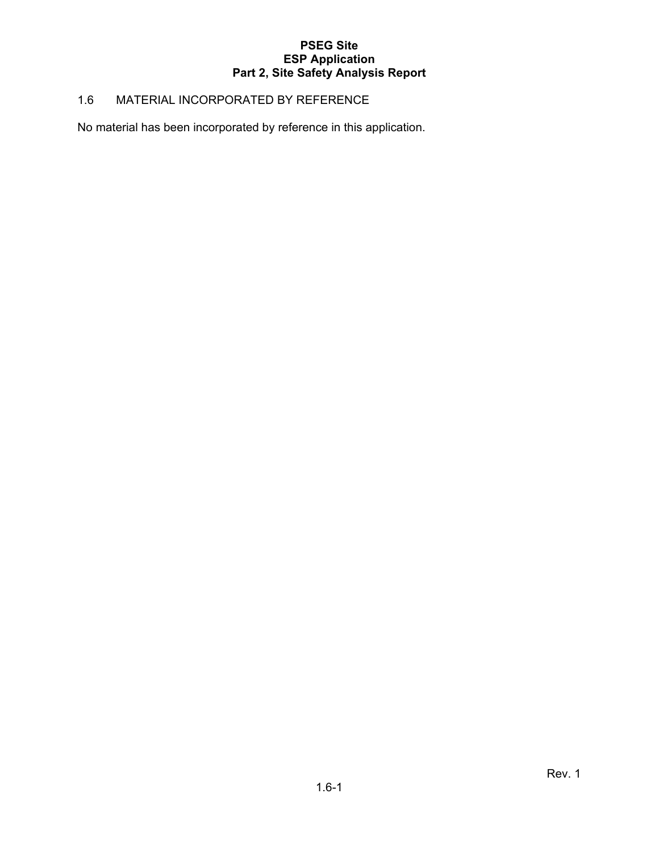#### 1.6 MATERIAL INCORPORATED BY REFERENCE

No material has been incorporated by reference in this application.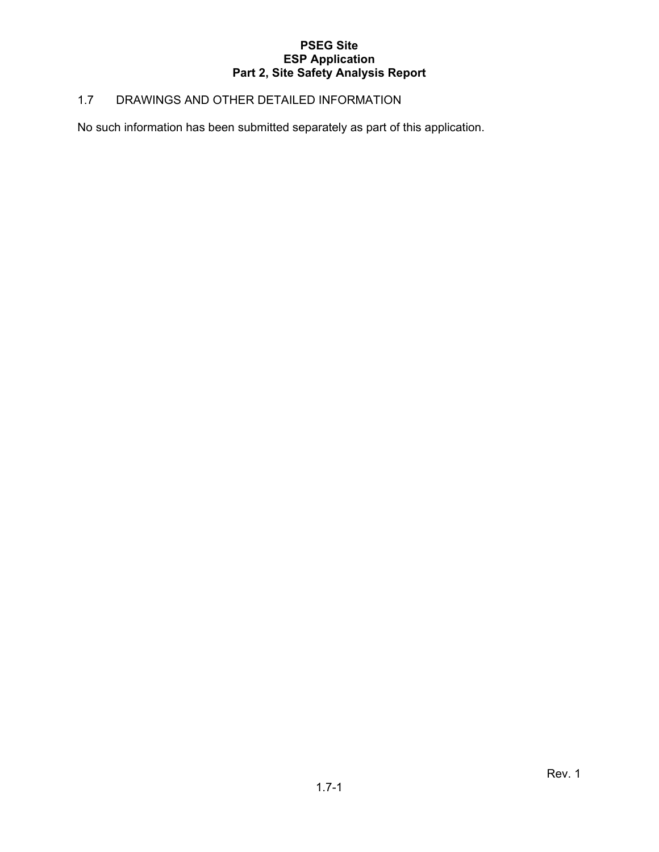#### 1.7 DRAWINGS AND OTHER DETAILED INFORMATION

No such information has been submitted separately as part of this application.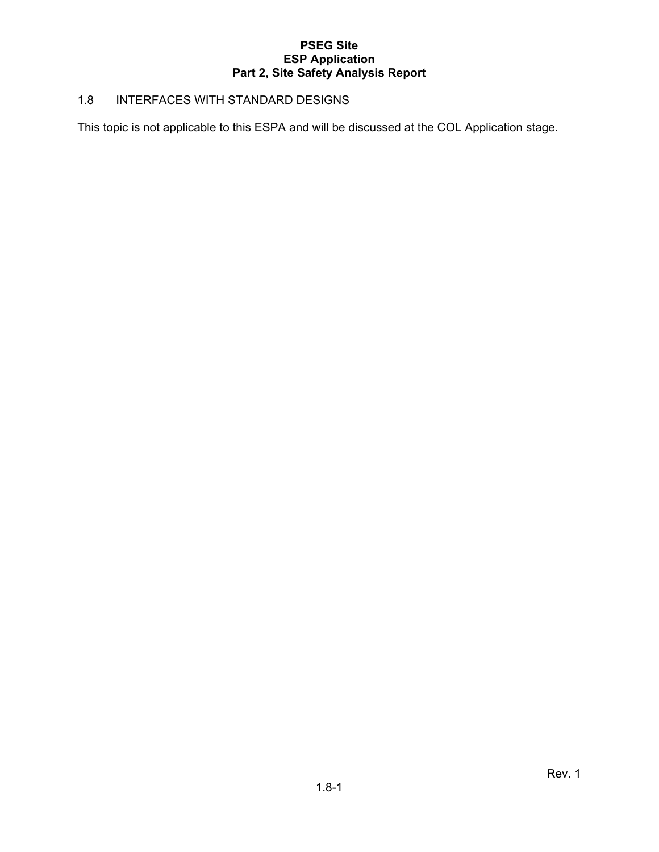#### 1.8 INTERFACES WITH STANDARD DESIGNS

This topic is not applicable to this ESPA and will be discussed at the COL Application stage.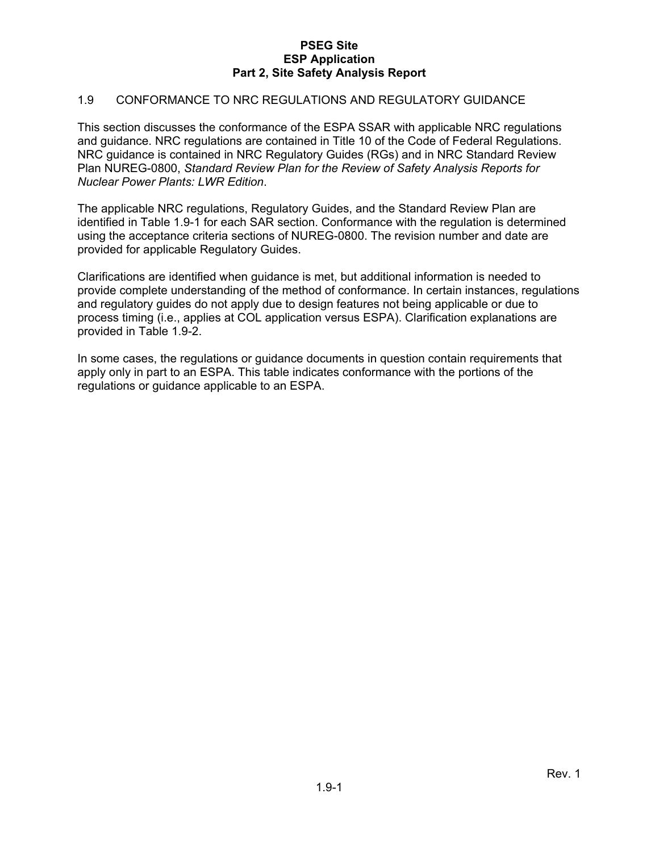#### 1.9 CONFORMANCE TO NRC REGULATIONS AND REGULATORY GUIDANCE

This section discusses the conformance of the ESPA SSAR with applicable NRC regulations and guidance. NRC regulations are contained in Title 10 of the Code of Federal Regulations. NRC guidance is contained in NRC Regulatory Guides (RGs) and in NRC Standard Review Plan NUREG-0800, *Standard Review Plan for the Review of Safety Analysis Reports for Nuclear Power Plants: LWR Edition*.

The applicable NRC regulations, Regulatory Guides, and the Standard Review Plan are identified in Table 1.9-1 for each SAR section. Conformance with the regulation is determined using the acceptance criteria sections of NUREG-0800. The revision number and date are provided for applicable Regulatory Guides.

Clarifications are identified when guidance is met, but additional information is needed to provide complete understanding of the method of conformance. In certain instances, regulations and regulatory guides do not apply due to design features not being applicable or due to process timing (i.e., applies at COL application versus ESPA). Clarification explanations are provided in Table 1.9-2.

In some cases, the regulations or guidance documents in question contain requirements that apply only in part to an ESPA. This table indicates conformance with the portions of the regulations or guidance applicable to an ESPA.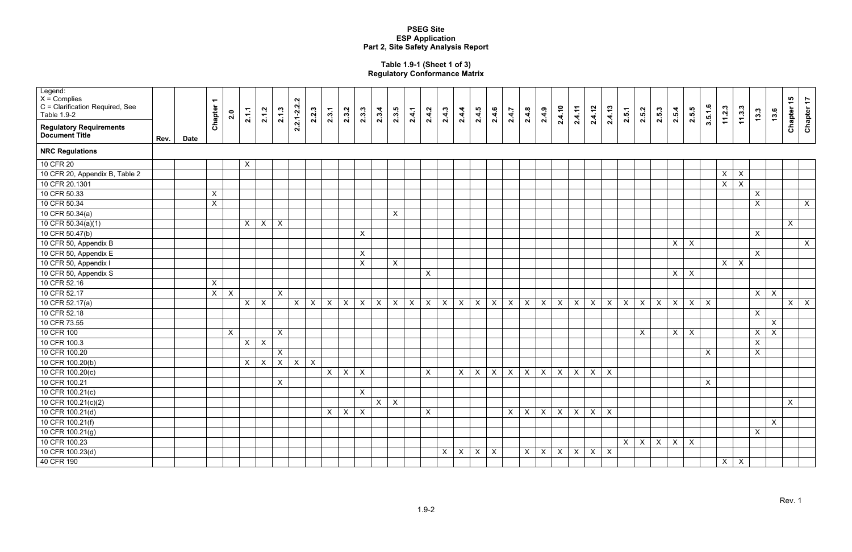#### **Table 1.9-1 (Sheet 1 of 3) Regulatory Conformance Matrix**

| Legend:<br>$X =$ Complies<br>C = Clarification Required, See<br>Table 1.9-2 |      |             | $\overline{\phantom{0}}$<br>Chapter | 2.0                       | 2.1.1        | 2.1.2                     | 2.1.3          | $2.2.1 - 2.2.2$ | 2.2.3            | 2.3.1        | 2.3.2                     | 2.3.3                     | 2.3.4        | 2.3.5                     | 2.4.1        | 2.4.2                     | 2.4.3        | 2.4.4                     | 2.4.5                     | 2.4.6                     | 2.4.7            | 2.4.8        | 2.4.9        | 2.4.10                    | 2.4.11                    | 2.4.12         | 2.4.13           | 2.5.1                     | 2.5.2        | 2.5.3                     | 2.5.4        | 2.5.5        | 3.5.1.6          | 11.2.3         | 11.3.3                    | 13.3         | 13.6                      | Chapter 15   | Chapter 17     |
|-----------------------------------------------------------------------------|------|-------------|-------------------------------------|---------------------------|--------------|---------------------------|----------------|-----------------|------------------|--------------|---------------------------|---------------------------|--------------|---------------------------|--------------|---------------------------|--------------|---------------------------|---------------------------|---------------------------|------------------|--------------|--------------|---------------------------|---------------------------|----------------|------------------|---------------------------|--------------|---------------------------|--------------|--------------|------------------|----------------|---------------------------|--------------|---------------------------|--------------|----------------|
| <b>Regulatory Requirements</b><br><b>Document Title</b>                     | Rev. | <b>Date</b> |                                     |                           |              |                           |                |                 |                  |              |                           |                           |              |                           |              |                           |              |                           |                           |                           |                  |              |              |                           |                           |                |                  |                           |              |                           |              |              |                  |                |                           |              |                           |              |                |
| <b>NRC Regulations</b>                                                      |      |             |                                     |                           |              |                           |                |                 |                  |              |                           |                           |              |                           |              |                           |              |                           |                           |                           |                  |              |              |                           |                           |                |                  |                           |              |                           |              |              |                  |                |                           |              |                           |              |                |
| 10 CFR 20                                                                   |      |             |                                     |                           | $\mathsf{X}$ |                           |                |                 |                  |              |                           |                           |              |                           |              |                           |              |                           |                           |                           |                  |              |              |                           |                           |                |                  |                           |              |                           |              |              |                  |                |                           |              |                           |              |                |
| 10 CFR 20, Appendix B, Table 2                                              |      |             |                                     |                           |              |                           |                |                 |                  |              |                           |                           |              |                           |              |                           |              |                           |                           |                           |                  |              |              |                           |                           |                |                  |                           |              |                           |              |              |                  | $\mathsf{X}$   | $\boldsymbol{\mathsf{X}}$ |              |                           |              |                |
| 10 CFR 20.1301                                                              |      |             |                                     |                           |              |                           |                |                 |                  |              |                           |                           |              |                           |              |                           |              |                           |                           |                           |                  |              |              |                           |                           |                |                  |                           |              |                           |              |              |                  | $\mathsf X$    | $\pmb{\times}$            |              |                           |              |                |
| 10 CFR 50.33                                                                |      |             | X                                   |                           |              |                           |                |                 |                  |              |                           |                           |              |                           |              |                           |              |                           |                           |                           |                  |              |              |                           |                           |                |                  |                           |              |                           |              |              |                  |                |                           | $\mathsf{X}$ |                           |              |                |
| 10 CFR 50.34                                                                |      |             | X                                   |                           |              |                           |                |                 |                  |              |                           |                           |              |                           |              |                           |              |                           |                           |                           |                  |              |              |                           |                           |                |                  |                           |              |                           |              |              |                  |                |                           | $\mathsf{X}$ |                           |              | $\mathsf{X}^-$ |
| 10 CFR 50.34(a)                                                             |      |             |                                     |                           |              |                           |                |                 |                  |              |                           |                           |              | $\mathsf X$               |              |                           |              |                           |                           |                           |                  |              |              |                           |                           |                |                  |                           |              |                           |              |              |                  |                |                           |              |                           |              |                |
| 10 CFR 50.34(a)(1)                                                          |      |             |                                     |                           | $\mathsf{X}$ | $\mathsf X$               | $\mathsf{X}$   |                 |                  |              |                           |                           |              |                           |              |                           |              |                           |                           |                           |                  |              |              |                           |                           |                |                  |                           |              |                           |              |              |                  |                |                           |              |                           | $\mathsf{X}$ |                |
| 10 CFR 50.47(b)                                                             |      |             |                                     |                           |              |                           |                |                 |                  |              |                           | $\mathsf{X}$              |              |                           |              |                           |              |                           |                           |                           |                  |              |              |                           |                           |                |                  |                           |              |                           |              |              |                  |                |                           | $\mathsf{X}$ |                           |              |                |
| 10 CFR 50, Appendix B                                                       |      |             |                                     |                           |              |                           |                |                 |                  |              |                           |                           |              |                           |              |                           |              |                           |                           |                           |                  |              |              |                           |                           |                |                  |                           |              |                           | $\mathsf{X}$ | $\mathsf{X}$ |                  |                |                           |              |                           |              | $\mathsf{X}^-$ |
| 10 CFR 50, Appendix E                                                       |      |             |                                     |                           |              |                           |                |                 |                  |              |                           | $\mathsf{X}$              |              |                           |              |                           |              |                           |                           |                           |                  |              |              |                           |                           |                |                  |                           |              |                           |              |              |                  |                |                           | $\mathsf{X}$ |                           |              |                |
| 10 CFR 50, Appendix I                                                       |      |             |                                     |                           |              |                           |                |                 |                  |              |                           | $\pmb{\times}$            |              | $\mathsf X$               |              |                           |              |                           |                           |                           |                  |              |              |                           |                           |                |                  |                           |              |                           |              |              |                  | $\mathsf{X}^-$ | $\boldsymbol{\mathsf{X}}$ |              |                           |              |                |
| 10 CFR 50, Appendix S                                                       |      |             |                                     |                           |              |                           |                |                 |                  |              |                           |                           |              |                           |              | $\pmb{\times}$            |              |                           |                           |                           |                  |              |              |                           |                           |                |                  |                           |              |                           | X            | $\mathsf X$  |                  |                |                           |              |                           |              |                |
| 10 CFR 52.16                                                                |      |             | X                                   |                           |              |                           |                |                 |                  |              |                           |                           |              |                           |              |                           |              |                           |                           |                           |                  |              |              |                           |                           |                |                  |                           |              |                           |              |              |                  |                |                           |              |                           |              |                |
| 10 CFR 52.17                                                                |      |             | $\mathsf{X}^-$                      | $\boldsymbol{\mathsf{X}}$ |              |                           | $\mathsf{X}$   |                 |                  |              |                           |                           |              |                           |              |                           |              |                           |                           |                           |                  |              |              |                           |                           |                |                  |                           |              |                           |              |              |                  |                |                           | $\mathsf{X}$ | $\boldsymbol{X}$          |              |                |
| 10 CFR 52.17(a)                                                             |      |             |                                     |                           | $\mathsf{X}$ | $\boldsymbol{\mathsf{X}}$ |                | $\pmb{\times}$  | $\boldsymbol{X}$ | $\mathsf{X}$ | $\mathsf{X}$              | $\mathsf X$               | $\pmb{\chi}$ | $\boldsymbol{\mathsf{X}}$ | $\mathsf{X}$ | $\boldsymbol{\mathsf{X}}$ | $\mathsf{X}$ | $\boldsymbol{X}$          | $\boldsymbol{X}$          | $\mathsf X$               | $\boldsymbol{X}$ | $\mathsf{X}$ | $\mathsf X$  | $\mathsf{X}$              | $\boldsymbol{X}$          | $\mathsf{X}$   | $\mathsf{X}$     | $\boldsymbol{\mathsf{X}}$ | $\mathsf{X}$ | $\boldsymbol{\mathsf{X}}$ | $\mathsf X$  | $\mathsf{X}$ | $\boldsymbol{X}$ |                |                           |              |                           | $\mathsf{X}$ | $\mathsf{X}$   |
| 10 CFR 52.18                                                                |      |             |                                     |                           |              |                           |                |                 |                  |              |                           |                           |              |                           |              |                           |              |                           |                           |                           |                  |              |              |                           |                           |                |                  |                           |              |                           |              |              |                  |                |                           | $\mathsf{X}$ |                           |              |                |
| 10 CFR 73.55                                                                |      |             |                                     |                           |              |                           |                |                 |                  |              |                           |                           |              |                           |              |                           |              |                           |                           |                           |                  |              |              |                           |                           |                |                  |                           |              |                           |              |              |                  |                |                           |              | $\mathsf{X}$              |              |                |
| 10 CFR 100                                                                  |      |             |                                     | $\pmb{\times}$            |              |                           | $\pmb{\times}$ |                 |                  |              |                           |                           |              |                           |              |                           |              |                           |                           |                           |                  |              |              |                           |                           |                |                  |                           | $\mathsf{X}$ |                           | $\mathsf{X}$ | $\pmb{\chi}$ |                  |                |                           | $\mathsf{X}$ | $\boldsymbol{\mathsf{X}}$ |              |                |
| 10 CFR 100.3                                                                |      |             |                                     |                           | $\mathsf{X}$ | $\boldsymbol{\mathsf{X}}$ |                |                 |                  |              |                           |                           |              |                           |              |                           |              |                           |                           |                           |                  |              |              |                           |                           |                |                  |                           |              |                           |              |              |                  |                |                           | $\mathsf{X}$ |                           |              |                |
| 10 CFR 100.20                                                               |      |             |                                     |                           |              |                           | $\mathsf X$    |                 |                  |              |                           |                           |              |                           |              |                           |              |                           |                           |                           |                  |              |              |                           |                           |                |                  |                           |              |                           |              |              | $\mathsf{X}$     |                |                           | $\mathsf{X}$ |                           |              |                |
| 10 CFR 100.20(b)                                                            |      |             |                                     |                           | $\mathsf{X}$ | $\mathsf{X}$              | $\mathsf X$    | $\mathsf X$     | $\boldsymbol{X}$ |              |                           |                           |              |                           |              |                           |              |                           |                           |                           |                  |              |              |                           |                           |                |                  |                           |              |                           |              |              |                  |                |                           |              |                           |              |                |
| 10 CFR 100.20(c)                                                            |      |             |                                     |                           |              |                           |                |                 |                  | $\mathsf{X}$ | $\boldsymbol{\mathsf{X}}$ | $\mathsf{X}$              |              |                           |              | $\boldsymbol{\mathsf{X}}$ |              | $\boldsymbol{\mathsf{X}}$ | $\mathsf X$               | $\mathsf X$               | $\mathsf X$      | $\mathsf{X}$ | $\mathsf X$  | $\boldsymbol{\mathsf{X}}$ | $\pmb{\times}$            | $\pmb{\times}$ | $\sf X$          |                           |              |                           |              |              |                  |                |                           |              |                           |              |                |
| 10 CFR 100.21                                                               |      |             |                                     |                           |              |                           | $\pmb{\times}$ |                 |                  |              |                           |                           |              |                           |              |                           |              |                           |                           |                           |                  |              |              |                           |                           |                |                  |                           |              |                           |              |              | $\boldsymbol{X}$ |                |                           |              |                           |              |                |
| 10 CFR 100.21(c)                                                            |      |             |                                     |                           |              |                           |                |                 |                  |              |                           | $\mathsf{X}$              |              |                           |              |                           |              |                           |                           |                           |                  |              |              |                           |                           |                |                  |                           |              |                           |              |              |                  |                |                           |              |                           |              |                |
| 10 CFR 100.21(c)(2)                                                         |      |             |                                     |                           |              |                           |                |                 |                  |              |                           |                           | $\mathsf{X}$ | $\mathsf{X}$              |              |                           |              |                           |                           |                           |                  |              |              |                           |                           |                |                  |                           |              |                           |              |              |                  |                |                           |              |                           | $\mathsf X$  |                |
| 10 CFR 100.21(d)                                                            |      |             |                                     |                           |              |                           |                |                 |                  | $\mathsf{X}$ | $\mathsf{X}$              | $\boldsymbol{\mathsf{X}}$ |              |                           |              | $\boldsymbol{\mathsf{X}}$ |              |                           |                           |                           | X                | $\mathsf{X}$ | $\mathsf{X}$ | $\mathsf{X}$              | $\boldsymbol{\mathsf{X}}$ | $\mathsf{X}$   | $\mathsf{X}$     |                           |              |                           |              |              |                  |                |                           |              |                           |              |                |
| 10 CFR 100.21(f)                                                            |      |             |                                     |                           |              |                           |                |                 |                  |              |                           |                           |              |                           |              |                           |              |                           |                           |                           |                  |              |              |                           |                           |                |                  |                           |              |                           |              |              |                  |                |                           |              | $\mathsf{X}$              |              |                |
| 10 CFR 100.21(g)                                                            |      |             |                                     |                           |              |                           |                |                 |                  |              |                           |                           |              |                           |              |                           |              |                           |                           |                           |                  |              |              |                           |                           |                |                  |                           |              |                           |              |              |                  |                |                           | $\mathsf{X}$ |                           |              |                |
| 10 CFR 100.23                                                               |      |             |                                     |                           |              |                           |                |                 |                  |              |                           |                           |              |                           |              |                           |              |                           |                           |                           |                  |              |              |                           |                           |                |                  | X                         | $\mathsf{X}$ | $\mathsf{X}$              | $\mathsf{X}$ | $\mathsf{X}$ |                  |                |                           |              |                           |              |                |
| 10 CFR 100.23(d)                                                            |      |             |                                     |                           |              |                           |                |                 |                  |              |                           |                           |              |                           |              |                           | $\mathsf{X}$ | $\boldsymbol{X}$          | $\boldsymbol{\mathsf{X}}$ | $\boldsymbol{\mathsf{X}}$ |                  | $\mathsf{X}$ | $\mathsf{X}$ | $\mathsf{X}$              | $\boldsymbol{X}$          | $\mathsf{X}$   | $\boldsymbol{X}$ |                           |              |                           |              |              |                  |                |                           |              |                           |              |                |
| 40 CFR 190                                                                  |      |             |                                     |                           |              |                           |                |                 |                  |              |                           |                           |              |                           |              |                           |              |                           |                           |                           |                  |              |              |                           |                           |                |                  |                           |              |                           |              |              |                  | X              | $\mathsf{X}$              |              |                           |              |                |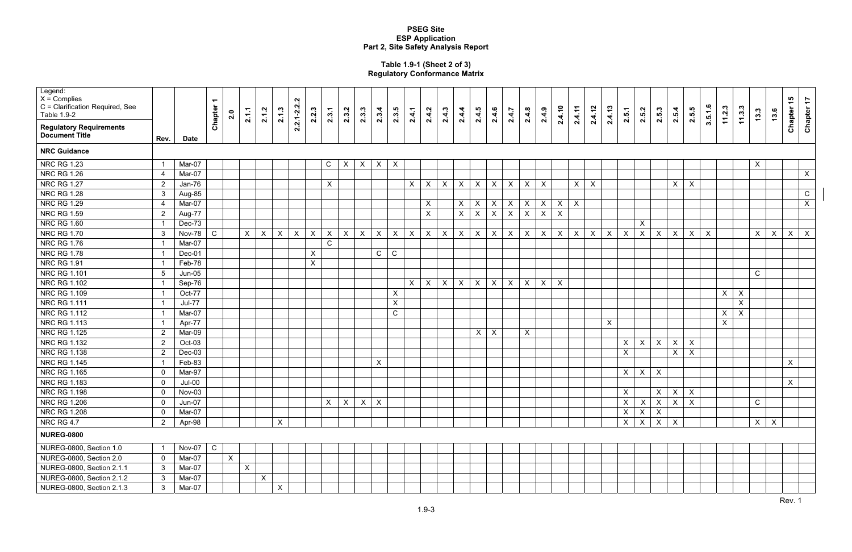Rev. 1

#### **Table 1.9-1 (Sheet 2 of 3) Regulatory Conformance Matrix**

| Legend:<br>$X =$ Complies<br>C = Clarification Required, See<br>Table 1.9-2 |                 |               | $\blacktriangledown$<br>Chapter | 2.0          | 2.1.1        | 2.1.2        | 2.1.3        | Ņ<br>$2.2.1 - 2.2$<br>2.2.3 | 2.3.1            | 2.3.2                     | 2.3.3        | 2.3.4        | 2.3.5                     | 2.4.1                     | 2.4.2                     | 2.4.3                     | 2.4.4                     | 2.4.5                     | 2.4.6        | 2.4.7        | 2.4.8                     | 2.4.9        | 2.4.10       | 2.4.11                    | 2.4.12         | 2.4.13       | 2.5.1          | 2.5.2                     | 2.5.3        | 2.5.4          | 2.5.5                     | 3.5.1.6        | 11.2.3           | 11.3.3       | 13.3           | 13.6         | $\frac{1}{6}$<br>Chapter <sup>-</sup> | $\ddot{ }$<br><b>Chapter</b> |
|-----------------------------------------------------------------------------|-----------------|---------------|---------------------------------|--------------|--------------|--------------|--------------|-----------------------------|------------------|---------------------------|--------------|--------------|---------------------------|---------------------------|---------------------------|---------------------------|---------------------------|---------------------------|--------------|--------------|---------------------------|--------------|--------------|---------------------------|----------------|--------------|----------------|---------------------------|--------------|----------------|---------------------------|----------------|------------------|--------------|----------------|--------------|---------------------------------------|------------------------------|
| <b>Regulatory Requirements</b><br><b>Document Title</b>                     | Rev.            | <b>Date</b>   |                                 |              |              |              |              |                             |                  |                           |              |              |                           |                           |                           |                           |                           |                           |              |              |                           |              |              |                           |                |              |                |                           |              |                |                           |                |                  |              |                |              |                                       |                              |
| <b>NRC Guidance</b>                                                         |                 |               |                                 |              |              |              |              |                             |                  |                           |              |              |                           |                           |                           |                           |                           |                           |              |              |                           |              |              |                           |                |              |                |                           |              |                |                           |                |                  |              |                |              |                                       |                              |
| <b>NRC RG 1.23</b>                                                          |                 | Mar-07        |                                 |              |              |              |              |                             | $\mathsf{C}$     | $\sf X$                   | X            | $\mathsf{X}$ | $\sf X$                   |                           |                           |                           |                           |                           |              |              |                           |              |              |                           |                |              |                |                           |              |                |                           |                |                  |              | $\pmb{\times}$ |              |                                       |                              |
| <b>NRC RG 1.26</b>                                                          | 4               | Mar-07        |                                 |              |              |              |              |                             |                  |                           |              |              |                           |                           |                           |                           |                           |                           |              |              |                           |              |              |                           |                |              |                |                           |              |                |                           |                |                  |              |                |              |                                       | $\pmb{\times}$               |
| <b>NRC RG 1.27</b>                                                          | $\overline{2}$  | Jan-76        |                                 |              |              |              |              |                             | $\sf X$          |                           |              |              |                           | $\pmb{\times}$            | $\boldsymbol{\mathsf{X}}$ | $\boldsymbol{\mathsf{X}}$ | $\pmb{\times}$            | $\mathsf{X}$              | $\mathsf{X}$ | $\mathsf{X}$ | $\pmb{\times}$            | $\mathsf{X}$ |              | X                         | $\pmb{\times}$ |              |                |                           |              | X              | $\pmb{\times}$            |                |                  |              |                |              |                                       |                              |
| <b>NRC RG 1.28</b>                                                          | 3 <sup>1</sup>  | Aug-85        |                                 |              |              |              |              |                             |                  |                           |              |              |                           |                           |                           |                           |                           |                           |              |              |                           |              |              |                           |                |              |                |                           |              |                |                           |                |                  |              |                |              |                                       | ${\bf C}$                    |
| <b>NRC RG 1.29</b>                                                          | $\overline{4}$  | Mar-07        |                                 |              |              |              |              |                             |                  |                           |              |              |                           |                           | $\pmb{\times}$            |                           | $\mathsf{X}$              | $\boldsymbol{\mathsf{X}}$ | $\mathsf{X}$ | $\mathsf{X}$ | $\pmb{\times}$            | $\mathsf{X}$ | $\mathsf{X}$ | $\pmb{\times}$            |                |              |                |                           |              |                |                           |                |                  |              |                |              |                                       | $\mathsf X$                  |
| <b>NRC RG 1.59</b>                                                          | $2^{\circ}$     | Aug-77        |                                 |              |              |              |              |                             |                  |                           |              |              |                           |                           | $\mathsf{X}$              |                           | $\mathsf{X}$              | $\pmb{\times}$            | $\mathsf{X}$ | $\mathsf{X}$ | $\pmb{\times}$            | $\mathsf{X}$ | $\mathsf{X}$ |                           |                |              |                |                           |              |                |                           |                |                  |              |                |              |                                       |                              |
| <b>NRC RG 1.60</b>                                                          |                 | Dec-73        |                                 |              |              |              |              |                             |                  |                           |              |              |                           |                           |                           |                           |                           |                           |              |              |                           |              |              |                           |                |              |                | $\boldsymbol{\mathsf{X}}$ |              |                |                           |                |                  |              |                |              |                                       |                              |
| <b>NRC RG 1.70</b>                                                          | 3               | Nov-78        | ${\rm C}$                       |              | X            | $\mathsf X$  | $\mathsf{X}$ | $\mathsf X$<br>$\mathsf X$  | $\boldsymbol{X}$ | $\boldsymbol{\mathsf{X}}$ | $\mathsf{X}$ | $\mathsf{X}$ | $\boldsymbol{\mathsf{X}}$ | $\boldsymbol{\mathsf{X}}$ | $\boldsymbol{\mathsf{X}}$ | $\mathsf{X}$              | $\boldsymbol{\mathsf{X}}$ | $\boldsymbol{\mathsf{X}}$ | $\mathsf{X}$ | $\mathsf X$  | $\boldsymbol{\mathsf{X}}$ | $\mathsf X$  | $\mathsf X$  | $\boldsymbol{\mathsf{X}}$ | $\mathsf X$    | $\mathsf{X}$ | $\mathsf X$    | $\boldsymbol{\mathsf{X}}$ | $\mathsf X$  | $\mathsf X$    | $\pmb{\times}$            | $\pmb{\times}$ |                  |              | $\pmb{\times}$ | $\mathsf X$  | $\boldsymbol{\mathsf{X}}$             | $\boldsymbol{\mathsf{X}}$    |
| <b>NRC RG 1.76</b>                                                          |                 | Mar-07        |                                 |              |              |              |              |                             | $\mathsf C$      |                           |              |              |                           |                           |                           |                           |                           |                           |              |              |                           |              |              |                           |                |              |                |                           |              |                |                           |                |                  |              |                |              |                                       |                              |
| <b>NRC RG 1.78</b>                                                          |                 | Dec-01        |                                 |              |              |              |              | $\mathsf{X}$                |                  |                           |              | $\mathsf{C}$ | $\mathsf C$               |                           |                           |                           |                           |                           |              |              |                           |              |              |                           |                |              |                |                           |              |                |                           |                |                  |              |                |              |                                       |                              |
| <b>NRC RG 1.91</b>                                                          |                 | Feb-78        |                                 |              |              |              |              | $\pmb{\times}$              |                  |                           |              |              |                           |                           |                           |                           |                           |                           |              |              |                           |              |              |                           |                |              |                |                           |              |                |                           |                |                  |              |                |              |                                       |                              |
| <b>NRC RG 1.101</b>                                                         | $5\phantom{.0}$ | $Jun-05$      |                                 |              |              |              |              |                             |                  |                           |              |              |                           |                           |                           |                           |                           |                           |              |              |                           |              |              |                           |                |              |                |                           |              |                |                           |                |                  |              | $\mathbf C$    |              |                                       |                              |
| NRC RG 1.102                                                                |                 | Sep-76        |                                 |              |              |              |              |                             |                  |                           |              |              |                           | $\mathsf{X}$              | $\mathsf{X}$              | $\mathsf{X}$              | $\mathsf{X}$              | $\mathsf{X}$              | $\mathsf{X}$ | $\mathsf{X}$ | $\pmb{\times}$            | $\mathsf{X}$ | $\mathsf{X}$ |                           |                |              |                |                           |              |                |                           |                |                  |              |                |              |                                       |                              |
| <b>NRC RG 1.109</b>                                                         |                 | Oct-77        |                                 |              |              |              |              |                             |                  |                           |              |              | $\mathsf{X}$              |                           |                           |                           |                           |                           |              |              |                           |              |              |                           |                |              |                |                           |              |                |                           |                | $\mathsf{X}$     | $\mathsf{X}$ |                |              |                                       |                              |
| <b>NRC RG 1.111</b>                                                         |                 | <b>Jul-77</b> |                                 |              |              |              |              |                             |                  |                           |              |              | $\boldsymbol{\mathsf{X}}$ |                           |                           |                           |                           |                           |              |              |                           |              |              |                           |                |              |                |                           |              |                |                           |                |                  | $\mathsf{X}$ |                |              |                                       |                              |
| <b>NRC RG 1.112</b>                                                         |                 | Mar-07        |                                 |              |              |              |              |                             |                  |                           |              |              | ${\rm C}$                 |                           |                           |                           |                           |                           |              |              |                           |              |              |                           |                |              |                |                           |              |                |                           |                | $\pmb{\times}$   | $\mathsf X$  |                |              |                                       |                              |
| <b>NRC RG 1.113</b>                                                         |                 | Apr-77        |                                 |              |              |              |              |                             |                  |                           |              |              |                           |                           |                           |                           |                           |                           |              |              |                           |              |              |                           |                | $\mathsf{X}$ |                |                           |              |                |                           |                | $\boldsymbol{X}$ |              |                |              |                                       |                              |
| <b>NRC RG 1.125</b>                                                         | $\overline{2}$  | Mar-09        |                                 |              |              |              |              |                             |                  |                           |              |              |                           |                           |                           |                           |                           | $\mathsf{X}$              | $\sf X$      |              | $\pmb{\times}$            |              |              |                           |                |              |                |                           |              |                |                           |                |                  |              |                |              |                                       |                              |
| NRC RG 1.132                                                                | $\overline{2}$  | Oct-03        |                                 |              |              |              |              |                             |                  |                           |              |              |                           |                           |                           |                           |                           |                           |              |              |                           |              |              |                           |                |              | $\mathsf{X}$   | $\pmb{\times}$            | $\mathsf{X}$ | $\pmb{\times}$ | $\pmb{\times}$            |                |                  |              |                |              |                                       |                              |
| NRC RG 1.138                                                                | $\overline{2}$  | $Dec-03$      |                                 |              |              |              |              |                             |                  |                           |              |              |                           |                           |                           |                           |                           |                           |              |              |                           |              |              |                           |                |              | $\mathsf X$    |                           |              | X              | $\pmb{\times}$            |                |                  |              |                |              |                                       |                              |
| <b>NRC RG 1.145</b>                                                         |                 | Feb-83        |                                 |              |              |              |              |                             |                  |                           |              | $\mathsf{X}$ |                           |                           |                           |                           |                           |                           |              |              |                           |              |              |                           |                |              |                |                           |              |                |                           |                |                  |              |                |              | X                                     |                              |
| NRC RG 1.165                                                                | $\mathbf 0$     | Mar-97        |                                 |              |              |              |              |                             |                  |                           |              |              |                           |                           |                           |                           |                           |                           |              |              |                           |              |              |                           |                |              | $\mathsf{X}$   | $\pmb{\times}$            | $\mathsf{X}$ |                |                           |                |                  |              |                |              |                                       |                              |
| <b>NRC RG 1.183</b>                                                         | $\mathbf{0}$    | $Jul-00$      |                                 |              |              |              |              |                             |                  |                           |              |              |                           |                           |                           |                           |                           |                           |              |              |                           |              |              |                           |                |              |                |                           |              |                |                           |                |                  |              |                |              | X                                     |                              |
| NRC RG 1.198                                                                | $\mathbf 0$     | Nov-03        |                                 |              |              |              |              |                             |                  |                           |              |              |                           |                           |                           |                           |                           |                           |              |              |                           |              |              |                           |                |              | $\mathsf X$    |                           | $\mathsf{X}$ | $\mathsf{X}$   | $\boldsymbol{\mathsf{X}}$ |                |                  |              |                |              |                                       |                              |
| <b>NRC RG 1.206</b>                                                         | $\mathbf 0$     | Jun-07        |                                 |              |              |              |              |                             | X                | $\mathsf{X}$              | $\mathsf{X}$ | $\mathsf{X}$ |                           |                           |                           |                           |                           |                           |              |              |                           |              |              |                           |                |              | $\mathsf{X}^-$ | $\mathsf{X}$              | $\mathsf{X}$ | $\mathsf{X}$   | $\mathsf{X}$              |                |                  |              | ${\bf C}$      |              |                                       |                              |
| NRC RG 1.208                                                                | $\overline{0}$  | Mar-07        |                                 |              |              |              |              |                             |                  |                           |              |              |                           |                           |                           |                           |                           |                           |              |              |                           |              |              |                           |                |              | $\mathsf{X}$   | $\mathsf{X}$              | $\mathsf{X}$ |                |                           |                |                  |              |                |              |                                       |                              |
| <b>NRC RG 4.7</b>                                                           | $2^{\circ}$     | Apr-98        |                                 |              |              |              | $\mathsf{X}$ |                             |                  |                           |              |              |                           |                           |                           |                           |                           |                           |              |              |                           |              |              |                           |                |              | $\mathsf{X}$   | $\mathsf{X}$              | $\mathsf{X}$ | $\mathsf{X}$   |                           |                |                  |              | $\mathsf{X}$   | $\mathsf{X}$ |                                       |                              |
| <b>NUREG-0800</b>                                                           |                 |               |                                 |              |              |              |              |                             |                  |                           |              |              |                           |                           |                           |                           |                           |                           |              |              |                           |              |              |                           |                |              |                |                           |              |                |                           |                |                  |              |                |              |                                       |                              |
| NUREG-0800, Section 1.0                                                     |                 | Nov-07        | $\mathsf C$                     |              |              |              |              |                             |                  |                           |              |              |                           |                           |                           |                           |                           |                           |              |              |                           |              |              |                           |                |              |                |                           |              |                |                           |                |                  |              |                |              |                                       |                              |
| NUREG-0800, Section 2.0                                                     | $\mathbf 0$     | Mar-07        |                                 | $\mathsf{X}$ |              |              |              |                             |                  |                           |              |              |                           |                           |                           |                           |                           |                           |              |              |                           |              |              |                           |                |              |                |                           |              |                |                           |                |                  |              |                |              |                                       |                              |
| NUREG-0800, Section 2.1.1                                                   | $\mathbf{3}$    | Mar-07        |                                 |              | $\mathsf{X}$ |              |              |                             |                  |                           |              |              |                           |                           |                           |                           |                           |                           |              |              |                           |              |              |                           |                |              |                |                           |              |                |                           |                |                  |              |                |              |                                       |                              |
| NUREG-0800, Section 2.1.2                                                   | 3 <sup>1</sup>  | Mar-07        |                                 |              |              | $\mathsf{X}$ |              |                             |                  |                           |              |              |                           |                           |                           |                           |                           |                           |              |              |                           |              |              |                           |                |              |                |                           |              |                |                           |                |                  |              |                |              |                                       |                              |
| NUREG-0800, Section 2.1.3                                                   | $\mathbf{3}$    | Mar-07        |                                 |              |              |              | $\mathsf{X}$ |                             |                  |                           |              |              |                           |                           |                           |                           |                           |                           |              |              |                           |              |              |                           |                |              |                |                           |              |                |                           |                |                  |              |                |              |                                       |                              |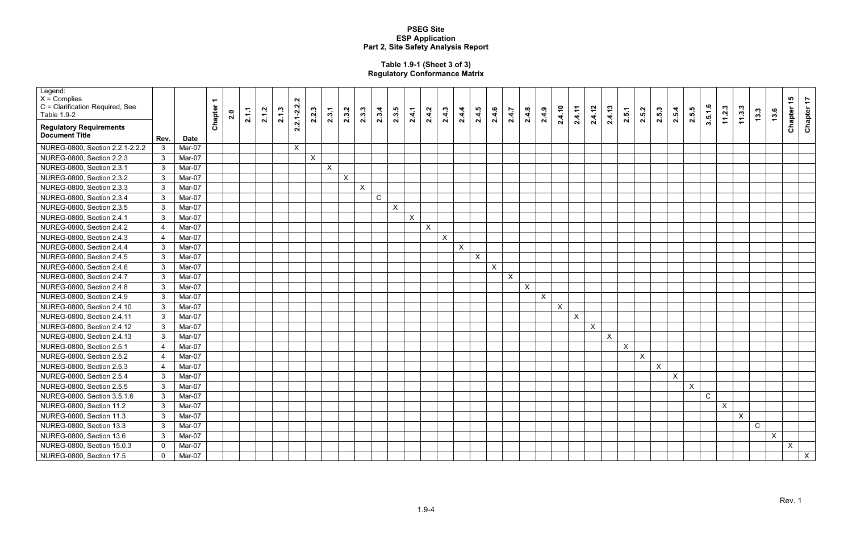#### **Table 1.9-1 (Sheet 3 of 3) Regulatory Conformance Matrix**

| Legend:<br>$X =$ Complies<br>C = Clarification Required, See<br>Table 1.9-2 |                |             | ᠆<br>Chapter | 2.0 | 2.1.1 | 2.1.2 | 2.1.3 | $\sim$<br>$\mathbf{N}$<br>2.2.3<br>$2.1 - 2.$ | 2.3.1 | 2.3.2        | 2.3.3        | 2.3.4       | 2.3.5 | 2.4.1        | 2.4.2 | 2.4.3          | 2.4.4        | 2.4.5 | 2.4.6 | 2.4.7   | 2.4.8 | 2.4.9          | 2.4.10       | 2.4.11       | 2.4.12 | 2.4.13       | 2.5.1            | 2.5.2        | 2.5.3        | 2.5.4        | 2.5.5 | 3.5.1.6      | 11.2.3 | 11.3.3       | n.<br>13.    | 13.6         | Chapter 15   | Chapter 17 |
|-----------------------------------------------------------------------------|----------------|-------------|--------------|-----|-------|-------|-------|-----------------------------------------------|-------|--------------|--------------|-------------|-------|--------------|-------|----------------|--------------|-------|-------|---------|-------|----------------|--------------|--------------|--------|--------------|------------------|--------------|--------------|--------------|-------|--------------|--------|--------------|--------------|--------------|--------------|------------|
| <b>Regulatory Requirements</b><br><b>Document Title</b>                     | Rev.           | <b>Date</b> |              |     |       |       |       | $\overline{N}$                                |       |              |              |             |       |              |       |                |              |       |       |         |       |                |              |              |        |              |                  |              |              |              |       |              |        |              |              |              |              |            |
| NUREG-0800, Section 2.2.1-2.2.2                                             | 3              | Mar-07      |              |     |       |       |       | $\mathsf{X}$                                  |       |              |              |             |       |              |       |                |              |       |       |         |       |                |              |              |        |              |                  |              |              |              |       |              |        |              |              |              |              |            |
| NUREG-0800, Section 2.2.3                                                   | $\mathbf{3}$   | Mar-07      |              |     |       |       |       | $\boldsymbol{\mathsf{X}}$                     |       |              |              |             |       |              |       |                |              |       |       |         |       |                |              |              |        |              |                  |              |              |              |       |              |        |              |              |              |              |            |
| NUREG-0800, Section 2.3.1                                                   | 3              | Mar-07      |              |     |       |       |       |                                               | X     |              |              |             |       |              |       |                |              |       |       |         |       |                |              |              |        |              |                  |              |              |              |       |              |        |              |              |              |              |            |
| NUREG-0800, Section 2.3.2                                                   | 3              | Mar-07      |              |     |       |       |       |                                               |       | $\mathsf{X}$ |              |             |       |              |       |                |              |       |       |         |       |                |              |              |        |              |                  |              |              |              |       |              |        |              |              |              |              |            |
| NUREG-0800, Section 2.3.3                                                   | $\mathbf{3}$   | Mar-07      |              |     |       |       |       |                                               |       |              | $\mathsf{X}$ |             |       |              |       |                |              |       |       |         |       |                |              |              |        |              |                  |              |              |              |       |              |        |              |              |              |              |            |
| NUREG-0800, Section 2.3.4                                                   | $\mathbf{3}$   | Mar-07      |              |     |       |       |       |                                               |       |              |              | $\mathsf C$ |       |              |       |                |              |       |       |         |       |                |              |              |        |              |                  |              |              |              |       |              |        |              |              |              |              |            |
| NUREG-0800, Section 2.3.5                                                   | $\mathbf{3}$   | Mar-07      |              |     |       |       |       |                                               |       |              |              |             | X     |              |       |                |              |       |       |         |       |                |              |              |        |              |                  |              |              |              |       |              |        |              |              |              |              |            |
| NUREG-0800, Section 2.4.1                                                   | 3              | Mar-07      |              |     |       |       |       |                                               |       |              |              |             |       | $\mathsf{X}$ |       |                |              |       |       |         |       |                |              |              |        |              |                  |              |              |              |       |              |        |              |              |              |              |            |
| NUREG-0800, Section 2.4.2                                                   | 4              | Mar-07      |              |     |       |       |       |                                               |       |              |              |             |       |              | X     |                |              |       |       |         |       |                |              |              |        |              |                  |              |              |              |       |              |        |              |              |              |              |            |
| NUREG-0800, Section 2.4.3                                                   | $\overline{4}$ | Mar-07      |              |     |       |       |       |                                               |       |              |              |             |       |              |       | $\pmb{\times}$ |              |       |       |         |       |                |              |              |        |              |                  |              |              |              |       |              |        |              |              |              |              |            |
| NUREG-0800, Section 2.4.4                                                   | 3              | Mar-07      |              |     |       |       |       |                                               |       |              |              |             |       |              |       |                | $\mathsf{X}$ |       |       |         |       |                |              |              |        |              |                  |              |              |              |       |              |        |              |              |              |              |            |
| NUREG-0800, Section 2.4.5                                                   | $\mathbf{3}$   | Mar-07      |              |     |       |       |       |                                               |       |              |              |             |       |              |       |                |              | X     |       |         |       |                |              |              |        |              |                  |              |              |              |       |              |        |              |              |              |              |            |
| NUREG-0800, Section 2.4.6                                                   | $\mathbf{3}$   | Mar-07      |              |     |       |       |       |                                               |       |              |              |             |       |              |       |                |              |       | X     |         |       |                |              |              |        |              |                  |              |              |              |       |              |        |              |              |              |              |            |
| NUREG-0800, Section 2.4.7                                                   | $\mathbf{3}$   | Mar-07      |              |     |       |       |       |                                               |       |              |              |             |       |              |       |                |              |       |       | $\sf X$ |       |                |              |              |        |              |                  |              |              |              |       |              |        |              |              |              |              |            |
| NUREG-0800, Section 2.4.8                                                   | $\mathbf{3}$   | Mar-07      |              |     |       |       |       |                                               |       |              |              |             |       |              |       |                |              |       |       |         | X     |                |              |              |        |              |                  |              |              |              |       |              |        |              |              |              |              |            |
| NUREG-0800, Section 2.4.9                                                   | 3              | Mar-07      |              |     |       |       |       |                                               |       |              |              |             |       |              |       |                |              |       |       |         |       | $\pmb{\times}$ |              |              |        |              |                  |              |              |              |       |              |        |              |              |              |              |            |
| NUREG-0800, Section 2.4.10                                                  | $\mathbf{3}$   | Mar-07      |              |     |       |       |       |                                               |       |              |              |             |       |              |       |                |              |       |       |         |       |                | $\mathsf{X}$ |              |        |              |                  |              |              |              |       |              |        |              |              |              |              |            |
| NUREG-0800, Section 2.4.11                                                  | $\mathbf{3}$   | Mar-07      |              |     |       |       |       |                                               |       |              |              |             |       |              |       |                |              |       |       |         |       |                |              | $\mathsf{X}$ |        |              |                  |              |              |              |       |              |        |              |              |              |              |            |
| NUREG-0800, Section 2.4.12                                                  | $\mathbf{3}$   | Mar-07      |              |     |       |       |       |                                               |       |              |              |             |       |              |       |                |              |       |       |         |       |                |              |              | X      |              |                  |              |              |              |       |              |        |              |              |              |              |            |
| NUREG-0800, Section 2.4.13                                                  | $\mathbf{3}$   | Mar-07      |              |     |       |       |       |                                               |       |              |              |             |       |              |       |                |              |       |       |         |       |                |              |              |        | $\mathsf{X}$ |                  |              |              |              |       |              |        |              |              |              |              |            |
| NUREG-0800, Section 2.5.1                                                   | 4              | Mar-07      |              |     |       |       |       |                                               |       |              |              |             |       |              |       |                |              |       |       |         |       |                |              |              |        |              | $\boldsymbol{X}$ |              |              |              |       |              |        |              |              |              |              |            |
| NUREG-0800, Section 2.5.2                                                   | 4              | Mar-07      |              |     |       |       |       |                                               |       |              |              |             |       |              |       |                |              |       |       |         |       |                |              |              |        |              |                  | $\mathsf{X}$ |              |              |       |              |        |              |              |              |              |            |
| NUREG-0800, Section 2.5.3                                                   | $\overline{4}$ | Mar-07      |              |     |       |       |       |                                               |       |              |              |             |       |              |       |                |              |       |       |         |       |                |              |              |        |              |                  |              | $\mathsf{X}$ |              |       |              |        |              |              |              |              |            |
| NUREG-0800, Section 2.5.4                                                   | 3              | Mar-07      |              |     |       |       |       |                                               |       |              |              |             |       |              |       |                |              |       |       |         |       |                |              |              |        |              |                  |              |              | $\mathsf{X}$ |       |              |        |              |              |              |              |            |
| NUREG-0800, Section 2.5.5                                                   | 3              | Mar-07      |              |     |       |       |       |                                               |       |              |              |             |       |              |       |                |              |       |       |         |       |                |              |              |        |              |                  |              |              |              | X     |              |        |              |              |              |              |            |
| NUREG-0800, Section 3.5.1.6                                                 | $\mathbf{3}$   | Mar-07      |              |     |       |       |       |                                               |       |              |              |             |       |              |       |                |              |       |       |         |       |                |              |              |        |              |                  |              |              |              |       | $\mathsf{C}$ |        |              |              |              |              |            |
| NUREG-0800, Section 11.2                                                    | $\mathbf{3}$   | Mar-07      |              |     |       |       |       |                                               |       |              |              |             |       |              |       |                |              |       |       |         |       |                |              |              |        |              |                  |              |              |              |       |              | X      |              |              |              |              |            |
| NUREG-0800, Section 11.3                                                    | $\mathbf{3}$   | Mar-07      |              |     |       |       |       |                                               |       |              |              |             |       |              |       |                |              |       |       |         |       |                |              |              |        |              |                  |              |              |              |       |              |        | $\mathsf{X}$ |              |              |              |            |
| NUREG-0800, Section 13.3                                                    | $\mathbf{3}$   | Mar-07      |              |     |       |       |       |                                               |       |              |              |             |       |              |       |                |              |       |       |         |       |                |              |              |        |              |                  |              |              |              |       |              |        |              | $\mathsf{C}$ |              |              |            |
| NUREG-0800, Section 13.6                                                    | 3              | Mar-07      |              |     |       |       |       |                                               |       |              |              |             |       |              |       |                |              |       |       |         |       |                |              |              |        |              |                  |              |              |              |       |              |        |              |              | $\mathsf{X}$ |              |            |
| NUREG-0800, Section 15.0.3                                                  | $\Omega$       | Mar-07      |              |     |       |       |       |                                               |       |              |              |             |       |              |       |                |              |       |       |         |       |                |              |              |        |              |                  |              |              |              |       |              |        |              |              |              | $\mathsf{X}$ |            |
| NUREG-0800, Section 17.5                                                    | $\Omega$       | Mar-07      |              |     |       |       |       |                                               |       |              |              |             |       |              |       |                |              |       |       |         |       |                |              |              |        |              |                  |              |              |              |       |              |        |              |              |              |              | X          |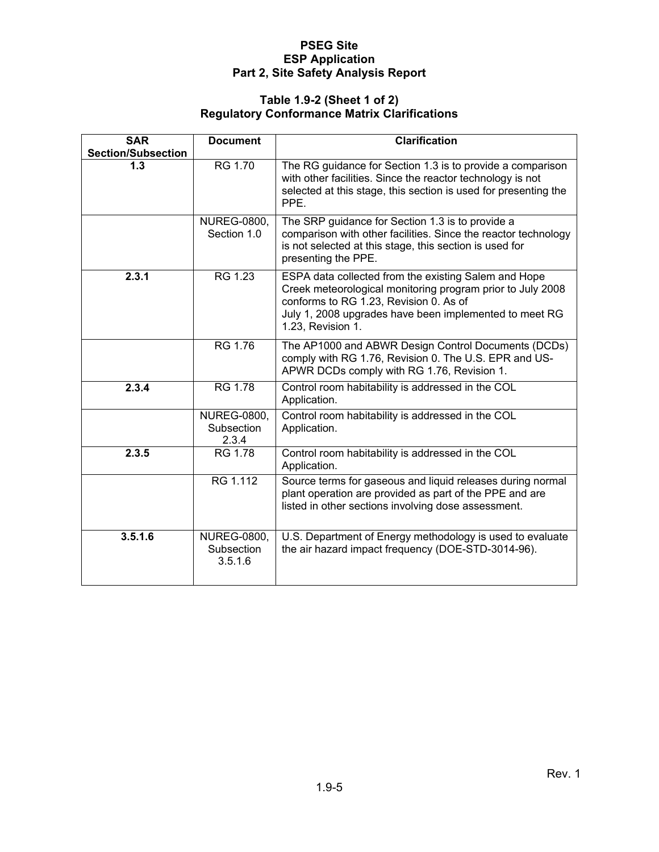#### **Table 1.9-2 (Sheet 1 of 2) Regulatory Conformance Matrix Clarifications**

| <b>SAR</b>                       | <b>Document</b>                             | <b>Clarification</b>                                                                                                                                                                                                                        |
|----------------------------------|---------------------------------------------|---------------------------------------------------------------------------------------------------------------------------------------------------------------------------------------------------------------------------------------------|
| <b>Section/Subsection</b><br>1.3 | RG 1.70                                     | The RG guidance for Section 1.3 is to provide a comparison<br>with other facilities. Since the reactor technology is not<br>selected at this stage, this section is used for presenting the<br>PPE.                                         |
|                                  | <b>NUREG-0800,</b><br>Section 1.0           | The SRP guidance for Section 1.3 is to provide a<br>comparison with other facilities. Since the reactor technology<br>is not selected at this stage, this section is used for<br>presenting the PPE.                                        |
| 2.3.1                            | RG 1.23                                     | ESPA data collected from the existing Salem and Hope<br>Creek meteorological monitoring program prior to July 2008<br>conforms to RG 1.23, Revision 0. As of<br>July 1, 2008 upgrades have been implemented to meet RG<br>1.23, Revision 1. |
|                                  | RG 1.76                                     | The AP1000 and ABWR Design Control Documents (DCDs)<br>comply with RG 1.76, Revision 0. The U.S. EPR and US-<br>APWR DCDs comply with RG 1.76, Revision 1.                                                                                  |
| 2.3.4                            | <b>RG 1.78</b>                              | Control room habitability is addressed in the COL<br>Application.                                                                                                                                                                           |
|                                  | <b>NUREG-0800,</b><br>Subsection<br>2.3.4   | Control room habitability is addressed in the COL<br>Application.                                                                                                                                                                           |
| 2.3.5                            | <b>RG 1.78</b>                              | Control room habitability is addressed in the COL<br>Application.                                                                                                                                                                           |
|                                  | RG 1.112                                    | Source terms for gaseous and liquid releases during normal<br>plant operation are provided as part of the PPE and are<br>listed in other sections involving dose assessment.                                                                |
| 3.5.1.6                          | <b>NUREG-0800,</b><br>Subsection<br>3.5.1.6 | U.S. Department of Energy methodology is used to evaluate<br>the air hazard impact frequency (DOE-STD-3014-96).                                                                                                                             |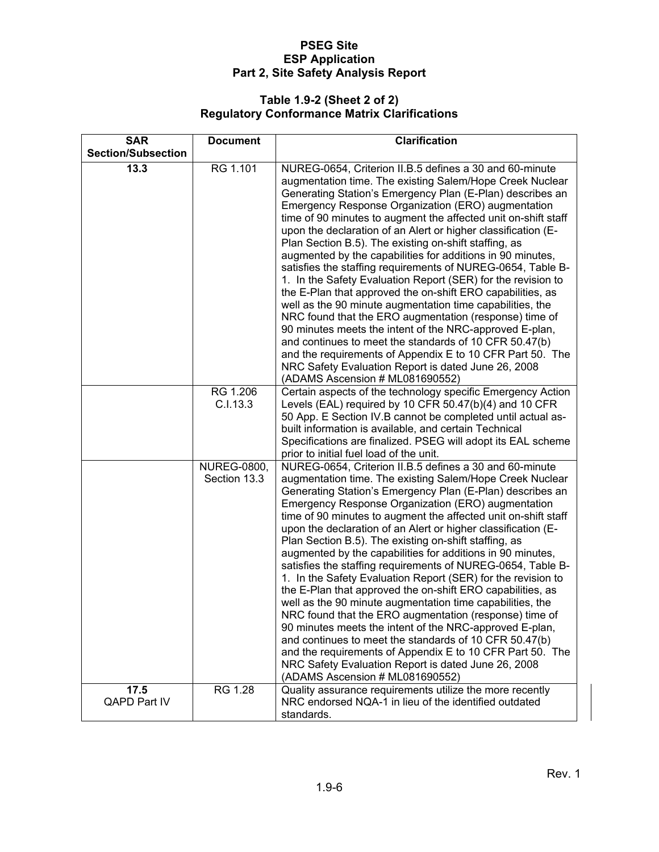#### **Table 1.9-2 (Sheet 2 of 2) Regulatory Conformance Matrix Clarifications**

| <b>SAR</b>                | <b>Document</b>                    | <b>Clarification</b>                                                                                                                                                                                                                                                                                                                                                                                                                                                                                                                                                                                                                                                                                                                                                                                                                                                                                                                                                                                                                                                                             |
|---------------------------|------------------------------------|--------------------------------------------------------------------------------------------------------------------------------------------------------------------------------------------------------------------------------------------------------------------------------------------------------------------------------------------------------------------------------------------------------------------------------------------------------------------------------------------------------------------------------------------------------------------------------------------------------------------------------------------------------------------------------------------------------------------------------------------------------------------------------------------------------------------------------------------------------------------------------------------------------------------------------------------------------------------------------------------------------------------------------------------------------------------------------------------------|
| <b>Section/Subsection</b> |                                    |                                                                                                                                                                                                                                                                                                                                                                                                                                                                                                                                                                                                                                                                                                                                                                                                                                                                                                                                                                                                                                                                                                  |
| 13.3                      | RG 1.101                           | NUREG-0654, Criterion II.B.5 defines a 30 and 60-minute<br>augmentation time. The existing Salem/Hope Creek Nuclear<br>Generating Station's Emergency Plan (E-Plan) describes an<br>Emergency Response Organization (ERO) augmentation<br>time of 90 minutes to augment the affected unit on-shift staff<br>upon the declaration of an Alert or higher classification (E-<br>Plan Section B.5). The existing on-shift staffing, as<br>augmented by the capabilities for additions in 90 minutes,<br>satisfies the staffing requirements of NUREG-0654, Table B-<br>1. In the Safety Evaluation Report (SER) for the revision to<br>the E-Plan that approved the on-shift ERO capabilities, as<br>well as the 90 minute augmentation time capabilities, the<br>NRC found that the ERO augmentation (response) time of<br>90 minutes meets the intent of the NRC-approved E-plan,<br>and continues to meet the standards of 10 CFR 50.47(b)<br>and the requirements of Appendix E to 10 CFR Part 50. The<br>NRC Safety Evaluation Report is dated June 26, 2008<br>(ADAMS Ascension # ML081690552) |
|                           | RG 1.206<br>C.I.13.3               | Certain aspects of the technology specific Emergency Action<br>Levels (EAL) required by 10 CFR 50.47(b)(4) and 10 CFR<br>50 App. E Section IV.B cannot be completed until actual as-<br>built information is available, and certain Technical<br>Specifications are finalized. PSEG will adopt its EAL scheme<br>prior to initial fuel load of the unit.                                                                                                                                                                                                                                                                                                                                                                                                                                                                                                                                                                                                                                                                                                                                         |
|                           | <b>NUREG-0800,</b><br>Section 13.3 | NUREG-0654, Criterion II.B.5 defines a 30 and 60-minute<br>augmentation time. The existing Salem/Hope Creek Nuclear<br>Generating Station's Emergency Plan (E-Plan) describes an<br>Emergency Response Organization (ERO) augmentation<br>time of 90 minutes to augment the affected unit on-shift staff<br>upon the declaration of an Alert or higher classification (E-<br>Plan Section B.5). The existing on-shift staffing, as<br>augmented by the capabilities for additions in 90 minutes,<br>satisfies the staffing requirements of NUREG-0654, Table B-<br>1. In the Safety Evaluation Report (SER) for the revision to<br>the E-Plan that approved the on-shift ERO capabilities, as<br>well as the 90 minute augmentation time capabilities, the<br>NRC found that the ERO augmentation (response) time of<br>90 minutes meets the intent of the NRC-approved E-plan,<br>and continues to meet the standards of 10 CFR 50.47(b)<br>and the requirements of Appendix E to 10 CFR Part 50. The<br>NRC Safety Evaluation Report is dated June 26, 2008<br>(ADAMS Ascension # ML081690552) |
| 17.5<br>QAPD Part IV      | RG 1.28                            | Quality assurance requirements utilize the more recently<br>NRC endorsed NQA-1 in lieu of the identified outdated<br>standards.                                                                                                                                                                                                                                                                                                                                                                                                                                                                                                                                                                                                                                                                                                                                                                                                                                                                                                                                                                  |